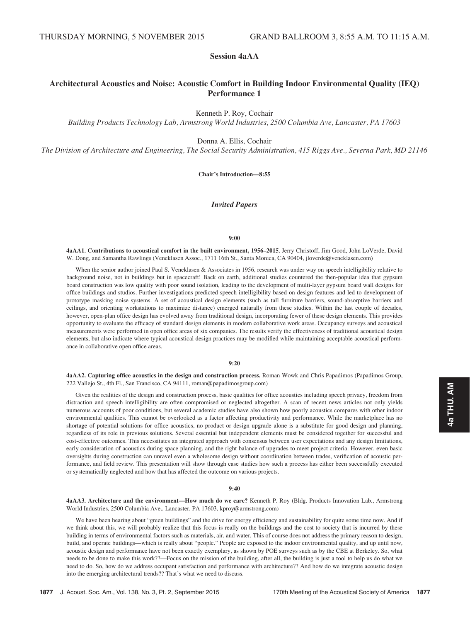# Session 4aAA

# Architectural Acoustics and Noise: Acoustic Comfort in Building Indoor Environmental Quality (IEQ) Performance 1

Kenneth P. Roy, Cochair

Building Products Technology Lab, Armstrong World Industries, 2500 Columbia Ave, Lancaster, PA 17603

Donna A. Ellis, Cochair

The Division of Architecture and Engineering, The Social Security Administration, 415 Riggs Ave., Severna Park, MD 21146

Chair's Introduction—8:55

## Invited Papers

#### 9:00

4aAA1. Contributions to acoustical comfort in the built environment, 1956–2015. Jerry Christoff, Jim Good, John LoVerde, David W. Dong, and Samantha Rawlings (Veneklasen Assoc., 1711 16th St., Santa Monica, CA 90404, jloverde@veneklasen.com)

When the senior author joined Paul S. Veneklasen & Associates in 1956, research was under way on speech intelligibility relative to background noise, not in buildings but in spacecraft! Back on earth, additional studies countered the then-popular idea that gypsum board construction was low quality with poor sound isolation, leading to the development of multi-layer gypsum board wall designs for office buildings and studios. Further investigations predicted speech intelligibility based on design features and led to development of prototype masking noise systems. A set of acoustical design elements (such as tall furniture barriers, sound-absorptive barriers and ceilings, and orienting workstations to maximize distance) emerged naturally from these studies. Within the last couple of decades, however, open-plan office design has evolved away from traditional design, incorporating fewer of these design elements. This provides opportunity to evaluate the efficacy of standard design elements in modern collaborative work areas. Occupancy surveys and acoustical measurements were performed in open office areas of six companies. The results verify the effectiveness of traditional acoustical design elements, but also indicate where typical acoustical design practices may be modified while maintaining acceptable acoustical performance in collaborative open office areas.

## 9:20

4aAA2. Capturing office acoustics in the design and construction process. Roman Wowk and Chris Papadimos (Papadimos Group, 222 Vallejo St., 4th Fl., San Francisco, CA 94111, roman@papadimosgroup.com)

Given the realities of the design and construction process, basic qualities for office acoustics including speech privacy, freedom from distraction and speech intelligibility are often compromised or neglected altogether. A scan of recent news articles not only yields numerous accounts of poor conditions, but several academic studies have also shown how poorly acoustics compares with other indoor environmental qualities. This cannot be overlooked as a factor affecting productivity and performance. While the marketplace has no shortage of potential solutions for office acoustics, no product or design upgrade alone is a substitute for good design and planning, regardless of its role in previous solutions. Several essential but independent elements must be considered together for successful and cost-effective outcomes. This necessitates an integrated approach with consensus between user expectations and any design limitations, early consideration of acoustics during space planning, and the right balance of upgrades to meet project criteria. However, even basic oversights during construction can unravel even a wholesome design without coordination between trades, verification of acoustic performance, and field review. This presentation will show through case studies how such a process has either been successfully executed or systematically neglected and how that has affected the outcome on various projects.

#### 9:40

4aAA3. Architecture and the environment—How much do we care? Kenneth P. Roy (Bldg. Products Innovation Lab., Armstrong World Industries, 2500 Columbia Ave., Lancaster, PA 17603, kproy@armstrong.com)

We have been hearing about "green buildings" and the drive for energy efficiency and sustainability for quite some time now. And if we think about this, we will probably realize that this focus is really on the buildings and the cost to society that is incurred by these building in terms of environmental factors such as materials, air, and water. This of course does not address the primary reason to design, build, and operate buildings—which is really about "people." People are exposed to the indoor environmental quality, and up until now, acoustic design and performance have not been exactly exemplary, as shown by POE surveys such as by the CBE at Berkeley. So, what needs to be done to make this work??—Focus on the mission of the building, after all, the building is just a tool to help us do what we need to do. So, how do we address occupant satisfaction and performance with architecture?? And how do we integrate acoustic design into the emerging architectural trends?? That's what we need to discuss.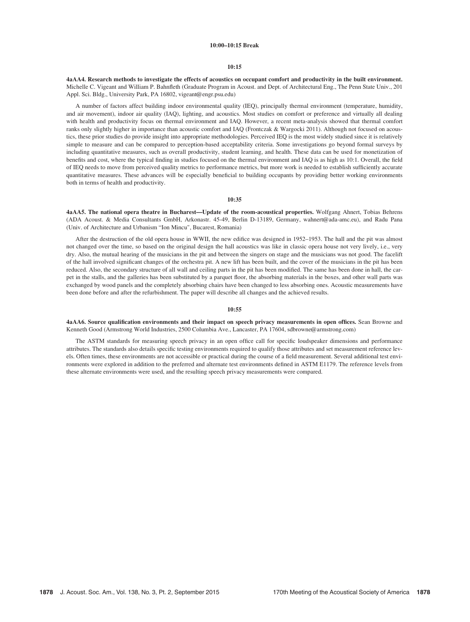## 10:00–10:15 Break

## 10:15

4aAA4. Research methods to investigate the effects of acoustics on occupant comfort and productivity in the built environment. Michelle C. Vigeant and William P. Bahnfleth (Graduate Program in Acoust. and Dept. of Architectural Eng., The Penn State Univ., 201 Appl. Sci. Bldg., University Park, PA 16802, vigeant@engr.psu.edu)

A number of factors affect building indoor environmental quality (IEQ), principally thermal environment (temperature, humidity, and air movement), indoor air quality (IAQ), lighting, and acoustics. Most studies on comfort or preference and virtually all dealing with health and productivity focus on thermal environment and IAQ. However, a recent meta-analysis showed that thermal comfort ranks only slightly higher in importance than acoustic comfort and IAQ (Frontczak & Wargocki 2011). Although not focused on acoustics, these prior studies do provide insight into appropriate methodologies. Perceived IEQ is the most widely studied since it is relatively simple to measure and can be compared to perception-based acceptability criteria. Some investigations go beyond formal surveys by including quantitative measures, such as overall productivity, student learning, and health. These data can be used for monetization of benefits and cost, where the typical finding in studies focused on the thermal environment and IAQ is as high as 10:1. Overall, the field of IEQ needs to move from perceived quality metrics to performance metrics, but more work is needed to establish sufficiently accurate quantitative measures. These advances will be especially beneficial to building occupants by providing better working environments both in terms of health and productivity.

## 10:35

4aAA5. The national opera theatre in Bucharest—Update of the room-acoustical properties. Wolfgang Ahnert, Tobias Behrens (ADA Acoust. & Media Consultants GmbH, Arkonastr. 45-49, Berlin D-13189, Germany, wahnert@ada-amc.eu), and Radu Pana (Univ. of Architecture and Urbanism "Ion Mincu", Bucarest, Romania)

After the destruction of the old opera house in WWII, the new edifice was designed in 1952–1953. The hall and the pit was almost not changed over the time, so based on the original design the hall acoustics was like in classic opera house not very lively, i.e., very dry. Also, the mutual hearing of the musicians in the pit and between the singers on stage and the musicians was not good. The facelift of the hall involved significant changes of the orchestra pit. A new lift has been built, and the cover of the musicians in the pit has been reduced. Also, the secondary structure of all wall and ceiling parts in the pit has been modified. The same has been done in hall, the carpet in the stalls, and the galleries has been substituted by a parquet floor, the absorbing materials in the boxes, and other wall parts was exchanged by wood panels and the completely absorbing chairs have been changed to less absorbing ones. Acoustic measurements have been done before and after the refurbishment. The paper will describe all changes and the achieved results.

## 10:55

4aAA6. Source qualification environments and their impact on speech privacy measurements in open offices. Sean Browne and Kenneth Good (Armstrong World Industries, 2500 Columbia Ave., Lancaster, PA 17604, sdbrowne@armstrong.com)

The ASTM standards for measuring speech privacy in an open office call for specific loudspeaker dimensions and performance attributes. The standards also details specific testing environments required to qualify those attributes and set measurement reference levels. Often times, these environments are not accessible or practical during the course of a field measurement. Several additional test environments were explored in addition to the preferred and alternate test environments defined in ASTM E1179. The reference levels from these alternate environments were used, and the resulting speech privacy measurements were compared.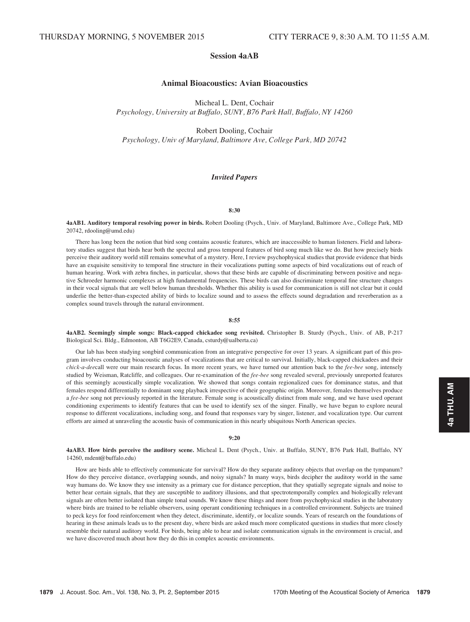# Session 4aAB

# Animal Bioacoustics: Avian Bioacoustics

Micheal L. Dent, Cochair Psychology, University at Buffalo, SUNY, B76 Park Hall, Buffalo, NY 14260

Robert Dooling, Cochair Psychology, Univ of Maryland, Baltimore Ave, College Park, MD 20742

# Invited Papers

#### 8:30

4aAB1. Auditory temporal resolving power in birds. Robert Dooling (Psych., Univ. of Maryland, Baltimore Ave., College Park, MD 20742, rdooling@umd.edu)

There has long been the notion that bird song contains acoustic features, which are inaccessible to human listeners. Field and laboratory studies suggest that birds hear both the spectral and gross temporal features of bird song much like we do. But how precisely birds perceive their auditory world still remains somewhat of a mystery. Here, I review psychophysical studies that provide evidence that birds have an exquisite sensitivity to temporal fine structure in their vocalizations putting some aspects of bird vocalizations out of reach of human hearing. Work with zebra finches, in particular, shows that these birds are capable of discriminating between positive and negative Schroeder harmonic complexes at high fundamental frequencies. These birds can also discriminate temporal fine structure changes in their vocal signals that are well below human thresholds. Whether this ability is used for communication is still not clear but it could underlie the better-than-expected ability of birds to localize sound and to assess the effects sound degradation and reverberation as a complex sound travels through the natural environment.

#### 8:55

4aAB2. Seemingly simple songs: Black-capped chickadee song revisited. Christopher B. Sturdy (Psych., Univ. of AB, P-217 Biological Sci. Bldg., Edmonton, AB T6G2E9, Canada, csturdy@ualberta.ca)

Our lab has been studying songbird communication from an integrative perspective for over 13 years. A significant part of this program involves conducting bioacoustic analyses of vocalizations that are critical to survival. Initially, black-capped chickadees and their chick-a-deecall were our main research focus. In more recent years, we have turned our attention back to the fee-bee song, intensely studied by Weisman, Ratcliffe, and colleagues. Our re-examination of the fee-bee song revealed several, previously unreported features of this seemingly acoustically simple vocalization. We showed that songs contain regionalized cues for dominance status, and that females respond differentially to dominant song playback irrespective of their geographic origin. Moreover, females themselves produce a fee-bee song not previously reported in the literature. Female song is acoustically distinct from male song, and we have used operant conditioning experiments to identify features that can be used to identify sex of the singer. Finally, we have begun to explore neural response to different vocalizations, including song, and found that responses vary by singer, listener, and vocalization type. Our current efforts are aimed at unraveling the acoustic basis of communication in this nearly ubiquitous North American species.

#### 9:20

4aAB3. How birds perceive the auditory scene. Micheal L. Dent (Psych., Univ. at Buffalo, SUNY, B76 Park Hall, Buffalo, NY 14260, mdent@buffalo.edu)

How are birds able to effectively communicate for survival? How do they separate auditory objects that overlap on the tympanum? How do they perceive distance, overlapping sounds, and noisy signals? In many ways, birds decipher the auditory world in the same way humans do. We know they use intensity as a primary cue for distance perception, that they spatially segregate signals and noise to better hear certain signals, that they are susceptible to auditory illusions, and that spectrotemporally complex and biologically relevant signals are often better isolated than simple tonal sounds. We know these things and more from psychophysical studies in the laboratory where birds are trained to be reliable observers, using operant conditioning techniques in a controlled environment. Subjects are trained to peck keys for food reinforcement when they detect, discriminate, identify, or localize sounds. Years of research on the foundations of hearing in these animals leads us to the present day, where birds are asked much more complicated questions in studies that more closely resemble their natural auditory world. For birds, being able to hear and isolate communication signals in the environment is crucial, and we have discovered much about how they do this in complex acoustic environments.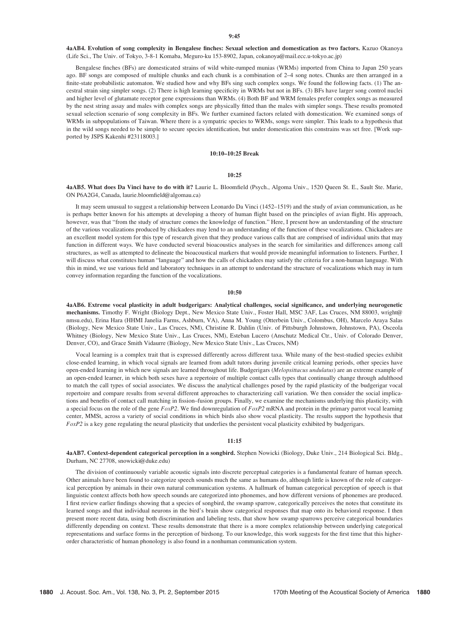4aAB4. Evolution of song complexity in Bengalese finches: Sexual selection and domestication as two factors. Kazuo Okanoya (Life Sci., The Univ. of Tokyo, 3-8-1 Komaba, Meguro-ku 153-8902, Japan, cokanoya@mail.ecc.u-tokyo.ac.jp)

Bengalese finches (BFs) are domesticated strains of wild white-rumped munias (WRMs) imported from China to Japan 250 years ago. BF songs are composed of multiple chunks and each chunk is a combination of 2–4 song notes. Chunks are then arranged in a finite-state probabilistic automaton. We studied how and why BFs sing such complex songs. We found the following facts. (1) The ancestral strain sing simpler songs. (2) There is high learning specificity in WRMs but not in BFs. (3) BFs have larger song control nuclei and higher level of glutamate receptor gene expressions than WRMs. (4) Both BF and WRM females prefer complex songs as measured by the nest string assay and males with complex songs are physically fitted than the males with simpler songs. These results promoted sexual selection scenario of song complexity in BFs. We further examined factors related with domestication. We examined songs of WRMs in subpopulations of Taiwan. Where there is a sympatric species to WRMs, songs were simpler. This leads to a hypothesis that in the wild songs needed to be simple to secure species identification, but under domestication this constrains was set free. [Work supported by JSPS Kakenhi #23118003.]

### 10:10–10:25 Break

## $10:25$

4aAB5. What does Da Vinci have to do with it? Laurie L. Bloomfield (Psych., Algoma Univ., 1520 Queen St. E., Sault Ste. Marie, ON P6A2G4, Canada, laurie.bloomfield@algomau.ca)

It may seem unusual to suggest a relationship between Leonardo Da Vinci (1452–1519) and the study of avian communication, as he is perhaps better known for his attempts at developing a theory of human flight based on the principles of avian flight. His approach, however, was that "from the study of structure comes the knowledge of function." Here, I present how an understanding of the structure of the various vocalizations produced by chickadees may lend to an understanding of the function of these vocalizations. Chickadees are an excellent model system for this type of research given that they produce various calls that are comprised of individual units that may function in different ways. We have conducted several bioacoustics analyses in the search for similarities and differences among call structures, as well as attempted to delineate the bioacoustical markers that would provide meaningful information to listeners. Further, I will discuss what constitutes human "language" and how the calls of chickadees may satisfy the criteria for a non-human language. With this in mind, we use various field and laboratory techniques in an attempt to understand the structure of vocalizations which may in turn convey information regarding the function of the vocalizations.

#### 10:50

4aAB6. Extreme vocal plasticity in adult budgerigars: Analytical challenges, social significance, and underlying neurogenetic mechanisms. Timothy F. Wright (Biology Dept., New Mexico State Univ., Foster Hall, MSC 3AF, Las Cruces, NM 88003, wright@ nmsu.edu), Erina Hara (HHMI Janelia Farms, Ashburn, VA), Anna M. Young (Otterbein Univ., Colombus, OH), Marcelo Araya Salas (Biology, New Mexico State Univ., Las Cruces, NM), Christine R. Dahlin (Univ. of Pittsburgh Johnstown, Johnstown, PA), Osceola Whitney (Biology, New Mexico State Univ., Las Cruces, NM), Esteban Lucero (Anschutz Medical Ctr., Univ. of Colorado Denver, Denver, CO), and Grace Smith Vidaurre (Biology, New Mexico State Univ., Las Cruces, NM)

Vocal learning is a complex trait that is expressed differently across different taxa. While many of the best-studied species exhibit close-ended learning, in which vocal signals are learned from adult tutors during juvenile critical learning periods, other species have open-ended learning in which new signals are learned throughout life. Budgerigars (Melopsittacus undulatus) are an extreme example of an open-ended learner, in which both sexes have a repertoire of multiple contact calls types that continually change through adulthood to match the call types of social associates. We discuss the analytical challenges posed by the rapid plasticity of the budgerigar vocal repertoire and compare results from several different approaches to characterizing call variation. We then consider the social implications and benefits of contact call matching in fission–fusion groups. Finally, we examine the mechanisms underlying this plasticity, with a special focus on the role of the gene  $FoxP2$ . We find downregulation of  $FoxP2$  mRNA and protein in the primary parrot vocal learning center, MMSt, across a variety of social conditions in which birds also show vocal plasticity. The results support the hypothesis that  $FoxP2$  is a key gene regulating the neural plasticity that underlies the persistent vocal plasticity exhibited by budgerigars.

#### 11:15

4aAB7. Context-dependent categorical perception in a songbird. Stephen Nowicki (Biology, Duke Univ., 214 Biological Sci. Bldg., Durham, NC 27708, snowicki@duke.edu)

The division of continuously variable acoustic signals into discrete perceptual categories is a fundamental feature of human speech. Other animals have been found to categorize speech sounds much the same as humans do, although little is known of the role of categorical perception by animals in their own natural communication systems. A hallmark of human categorical perception of speech is that linguistic context affects both how speech sounds are categorized into phonemes, and how different versions of phonemes are produced. I first review earlier findings showing that a species of songbird, the swamp sparrow, categorically perceives the notes that constitute its learned songs and that individual neurons in the bird's brain show categorical responses that map onto its behavioral response. I then present more recent data, using both discrimination and labeling tests, that show how swamp sparrows perceive categorical boundaries differently depending on context. These results demonstrate that there is a more complex relationship between underlying categorical representations and surface forms in the perception of birdsong. To our knowledge, this work suggests for the first time that this higherorder characteristic of human phonology is also found in a nonhuman communication system.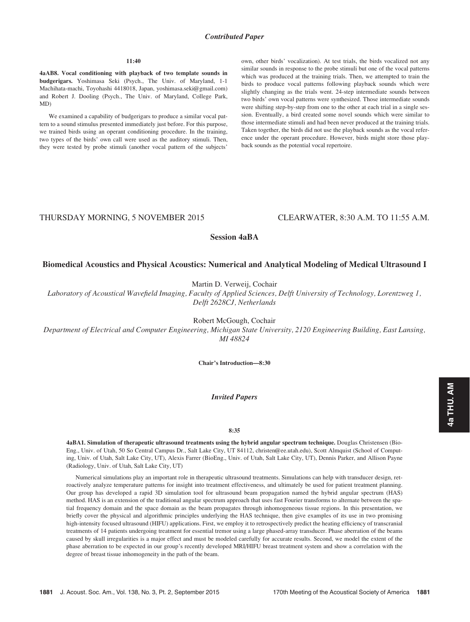# Contributed Paper

#### $11:40$

4aAB8. Vocal conditioning with playback of two template sounds in budgerigars. Yoshimasa Seki (Psych., The Univ. of Maryland, 1-1 Machihata-machi, Toyohashi 4418018, Japan, yoshimasa.seki@gmail.com) and Robert J. Dooling (Psych., The Univ. of Maryland, College Park, MD)

We examined a capability of budgerigars to produce a similar vocal pattern to a sound stimulus presented immediately just before. For this purpose, we trained birds using an operant conditioning procedure. In the training, two types of the birds' own call were used as the auditory stimuli. Then, they were tested by probe stimuli (another vocal pattern of the subjects' own, other birds' vocalization). At test trials, the birds vocalized not any similar sounds in response to the probe stimuli but one of the vocal patterns which was produced at the training trials. Then, we attempted to train the birds to produce vocal patterns following playback sounds which were slightly changing as the trials went. 24-step intermediate sounds between two birds' own vocal patterns were synthesized. Those intermediate sounds were shifting step-by-step from one to the other at each trial in a single session. Eventually, a bird created some novel sounds which were similar to those intermediate stimuli and had been never produced at the training trials. Taken together, the birds did not use the playback sounds as the vocal reference under the operant procedure. However, birds might store those playback sounds as the potential vocal repertoire.

# THURSDAY MORNING, 5 NOVEMBER 2015 CLEARWATER, 8:30 A.M. TO 11:55 A.M.

# Session 4aBA

# Biomedical Acoustics and Physical Acoustics: Numerical and Analytical Modeling of Medical Ultrasound I

Martin D. Verweij, Cochair

Laboratory of Acoustical Wavefield Imaging, Faculty of Applied Sciences, Delft University of Technology, Lorentzweg 1, Delft 2628CJ, Netherlands

Robert McGough, Cochair

Department of Electrical and Computer Engineering, Michigan State University, 2120 Engineering Building, East Lansing, MI 48824

Chair's Introduction—8:30

# Invited Papers

#### 8:35

4aBA1. Simulation of therapeutic ultrasound treatments using the hybrid angular spectrum technique. Douglas Christensen (Bio-Eng., Univ. of Utah, 50 So Central Campus Dr., Salt Lake City, UT 84112, christen@ee.utah.edu), Scott Almquist (School of Computing, Univ. of Utah, Salt Lake City, UT), Alexis Farrer (BioEng., Univ. of Utah, Salt Lake City, UT), Dennis Parker, and Allison Payne (Radiology, Univ. of Utah, Salt Lake City, UT)

Numerical simulations play an important role in therapeutic ultrasound treatments. Simulations can help with transducer design, retroactively analyze temperature patterns for insight into treatment effectiveness, and ultimately be used for patient treatment planning. Our group has developed a rapid 3D simulation tool for ultrasound beam propagation named the hybrid angular spectrum (HAS) method. HAS is an extension of the traditional angular spectrum approach that uses fast Fourier transforms to alternate between the spatial frequency domain and the space domain as the beam propagates through inhomogeneous tissue regions. In this presentation, we briefly cover the physical and algorithmic principles underlying the HAS technique, then give examples of its use in two promising high-intensity focused ultrasound (HIFU) applications. First, we employ it to retrospectively predict the heating efficiency of transcranial treatments of 14 patients undergoing treatment for essential tremor using a large phased-array transducer. Phase aberration of the beams caused by skull irregularities is a major effect and must be modeled carefully for accurate results. Second, we model the extent of the phase aberration to be expected in our group's recently developed MRI/HIFU breast treatment system and show a correlation with the degree of breast tissue inhomogeneity in the path of the beam.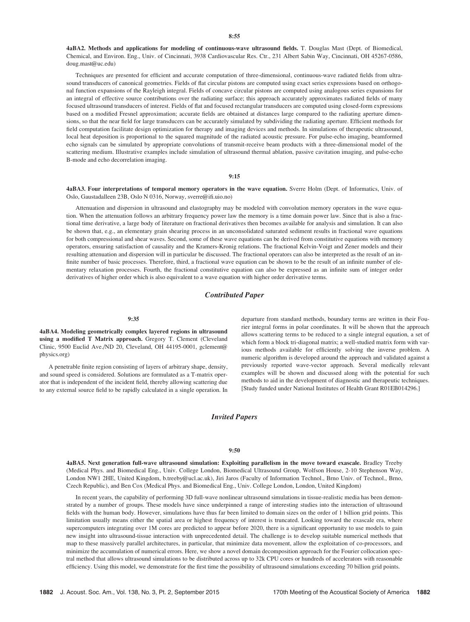4aBA2. Methods and applications for modeling of continuous-wave ultrasound fields. T. Douglas Mast (Dept. of Biomedical, Chemical, and Environ. Eng., Univ. of Cincinnati, 3938 Cardiovascular Res. Ctr., 231 Albert Sabin Way, Cincinnati, OH 45267-0586, doug.mast@uc.edu)

Techniques are presented for efficient and accurate computation of three-dimensional, continuous-wave radiated fields from ultrasound transducers of canonical geometries. Fields of flat circular pistons are computed using exact series expressions based on orthogonal function expansions of the Rayleigh integral. Fields of concave circular pistons are computed using analogous series expansions for an integral of effective source contributions over the radiating surface; this approach accurately approximates radiated fields of many focused ultrasound transducers of interest. Fields of flat and focused rectangular transducers are computed using closed-form expressions based on a modified Fresnel approximation; accurate fields are obtained at distances large compared to the radiating aperture dimensions, so that the near field for large transducers can be accurately simulated by subdividing the radiating aperture. Efficient methods for field computation facilitate design optimization for therapy and imaging devices and methods. In simulations of therapeutic ultrasound, local heat deposition is proportional to the squared magnitude of the radiated acoustic pressure. For pulse-echo imaging, beamformed echo signals can be simulated by appropriate convolutions of transmit-receive beam products with a three-dimensional model of the scattering medium. Illustrative examples include simulation of ultrasound thermal ablation, passive cavitation imaging, and pulse-echo B-mode and echo decorrelation imaging.

## $9:15$

4aBA3. Four interpretations of temporal memory operators in the wave equation. Sverre Holm (Dept. of Informatics, Univ. of Oslo, Gaustadalleen 23B, Oslo N 0316, Norway, sverre@ifi.uio.no)

Attenuation and dispersion in ultrasound and elastography may be modeled with convolution memory operators in the wave equation. When the attenuation follows an arbitrary frequency power law the memory is a time domain power law. Since that is also a fractional time derivative, a large body of literature on fractional derivatives then becomes available for analysis and simulation. It can also be shown that, e.g., an elementary grain shearing process in an unconsolidated saturated sediment results in fractional wave equations for both compressional and shear waves. Second, some of these wave equations can be derived from constitutive equations with memory operators, ensuring satisfaction of causality and the Kramers-Kronig relations. The fractional Kelvin-Voigt and Zener models and their resulting attenuation and dispersion will in particular be discussed. The fractional operators can also be interpreted as the result of an infinite number of basic processes. Therefore, third, a fractional wave equation can be shown to be the result of an infinite number of elementary relaxation processes. Fourth, the fractional constitutive equation can also be expressed as an infinite sum of integer order derivatives of higher order which is also equivalent to a wave equation with higher order derivative terms.

# Contributed Paper

#### 9:35

4aBA4. Modeling geometrically complex layered regions in ultrasound using a modified T Matrix approach. Gregory T. Clement (Cleveland Clinic, 9500 Euclid Ave./ND 20, Cleveland, OH 44195-0001, gclement@ physics.org)

A penetrable finite region consisting of layers of arbitrary shape, density, and sound speed is considered. Solutions are formulated as a T-matrix operator that is independent of the incident field, thereby allowing scattering due to any external source field to be rapidly calculated in a single operation. In departure from standard methods, boundary terms are written in their Fourier integral forms in polar coordinates. It will be shown that the approach allows scattering terms to be reduced to a single integral equation, a set of which form a block tri-diagonal matrix; a well-studied matrix form with various methods available for efficiently solving the inverse problem. A numeric algorithm is developed around the approach and validated against a previously reported wave-vector approach. Several medically relevant examples will be shown and discussed along with the potential for such methods to aid in the development of diagnostic and therapeutic techniques. [Study funded under National Institutes of Health Grant R01EB014296.]

## Invited Papers

### 9:50

4aBA5. Next generation full-wave ultrasound simulation: Exploiting parallelism in the move toward exascale. Bradley Treeby (Medical Phys. and Biomedical Eng., Univ. College London, Biomedical Ultrasound Group, Wolfson House, 2-10 Stephenson Way, London NW1 2HE, United Kingdom, b.treeby@ucl.ac.uk), Jiri Jaros (Faculty of Information Technol., Brno Univ. of Technol., Brno, Czech Republic), and Ben Cox (Medical Phys. and Biomedical Eng., Univ. College London, London, United Kingdom)

In recent years, the capability of performing 3D full-wave nonlinear ultrasound simulations in tissue-realistic media has been demonstrated by a number of groups. These models have since underpinned a range of interesting studies into the interaction of ultrasound fields with the human body. However, simulations have thus far been limited to domain sizes on the order of 1 billion grid points. This limitation usually means either the spatial area or highest frequency of interest is truncated. Looking toward the exascale era, where supercomputers integrating over 1M cores are predicted to appear before 2020, there is a significant opportunity to use models to gain new insight into ultrasound-tissue interaction with unprecedented detail. The challenge is to develop suitable numerical methods that map to these massively parallel architectures, in particular, that minimize data movement, allow the exploitation of co-processors, and minimize the accumulation of numerical errors. Here, we show a novel domain decomposition approach for the Fourier collocation spectral method that allows ultrasound simulations to be distributed across up to 32k CPU cores or hundreds of accelerators with reasonable efficiency. Using this model, we demonstrate for the first time the possibility of ultrasound simulations exceeding 70 billion grid points.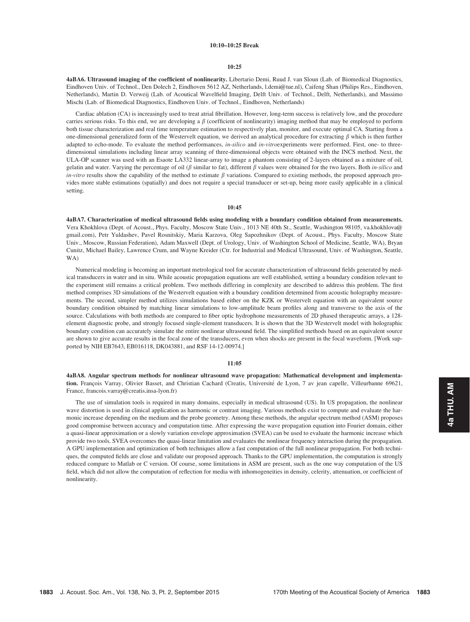## 10:10–10:25 Break

#### 10:25

4aBA6. Ultrasound imaging of the coefficient of nonlinearity. Libertario Demi, Ruud J. van Sloun (Lab. of Biomedical Diagnostics, Eindhoven Univ. of Technol., Den Dolech 2, Eindhoven 5612 AZ, Netherlands, l.demi@tue.nl), Caifeng Shan (Philips Res., Eindhoven, Netherlands), Martin D. Verweij (Lab. of Acoutical Wavelfield Imaging, Delft Univ. of Technol., Delft, Netherlands), and Massimo Mischi (Lab. of Biomedical Diagnostics, Eindhoven Univ. of Technol., Eindhoven, Netherlands)

Cardiac ablation (CA) is increasingly used to treat atrial fibrillation. However, long-term success is relatively low, and the procedure carries serious risks. To this end, we are developing a  $\beta$  (coefficient of nonlinearity) imaging method that may be employed to perform both tissue characterization and real time temperature estimation to respectively plan, monitor, and execute optimal CA. Starting from a one-dimensional generalized form of the Westervelt equation, we derived an analytical procedure for extracting  $\beta$  which is then further adapted to echo-mode. To evaluate the method performances, in-silico and in-vitroexperiments were performed. First, one- to threedimensional simulations including linear array scanning of three-dimensional objects were obtained with the INCS method. Next, the ULA-OP scanner was used with an Esaote LA332 linear-array to image a phantom consisting of 2-layers obtained as a mixture of oil, gelatin and water. Varying the percentage of oil ( $\beta$  similar to fat), different  $\beta$  values were obtained for the two layers. Both in-silico and in-vitro results show the capability of the method to estimate  $\beta$  variations. Compared to existing methods, the proposed approach provides more stable estimations (spatially) and does not require a special transducer or set-up, being more easily applicable in a clinical setting.

#### 10:45

4aBA7. Characterization of medical ultrasound fields using modeling with a boundary condition obtained from measurements. Vera Khokhlova (Dept. of Acoust., Phys. Faculty, Moscow State Univ., 1013 NE 40th St., Seattle, Washington 98105, va.khokhlova@ gmail.com), Petr Yuldashev, Pavel Rosnitskiy, Maria Karzova, Oleg Sapozhnikov (Dept. of Acoust., Phys. Faculty, Moscow State Univ., Moscow, Russian Federation), Adam Maxwell (Dept. of Urology, Univ. of Washington School of Medicine, Seattle, WA), Bryan Cunitz, Michael Bailey, Lawrence Crum, and Wayne Kreider (Ctr. for Industrial and Medical Ultrasound, Univ. of Washington, Seattle, WA)

Numerical modeling is becoming an important metrological tool for accurate characterization of ultrasound fields generated by medical transducers in water and in situ. While acoustic propagation equations are well established, setting a boundary condition relevant to the experiment still remains a critical problem. Two methods differing in complexity are described to address this problem. The first method comprises 3D simulations of the Westervelt equation with a boundary condition determined from acoustic holography measurements. The second, simpler method utilizes simulations based either on the KZK or Westervelt equation with an equivalent source boundary condition obtained by matching linear simulations to low-amplitude beam profiles along and transverse to the axis of the source. Calculations with both methods are compared to fiber optic hydrophone measurements of 2D phased therapeutic arrays, a 128 element diagnostic probe, and strongly focused single-element transducers. It is shown that the 3D Westervelt model with holographic boundary condition can accurately simulate the entire nonlinear ultrasound field. The simplified methods based on an equivalent source are shown to give accurate results in the focal zone of the transducers, even when shocks are present in the focal waveform. [Work supported by NIH EB7643, EB016118, DK043881, and RSF 14-12-00974.]

## 11:05

4aBA8. Angular spectrum methods for nonlinear ultrasound wave propagation: Mathematical development and implementation. François Varray, Olivier Basset, and Christian Cachard (Creatis, Université de Lyon, 7 av jean capelle, Villeurbanne 69621, France, francois.varray@creatis.insa-lyon.fr)

The use of simulation tools is required in many domains, especially in medical ultrasound (US). In US propagation, the nonlinear wave distortion is used in clinical application as harmonic or contrast imaging. Various methods exist to compute and evaluate the harmonic increase depending on the medium and the probe geometry. Among these methods, the angular spectrum method (ASM) proposes good compromise between accuracy and computation time. After expressing the wave propagation equation into Fourier domain, either a quasi-linear approximation or a slowly variation envelope approximation (SVEA) can be used to evaluate the harmonic increase which provide two tools. SVEA overcomes the quasi-linear limitation and evaluates the nonlinear frequency interaction during the propagation. A GPU implementation and optimization of both techniques allow a fast computation of the full nonlinear propagation. For both techniques, the computed fields are close and validate our proposed approach. Thanks to the GPU implementation, the computation is strongly reduced compare to Matlab or C version. Of course, some limitations in ASM are present, such as the one way computation of the US field, which did not allow the computation of reflection for media with inhomogeneities in density, celerity, attenuation, or coefficient of nonlinearity.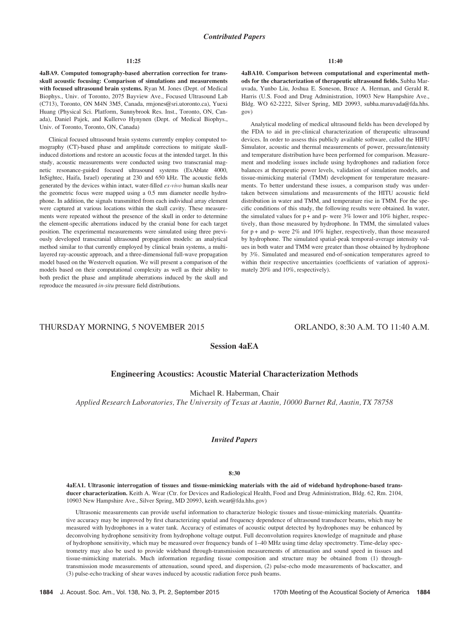#### 11:25

4aBA9. Computed tomography-based aberration correction for transskull acoustic focusing: Comparison of simulations and measurements with focused ultrasound brain systems. Ryan M. Jones (Dept. of Medical Biophys., Univ. of Toronto, 2075 Bayview Ave., Focused Ultrasound Lab (C713), Toronto, ON M4N 3M5, Canada, rmjones@sri.utoronto.ca), Yuexi Huang (Physical Sci. Platform, Sunnybrook Res. Inst., Toronto, ON, Canada), Daniel Pajek, and Kullervo Hynynen (Dept. of Medical Biophys., Univ. of Toronto, Toronto, ON, Canada)

Clinical focused ultrasound brain systems currently employ computed tomography (CT)-based phase and amplitude corrections to mitigate skullinduced distortions and restore an acoustic focus at the intended target. In this study, acoustic measurements were conducted using two transcranial magnetic resonance-guided focused ultrasound systems (ExAblate 4000, InSightec, Haifa, Israel) operating at 230 and 650 kHz. The acoustic fields generated by the devices within intact, water-filled ex-vivo human skulls near the geometric focus were mapped using a 0.5 mm diameter needle hydrophone. In addition, the signals transmitted from each individual array element were captured at various locations within the skull cavity. These measurements were repeated without the presence of the skull in order to determine the element-specific aberrations induced by the cranial bone for each target position. The experimental measurements were simulated using three previously developed transcranial ultrasound propagation models: an analytical method similar to that currently employed by clinical brain systems, a multilayered ray-acoustic approach, and a three-dimensional full-wave propagation model based on the Westervelt equation. We will present a comparison of the models based on their computational complexity as well as their ability to both predict the phase and amplitude aberrations induced by the skull and reproduce the measured in-situ pressure field distributions.

4aBA10. Comparison between computational and experimental methods for the characterization of therapeutic ultrasound fields. Subha Maruvada, Yunbo Liu, Joshua E. Soneson, Bruce A. Herman, and Gerald R. Harris (U.S. Food and Drug Administration, 10903 New Hampshire Ave., Bldg. WO 62-2222, Silver Spring, MD 20993, subha.maruvada@fda.hhs. gov)

Analytical modeling of medical ultrasound fields has been developed by the FDA to aid in pre-clinical characterization of therapeutic ultrasound devices. In order to assess this publicly available software, called the HIFU Simulator, acoustic and thermal measurements of power, pressure/intensity and temperature distribution have been performed for comparison. Measurement and modeling issues include using hydrophones and radiation force balances at therapeutic power levels, validation of simulation models, and tissue-mimicking material (TMM) development for temperature measurements. To better understand these issues, a comparison study was undertaken between simulations and measurements of the HITU acoustic field distribution in water and TMM, and temperature rise in TMM. For the specific conditions of this study, the following results were obtained. In water, the simulated values for  $p +$  and  $p$ - were 3% lower and 10% higher, respectively, than those measured by hydrophone. In TMM, the simulated values for  $p$  + and  $p$ - were 2% and 10% higher, respectively, than those measured by hydrophone. The simulated spatial-peak temporal-average intensity values in both water and TMM were greater than those obtained by hydrophone by 3%. Simulated and measured end-of-sonication temperatures agreed to within their respective uncertainties (coefficients of variation of approximately 20% and 10%, respectively).

# THURSDAY MORNING, 5 NOVEMBER 2015 ORLANDO, 8:30 A.M. TO 11:40 A.M.

# Session 4aEA

# Engineering Acoustics: Acoustic Material Characterization Methods

Michael R. Haberman, Chair

Applied Research Laboratories, The University of Texas at Austin, 10000 Burnet Rd, Austin, TX 78758

# Invited Papers

#### 8:30

4aEA1. Ultrasonic interrogation of tissues and tissue-mimicking materials with the aid of wideband hydrophone-based transducer characterization. Keith A. Wear (Ctr. for Devices and Radiological Health, Food and Drug Administration, Bldg. 62, Rm. 2104, 10903 New Hampshire Ave., Silver Spring, MD 20993, keith.wear@fda.hhs.gov)

Ultrasonic measurements can provide useful information to characterize biologic tissues and tissue-mimicking materials. Quantitative accuracy may be improved by first characterizing spatial and frequency dependence of ultrasound transducer beams, which may be measured with hydrophones in a water tank. Accuracy of estimates of acoustic output detected by hydrophones may be enhanced by deconvolving hydrophone sensitivity from hydrophone voltage output. Full deconvolution requires knowledge of magnitude and phase of hydrophone sensitivity, which may be measured over frequency bands of 1–40 MHz using time delay spectrometry. Time-delay spectrometry may also be used to provide wideband through-transmission measurements of attenuation and sound speed in tissues and tissue-mimicking materials. Much information regarding tissue composition and structure may be obtained from (1) throughtransmission mode measurements of attenuation, sound speed, and dispersion, (2) pulse-echo mode measurements of backscatter, and (3) pulse-echo tracking of shear waves induced by acoustic radiation force push beams.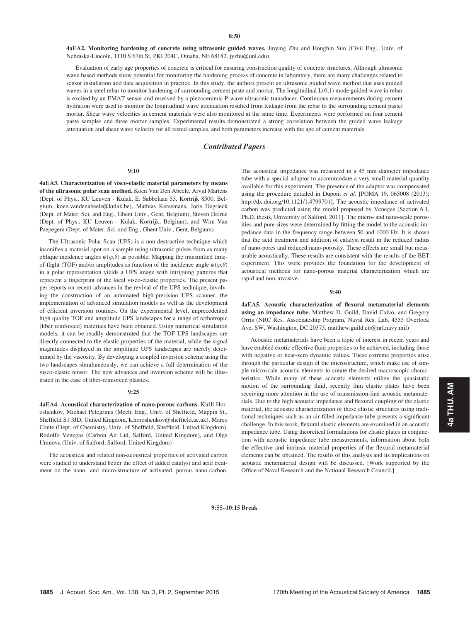4aEA2. Monitoring hardening of concrete using ultrasonic guided waves. Jinying Zhu and Hongbin Sun (Civil Eng., Univ. of Nebraska-Lincoln, 1110 S 67th St, PKI 204C, Omaha, NE 68182, jyzhu@unl.edu)

Evaluation of early age properties of concrete is critical for ensuring construction quality of concrete structures. Although ultrasonic wave based methods show potential for monitoring the hardening process of concrete in laboratory, there are many challenges related to sensor installation and data acquisition in practice. In this study, the authors present an ultrasonic guided wave method that uses guided waves in a steel rebar to monitor hardening of surrounding cement paste and mortar. The longitudinal L(0,1) mode guided wave in rebar is excited by an EMAT sensor and received by a piezoceramic P-wave ultrasonic transducer. Continuous measurements during cement hydration were used to monitor the longitudinal wave attenuation resulted from leakage from the rebar to the surrounding cement paste/ mortar. Shear wave velocities in cement materials were also monitored at the same time. Experiments were performed on four cement paste samples and three mortar samples. Experimental results demonstrated a strong correlation between the guided wave leakage attenuation and shear wave velocity for all tested samples, and both parameters increase with the age of cement materials.

# Contributed Papers

# 9:10

4aEA3. Characterization of visco-elastic material parameters by means of the ultrasonic polar scan method. Koen Van Den Abeele, Arvid Martens (Dept. of Phys., KU Leuven - Kulak, E. Sabbelaan 53, Kortrijk 8500, Belgium, koen.vandenabeele@kulak.be), Mathias Kersemans, Joris Degrieck (Dept. of Mater. Sci. and Eng., Ghent Univ., Gent, Belgium), Steven Delrue (Dept. of Phys., KU Leuven - Kulak, Kortrijk, Belgium), and Wim Van Paepegem (Dept. of Mater. Sci. and Eng., Ghent Univ., Gent, Belgium)

The Ultrasonic Polar Scan (UPS) is a non-destructive technique which insonifies a material spot on a sample using ultrasonic pulses from as many oblique incidence angles  $\psi(\varphi,\theta)$  as possible. Mapping the transmitted timeof-flight (TOF) and/or amplitudes as function of the incidence angle  $\psi(\varphi,\theta)$ in a polar representation yields a UPS image with intriguing patterns that represent a fingerprint of the local visco-elastic properties. The present paper reports on recent advances in the revival of the UPS technique, involving the construction of an automated high-precision UPS scanner, the implementation of advanced simulation models as well as the development of efficient inversion routines. On the experimental level, unprecedented high quality TOF and amplitude UPS landscapes for a range of orthotropic (fiber reinforced) materials have been obtained. Using numerical simulation models, it can be readily demonstrated that the TOF UPS landscapes are directly connected to the elastic properties of the material, while the signal magnitudes displayed in the amplitude UPS landscapes are merely determined by the viscosity. By developing a coupled inversion scheme using the two landscapes simultaneously, we can achieve a full determination of the visco-elastic tensor. The new advances and inversion scheme will be illustrated in the case of fiber-reinforced plastics.

#### 9:25

4aEA4. Acoustical characterization of nano-porous carbons. Kirill Horoshenkov, Michael Pelegrinis (Mech. Eng., Univ. of Sheffield, Mappin St., Sheffield S1 3JD, United Kingdom, k.horoshenkov@sheffield.ac.uk), Marco Conte (Dept. of Chemistry, Univ. of Sheffield, Sheffield, United Kingdom), Rodolfo Venegas (Carbon Air Ltd, Salford, United Kingdom), and Olga Umnova (Univ. of Salford, Salford, United Kingdom)

The acoustical and related non-acoustical properties of activated carbon were studied to understand better the effect of added catalyst and acid treatment on the nano- and micro-structure of activated, porous nano-carbon. The acoustical impedance was measured in a 45 mm diameter impedance tube with a special adaptor to accommodate a very small material quantity available for this experiment. The presence of the adaptor was compensated using the procedure detailed in Dupont et al. [POMA 19, 065008 (2013); http://dx.doi.org/10.1121/1.4799701]. The acoustic impedance of activated carbon was predicted using the model proposed by Venegas [Section 6.1, Ph.D. thesis, University of Salford, 2011]. The micro- and nano-scale porosities and pore sizes were determined by fitting the model to the acoustic impedance data in the frequency range between 50 and 1000 Hz. It is shown that the acid treatment and addition of catalyst result in the reduced radius of nano-pores and reduced nano-porosity. These effects are small but measurable acoustically. These results are consistent with the results of the BET experiment. This work provides the foundation for the development of acoustical methods for nano-porous material characterization which are rapid and non-invasive.

#### 9:40

4aEA5. Acoustic characterization of flexural metamaterial elements using an impedance tube. Matthew D. Guild, David Calvo, and Gregory Orris (NRC Res. Associateship Program, Naval Res. Lab, 4555 Overlook Ave. SW, Washington, DC 20375, matthew.guild.ctr@nrl.navy.mil)

Acoustic metamaterials have been a topic of interest in recent years and have enabled exotic effective fluid properties to be achieved, including those with negative or near-zero dynamic values. These extreme properties arise through the particular design of the microstructure, which make use of simple microscale acoustic elements to create the desired macroscopic characteristics. While many of these acoustic elements utilize the quasistatic motion of the surrounding fluid, recently thin elastic plates have been receiving more attention in the use of transmission-line acoustic metamaterials. Due to the high acoustic impedance and flexural coupling of the elastic material, the acoustic characterization of these elastic structures using traditional techniques such as an air-filled impedance tube presents a significant challenge. In this work, flexural elastic elements are examined in an acoustic impedance tube. Using theoretical formulations for elastic plates in conjunction with acoustic impedance tube measurements, information about both the effective and intrinsic material properties of the flexural metamaterial elements can be obtained. The results of this analysis and its implications on acoustic metamaterial design will be discussed. [Work supported by the Office of Naval Research and the National Research Council.]

9:55–10:15 Break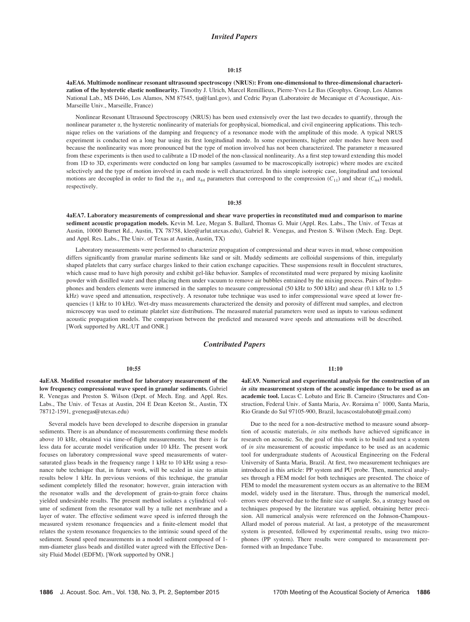## Invited Papers

## 10:15

4aEA6. Multimode nonlinear resonant ultrasound spectroscopy (NRUS): From one-dimensional to three-dimensional characterization of the hysteretic elastic nonlinearity. Timothy J. Ulrich, Marcel Remillieux, Pierre-Yves Le Bas (Geophys. Group, Los Alamos National Lab., MS D446, Los Alamos, NM 87545, tju@lanl.gov), and Cedric Payan (Laboratoire de Mecanique et d'Acoustique, Aix-Marseille Univ., Marseille, France)

Nonlinear Resonant Ultrasound Spectroscopy (NRUS) has been used extensively over the last two decades to quantify, through the nonlinear parameter a, the hysteretic nonlinearity of materials for geophysical, biomedical, and civil engineering applications. This technique relies on the variations of the damping and frequency of a resonance mode with the amplitude of this mode. A typical NRUS experiment is conducted on a long bar using its first longitudinal mode. In some experiments, higher order modes have been used because the nonlinearity was more pronounced but the type of motion involved has not been characterized. The parameter  $\alpha$  measured from these experiments is then used to calibrate a 1D model of the non-classical nonlinearity. As a first step toward extending this model from 1D to 3D, experiments were conducted on long bar samples (assumed to be macroscopically isotropic) where modes are excited selectively and the type of motion involved in each mode is well characterized. In this simple isotropic case, longitudinal and torsional motions are decoupled in order to find the  $\alpha_{11}$  and  $\alpha_{44}$  parameters that correspond to the compression (C<sub>11</sub>) and shear (C<sub>44</sub>) moduli, respectively.

## 10:35

4aEA7. Laboratory measurements of compressional and shear wave properties in reconstituted mud and comparison to marine sediment acoustic propagation models. Kevin M. Lee, Megan S. Ballard, Thomas G. Muir (Appl. Res. Labs., The Univ. of Texas at Austin, 10000 Burnet Rd., Austin, TX 78758, klee@arlut.utexas.edu), Gabriel R. Venegas, and Preston S. Wilson (Mech. Eng. Dept. and Appl. Res. Labs., The Univ. of Texas at Austin, Austin, TX)

Laboratory measurements were performed to characterize propagation of compressional and shear waves in mud, whose composition differs significantly from granular marine sediments like sand or silt. Muddy sediments are colloidal suspensions of thin, irregularly shaped platelets that carry surface charges linked to their cation exchange capacities. These suspensions result in flocculent structures, which cause mud to have high porosity and exhibit gel-like behavior. Samples of reconstituted mud were prepared by mixing kaolinite powder with distilled water and then placing them under vacuum to remove air bubbles entrained by the mixing process. Pairs of hydrophones and benders elements were immersed in the samples to measure compressional (50 kHz to 500 kHz) and shear (0.1 kHz to 1.5 kHz) wave speed and attenuation, respectively. A resonator tube technique was used to infer compressional wave speed at lower frequencies (1 kHz to 10 kHz). Wet-dry mass measurements characterized the density and porosity of different mud samples, and electron microscopy was used to estimate platelet size distributions. The measured material parameters were used as inputs to various sediment acoustic propagation models. The comparison between the predicted and measured wave speeds and attenuations will be described. [Work supported by ARL:UT and ONR.]

# Contributed Papers

#### 10:55

4aEA8. Modified resonator method for laboratory measurement of the low frequency compressional wave speed in granular sediments. Gabriel R. Venegas and Preston S. Wilson (Dept. of Mech. Eng. and Appl. Res. Labs., The Univ. of Texas at Austin, 204 E Dean Keeton St., Austin, TX 78712-1591, gvenegas@utexas.edu)

Several models have been developed to describe dispersion in granular sediments. There is an abundance of measurements confirming these models above 10 kHz, obtained via time-of-flight measurements, but there is far less data for accurate model verification under 10 kHz. The present work focuses on laboratory compressional wave speed measurements of watersaturated glass beads in the frequency range 1 kHz to 10 kHz using a resonance tube technique that, in future work, will be scaled in size to attain results below 1 kHz. In previous versions of this technique, the granular sediment completely filled the resonator; however, grain interaction with the resonator walls and the development of grain-to-grain force chains yielded undesirable results. The present method isolates a cylindrical volume of sediment from the resonator wall by a tulle net membrane and a layer of water. The effective sediment wave speed is inferred through the measured system resonance frequencies and a finite-element model that relates the system resonance frequencies to the intrinsic sound speed of the sediment. Sound speed measurements in a model sediment composed of 1 mm-diameter glass beads and distilled water agreed with the Effective Density Fluid Model (EDFM). [Work supported by ONR.]

#### 11:10

4aEA9. Numerical and experimental analysis for the construction of an in situ measurement system of the acoustic impedance to be used as an academic tool. Lucas C. Lobato and Eric B. Carneiro (Structures and Construction, Federal Univ. of Santa Maria, Av. Roraima nº 1000, Santa Maria, Rio Grande do Sul 97105-900, Brazil, lucascostalobato@gmail.com)

Due to the need for a non-destructive method to measure sound absorption of acoustic materials, in situ methods have achieved significance in research on acoustic. So, the goal of this work is to build and test a system of in situ measurement of acoustic impedance to be used as an academic tool for undergraduate students of Acoustical Engineering on the Federal University of Santa Maria, Brazil. At first, two measurement techniques are introduced in this article: PP system and PU probe. Then, numerical analyses through a FEM model for both techniques are presented. The choice of FEM to model the measurement system occurs as an alternative to the BEM model, widely used in the literature. Thus, through the numerical model, errors were observed due to the finite size of sample. So, a strategy based on techniques proposed by the literature was applied, obtaining better precision. All numerical analysis were referenced on the Johnson-Champoux-Allard model of porous material. At last, a prototype of the measurement system is presented, followed by experimental results, using two microphones (PP system). There results were compared to measurement performed with an Impedance Tube.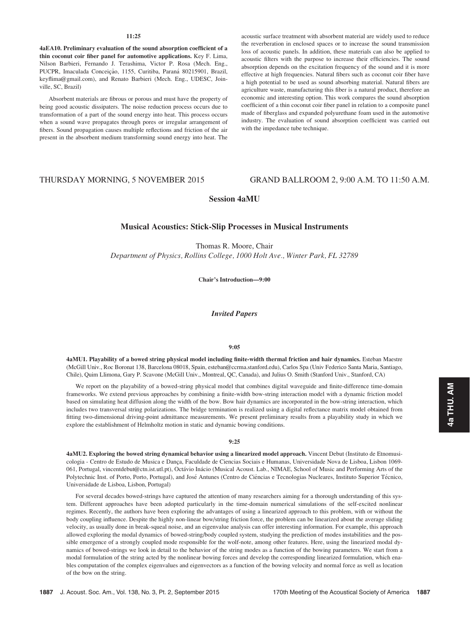## 11:25

4aEA10. Preliminary evaluation of the sound absorption coefficient of a thin coconut coir fiber panel for automotive applications. Key F. Lima, Nilson Barbieri, Fernando J. Terashima, Victor P. Rosa (Mech. Eng., PUCPR, Imaculada Conceição, 1155, Curitiba, Paraná 80215901, Brazil, keyflima@gmail.com), and Renato Barbieri (Mech. Eng., UDESC, Joinville, SC, Brazil)

Absorbent materials are fibrous or porous and must have the property of being good acoustic dissipaters. The noise reduction process occurs due to transformation of a part of the sound energy into heat. This process occurs when a sound wave propagates through pores or irregular arrangement of fibers. Sound propagation causes multiple reflections and friction of the air present in the absorbent medium transforming sound energy into heat. The acoustic surface treatment with absorbent material are widely used to reduce the reverberation in enclosed spaces or to increase the sound transmission loss of acoustic panels. In addition, these materials can also be applied to acoustic filters with the purpose to increase their efficiencies. The sound absorption depends on the excitation frequency of the sound and it is more effective at high frequencies. Natural fibers such as coconut coir fiber have a high potential to be used as sound absorbing material. Natural fibers are agriculture waste, manufacturing this fiber is a natural product, therefore an economic and interesting option. This work compares the sound absorption coefficient of a thin coconut coir fiber panel in relation to a composite panel made of fiberglass and expanded polyurethane foam used in the automotive industry. The evaluation of sound absorption coefficient was carried out with the impedance tube technique.

# THURSDAY MORNING, 5 NOVEMBER 2015 GRAND BALLROOM 2, 9:00 A.M. TO 11:50 A.M.

Session 4aMU

# Musical Acoustics: Stick-Slip Processes in Musical Instruments

Thomas R. Moore, Chair Department of Physics, Rollins College, 1000 Holt Ave., Winter Park, FL 32789

Chair's Introduction—9:00

Invited Papers

## 9:05

4aMU1. Playability of a bowed string physical model including finite-width thermal friction and hair dynamics. Esteban Maestre (McGill Univ., Roc Boronat 138, Barcelona 08018, Spain, esteban@ccrma.stanford.edu), Carlos Spa (Univ Federico Santa Maria, Santiago, Chile), Quim Llimona, Gary P. Scavone (McGill Univ., Montreal, QC, Canada), and Julius O. Smith (Stanford Univ., Stanford, CA)

We report on the playability of a bowed-string physical model that combines digital waveguide and finite-difference time-domain frameworks. We extend previous approaches by combining a finite-width bow-string interaction model with a dynamic friction model based on simulating heat diffusion along the width of the bow. Bow hair dynamics are incorporated in the bow-string interaction, which includes two transversal string polarizations. The bridge termination is realized using a digital reflectance matrix model obtained from fitting two-dimensional driving-point admittance measurements. We present preliminary results from a playability study in which we explore the establishment of Helmholtz motion in static and dynamic bowing conditions.

## 9:25

4aMU2. Exploring the bowed string dynamical behavior using a linearized model approach. Vincent Debut (Instituto de Etnomusicologia - Centro de Estudo de Musica e Dança, Faculdade de Ciencias Sociais e Humanas, Universidade Nova de Lisboa, Lisbon 1069-061, Portugal, vincentdebut@ctn.ist.utl.pt), Octávio Inácio (Musical Acoust. Lab., NIMAE, School of Music and Performing Arts of the Polytechnic Inst. of Porto, Porto, Portugal), and José Antunes (Centro de Ciências e Tecnologias Nucleares, Instituto Superior Técnico, Universidade de Lisboa, Lisbon, Portugal)

For several decades bowed-strings have captured the attention of many researchers aiming for a thorough understanding of this system. Different approaches have been adopted particularly in the time-domain numerical simulations of the self-excited nonlinear regimes. Recently, the authors have been exploring the advantages of using a linearized approach to this problem, with or without the body coupling influence. Despite the highly non-linear bow/string friction force, the problem can be linearized about the average sliding velocity, as usually done in break-squeal noise, and an eigenvalue analysis can offer interesting information. For example, this approach allowed exploring the modal dynamics of bowed-string/body coupled system, studying the prediction of modes instabilities and the possible emergence of a strongly coupled mode responsible for the wolf-note, among other features. Here, using the linearized modal dynamics of bowed-strings we look in detail to the behavior of the string modes as a function of the bowing parameters. We start from a modal formulation of the string acted by the nonlinear bowing forces and develop the corresponding linearized formulation, which enables computation of the complex eigenvalues and eigenvectors as a function of the bowing velocity and normal force as well as location of the bow on the string.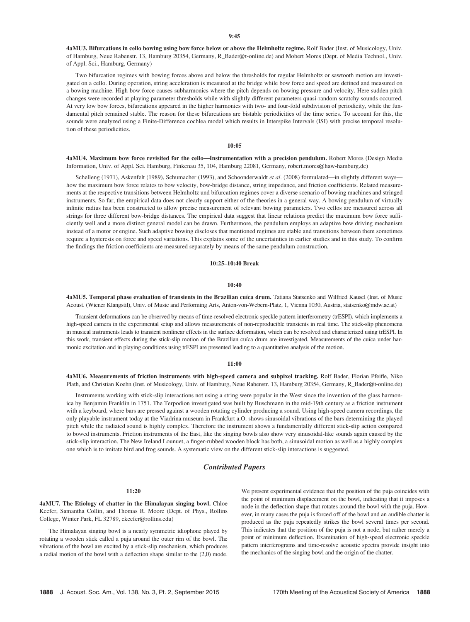4aMU3. Bifurcations in cello bowing using bow force below or above the Helmholtz regime. Rolf Bader (Inst. of Musicology, Univ. of Hamburg, Neue Rabenstr. 13, Hamburg 20354, Germany, R\_Bader@t-online.de) and Mobert Mores (Dept. of Media Technol., Univ. of Appl. Sci., Hamburg, Germany)

Two bifurcation regimes with bowing forces above and below the thresholds for regular Helmholtz or sawtooth motion are investigated on a cello. During operation, string acceleration is measured at the bridge while bow force and speed are defined and measured on a bowing machine. High bow force causes subharmonics where the pitch depends on bowing pressure and velocity. Here sudden pitch changes were recorded at playing parameter thresholds while with slightly different parameters quasi-random scratchy sounds occurred. At very low bow forces, bifurcations appeared in the higher harmonics with two- and four-fold subdivision of periodicity, while the fundamental pitch remained stable. The reason for these bifurcations are bistable periodicities of the time series. To account for this, the sounds were analyzed using a Finite-Difference cochlea model which results in Interspike Intervals (ISI) with precise temporal resolution of these periodicities.

#### 10:05

4aMU4. Maximum bow force revisited for the cello—Instrumentation with a precision pendulum. Robert Mores (Design Media Information, Univ. of Appl. Sci. Hamburg, Finkenau 35, 104, Hamburg 22081, Germany, robert.mores@haw-hamburg.de)

Schelleng (1971), Askenfelt (1989), Schumacher (1993), and Schoonderwaldt et al. (2008) formulated—in slightly different ways how the maximum bow force relates to bow velocity, bow-bridge distance, string impedance, and friction coefficients. Related measurements at the respective transitions between Helmholtz und bifurcation regimes cover a diverse scenario of bowing machines and stringed instruments. So far, the empirical data does not clearly support either of the theories in a general way. A bowing pendulum of virtually infinite radius has been constructed to allow precise measurement of relevant bowing parameters. Two cellos are measured across all strings for three different bow-bridge distances. The empirical data suggest that linear relations predict the maximum bow force sufficiently well and a more distinct general model can be drawn. Furthermore, the pendulum employs an adaptive bow driving mechanism instead of a motor or engine. Such adaptive bowing discloses that mentioned regimes are stable and transitions between them sometimes require a hysteresis on force and speed variations. This explains some of the uncertainties in earlier studies and in this study. To confirm the findings the friction coefficients are measured separately by means of the same pendulum construction.

# 10:25–10:40 Break

#### $10:40$

4aMU5. Temporal phase evaluation of transients in the Brazilian cuíca drum. Tatiana Statsenko and Wilfried Kausel (Inst. of Music Acoust. (Wiener Klangstil), Univ. of Music and Performing Arts, Anton-von-Webern-Platz, 1, Vienna 1030, Austria, statsenko@mdw.ac.at)

Transient deformations can be observed by means of time-resolved electronic speckle pattern interferometry (trESPI), which implements a high-speed camera in the experimental setup and allows measurements of non-reproducible transients in real time. The stick-slip phenomena in musical instruments leads to transient nonlinear effects in the surface deformation, which can be resolved and characterized using trESPI. In this work, transient effects during the stick-slip motion of the Brazilian cuíca drum are investigated. Measurements of the cuíca under harmonic excitation and in playing conditions using trESPI are presented leading to a quantitative analysis of the motion.

#### 11:00

4aMU6. Measurements of friction instruments with high-speed camera and subpixel tracking. Rolf Bader, Florian Pfeifle, Niko Plath, and Christian Koehn (Inst. of Musicology, Univ. of Hamburg, Neue Rabenstr. 13, Hamburg 20354, Germany, R\_Bader@t-online.de)

Instruments working with stick-slip interactions not using a string were popular in the West since the invention of the glass harmonica by Benjamin Franklin in 1751. The Terpodion investigated was built by Buschmann in the mid-19th century as a friction instrument with a keyboard, where bars are pressed against a wooden rotating cylinder producing a sound. Using high-speed camera recordings, the only playable instrument today at the Viadrina museum in Frankfurt a.O. shows sinusoidal vibrations of the bars determining the played pitch while the radiated sound is highly complex. Therefore the instrument shows a fundamentally different stick-slip action compared to bowed instruments. Friction instruments of the East, like the singing bowls also show very sinusoidal-like sounds again caused by the stick-slip interaction. The New Ireland Lounuet, a finger-rubbed wooden block has both, a sinusoidal motion as well as a highly complex one which is to imitate bird and frog sounds. A systematic view on the different stick-slip interactions is suggested.

# Contributed Papers

## 11:20

4aMU7. The Etiology of chatter in the Himalayan singing bowl. Chloe Keefer, Samantha Collin, and Thomas R. Moore (Dept. of Phys., Rollins College, Winter Park, FL 32789, ckeefer@rollins.edu)

The Himalayan singing bowl is a nearly symmetric idiophone played by rotating a wooden stick called a puja around the outer rim of the bowl. The vibrations of the bowl are excited by a stick-slip mechanism, which produces a radial motion of the bowl with a deflection shape similar to the (2,0) mode. We present experimental evidence that the position of the puja coincides with the point of minimum displacement on the bowl, indicating that it imposes a node in the deflection shape that rotates around the bowl with the puja. However, in many cases the puja is forced off of the bowl and an audible chatter is produced as the puja repeatedly strikes the bowl several times per second. This indicates that the position of the puja is not a node, but rather merely a point of minimum deflection. Examination of high-speed electronic speckle pattern interferograms and time-resolve acoustic spectra provide insight into the mechanics of the singing bowl and the origin of the chatter.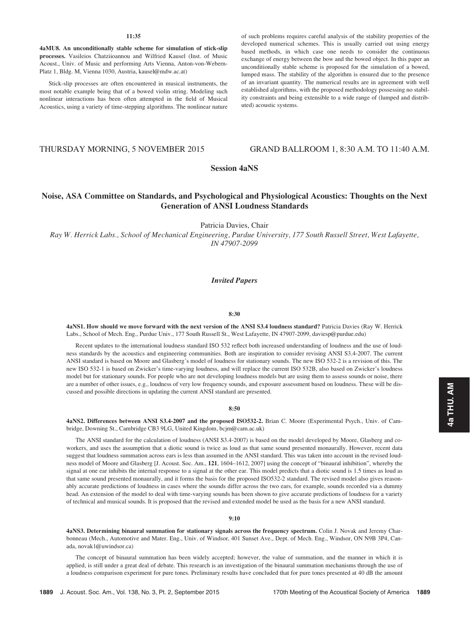## 11:35

4aMU8. An unconditionally stable scheme for simulation of stick-slip processes. Vasileios Chatziioannou and Wilfried Kausel (Inst. of Music Acoust., Univ. of Music and performing Arts Vienna, Anton-von-Webern-Platz 1, Bldg. M, Vienna 1030, Austria, kausel@mdw.ac.at)

Stick-slip processes are often encountered in musical instruments, the most notable example being that of a bowed violin string. Modeling such nonlinear interactions has been often attempted in the field of Musical Acoustics, using a variety of time-stepping algorithms. The nonlinear nature

of such problems requires careful analysis of the stability properties of the developed numerical schemes. This is usually carried out using energy based methods, in which case one needs to consider the continuous exchange of energy between the bow and the bowed object. In this paper an unconditionally stable scheme is proposed for the simulation of a bowed, lumped mass. The stability of the algorithm is ensured due to the presence of an invariant quantity. The numerical results are in agreement with well established algorithms, with the proposed methodology possessing no stability constraints and being extensible to a wide range of (lumped and distributed) acoustic systems.

# THURSDAY MORNING, 5 NOVEMBER 2015 GRAND BALLROOM 1, 8:30 A.M. TO 11:40 A.M.

# Session 4aNS

# Noise, ASA Committee on Standards, and Psychological and Physiological Acoustics: Thoughts on the Next Generation of ANSI Loudness Standards

Patricia Davies, Chair

Ray W. Herrick Labs., School of Mechanical Engineering, Purdue University, 177 South Russell Street, West Lafayette, IN 47907-2099

# Invited Papers

#### 8:30

4aNS1. How should we move forward with the next version of the ANSI S3.4 loudness standard? Patricia Davies (Ray W. Herrick Labs., School of Mech. Eng., Purdue Univ., 177 South Russell St., West Lafayette, IN 47907-2099, daviesp@purdue.edu)

Recent updates to the international loudness standard ISO 532 reflect both increased understanding of loudness and the use of loudness standards by the acoustics and engineering communities. Both are inspiration to consider revising ANSI S3.4-2007. The current ANSI standard is based on Moore and Glasberg's model of loudness for stationary sounds. The new ISO 532-2 is a revision of this. The new ISO 532-1 is based on Zwicker's time-varying loudness, and will replace the current ISO 532B, also based on Zwicker's loudness model but for stationary sounds. For people who are not developing loudness models but are using them to assess sounds or noise, there are a number of other issues, e.g., loudness of very low frequency sounds, and exposure assessment based on loudness. These will be discussed and possible directions in updating the current ANSI standard are presented.

## 8:50

4aNS2. Differences between ANSI S3.4-2007 and the proposed ISO532-2. Brian C. Moore (Experimental Psych., Univ. of Cambridge, Downing St., Cambridge CB3 9LG, United Kingdom, bcjm@cam.ac.uk)

The ANSI standard for the calculation of loudness (ANSI S3.4-2007) is based on the model developed by Moore, Glasberg and coworkers, and uses the assumption that a diotic sound is twice as loud as that same sound presented monaurally. However, recent data suggest that loudness summation across ears is less than assumed in the ANSI standard. This was taken into account in the revised loudness model of Moore and Glasberg [J. Acoust. Soc. Am., 121, 1604–1612, 2007] using the concept of "binaural inhibition", whereby the signal at one ear inhibits the internal response to a signal at the other ear. This model predicts that a diotic sound is 1.5 times as loud as that same sound presented monaurally, and it forms the basis for the proposed ISO532-2 standard. The revised model also gives reasonably accurate predictions of loudness in cases where the sounds differ across the two ears, for example, sounds recorded via a dummy head. An extension of the model to deal with time-varying sounds has been shown to give accurate predictions of loudness for a variety of technical and musical sounds. It is proposed that the revised and extended model be used as the basis for a new ANSI standard.

#### 9:10

4aNS3. Determining binaural summation for stationary signals across the frequency spectrum. Colin J. Novak and Jeremy Charbonneau (Mech., Automotive and Mater. Eng., Univ. of Windsor, 401 Sunset Ave., Dept. of Mech. Eng., Windsor, ON N9B 3P4, Canada, novak1@uwindsor.ca)

The concept of binaural summation has been widely accepted; however, the value of summation, and the manner in which it is applied, is still under a great deal of debate. This research is an investigation of the binaural summation mechanisms through the use of a loudness comparison experiment for pure tones. Preliminary results have concluded that for pure tones presented at 40 dB the amount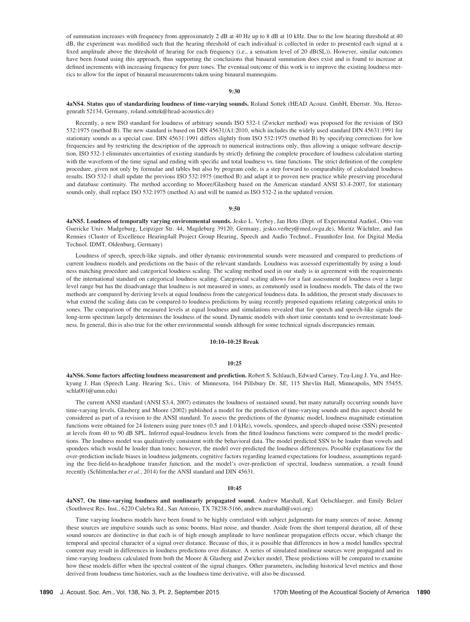of summation increases with frequency from approximately 2 dB at 40 Hz up to 8 dB at 10 kHz. Due to the low hearing threshold at 40 dB, the experiment was modified such that the hearing threshold of each individual is collected in order to presented each signal at a fixed amplitude above the threshold of hearing for each frequency (i.e., a sensation level of 20 dB(SL)). However, similar outcomes have been found using this approach, thus supporting the conclusions that binaural summation does exist and is found to increase at defined increments with increasing frequency for pure tones. The eventual outcome of this work is to improve the existing loudness metrics to allow for the input of binaural measurements taken using binaural mannequins.

# 9:30

## 4aNS4. Status quo of standardizing loudness of time-varying sounds. Roland Sottek (HEAD Acoust. GmbH, Ebertstr. 30a, Herzogenrath 52134, Germany, roland.sottek@head-acoustics.de)

Recently, a new ISO standard for loudness of arbitrary sounds ISO 532-1 (Zwicker method) was proposed for the revision of ISO 532:1975 (method B). The new standard is based on DIN 45631/A1:2010, which includes the widely used standard DIN 45631:1991 for stationary sounds as a special case. DIN 45631:1991 differs slightly from ISO 532:1975 (method B) by specifying corrections for low frequencies and by restricting the description of the approach to numerical instructions only, thus allowing a unique software description. ISO 532-1 eliminates uncertainties of existing standards by strictly defining the complete procedure of loudness calculation starting with the waveform of the time signal and ending with specific and total loudness vs. time functions. The strict definition of the complete procedure, given not only by formulae and tables but also by program code, is a step forward to comparability of calculated loudness results. ISO 532-1 shall update the previous ISO 532:1975 (method B) and adapt it to proven new practice while preserving procedural and database continuity. The method according to Moore/Glasberg based on the American standard ANSI S3.4-2007, for stationary sounds only, shall replace ISO 532:1975 (method A) and will be named as ISO 532-2 in the updated version.

#### 9:50

4aNS5. Loudness of temporally varying environmental sounds. Jesko L. Verhey, Jan Hots (Dept. of Experimental Audiol., Otto von Guericke Univ. Madgeburg, Leipziger Str. 44, Magdeburg 39120, Germany, jesko.verhey@med.ovgu.de), Moritz Wächtler, and Jan Rennies (Cluster of Excellence Hearing4all Project Group Hearing, Speech and Audio Technol., Fraunhofer Inst. for Digital Media Technol. IDMT, Oldenburg, Germany)

Loudness of speech, speech-like signals, and other dynamic environmental sounds were measured and compared to predictions of current loudness models and predictions on the basis of the relevant standards. Loudness was assessed experimentally by using a loudness matching procedure and categorical loudness scaling. The scaling method used in our study is in agreement with the requirements of the international standard on categorical loudness scaling. Categorical scaling allows for a fast assessment of loudness over a large level range but has the disadvantage that loudness is not measured in sones, as commonly used in loudness models. The data of the two methods are compared by deriving levels at equal loudness from the categorical loudness data. In addition, the present study discusses to what extend the scaling data can be compared to loudness predictions by using recently proposed equations relating categorical units to sones. The comparison of the measured levels at equal loudness and simulations revealed that for speech and speech-like signals the long-term spectrum largely determines the loudness of the sound. Dynamic models with short time constants tend to overestimate loudness. In general, this is also true for the other environmental sounds although for some technical signals discrepancies remain.

## 10:10–10:25 Break

#### $10:25$

4aNS6. Some factors affecting loudness measurement and prediction. Robert S. Schlauch, Edward Carney, Tzu-Ling J. Yu, and Heekyung J. Han (Speech Lang. Hearing Sci., Univ. of Minnesota, 164 Pillsbury Dr. SE, 115 Shevlin Hall, Minneapolis, MN 55455, schla001@umn.edu)

The current ANSI standard (ANSI S3.4, 2007) estimates the loudness of sustained sound, but many naturally occurring sounds have time-varying levels. Glasberg and Moore (2002) published a model for the prediction of time-varying sounds and this aspect should be considered as part of a revision to the ANSI standard. To assess the predictions of the dynamic model, loudness magnitude estimation functions were obtained for 24 listeners using pure tones (0.5 and 1.0 kHz), vowels, spondees, and speech-shaped noise (SSN) presented at levels from 40 to 90 dB SPL. Inferred equal-loudness levels from the fitted loudness functions were compared to the model predictions. The loudness model was qualitatively consistent with the behavioral data. The model predicted SSN to be louder than vowels and spondees which would be louder than tones; however, the model over-predicted the loudness differences. Possible explanations for the over-prediction include biases in loudness judgments, cognitive factors regarding learned expectations for loudness, assumptions regarding the free-field-to-headphone transfer function, and the model's over-prediction of spectral, loudness summation, a result found recently (Schlittenlacher et al., 2014) for the ANSI standard and DIN 45631.

#### 10:45

4aNS7. On time-varying loudness and nonlinearly propagated sound. Andrew Marshall, Karl Oelschlaeger, and Emily Belzer (Southwest Res. Inst., 6220 Culebra Rd., San Antonio, TX 78238-5166, andrew.marshall@swri.org)

Time varying loudness models have been found to be highly correlated with subject judgments for many sources of noise. Among these sources are impulsive sounds such as sonic booms, blast noise, and thunder. Aside from the short temporal duration, all of these sound sources are distinctive in that each is of high enough amplitude to have nonlinear propagation effects occur, which change the temporal and spectral character of a signal over distance. Because of this, it is possible that differences in how a model handles spectral content may result in differences in loudness predictions over distance. A series of simulated nonlinear sources were propagated and its time-varying loudness calculated from both the Moore & Glasberg and Zwicker model. These predictions will be compared to examine how these models differ when the spectral content of the signal changes. Other parameters, including historical level metrics and those derived from loudness time histories, such as the loudness time derivative, will also be discussed.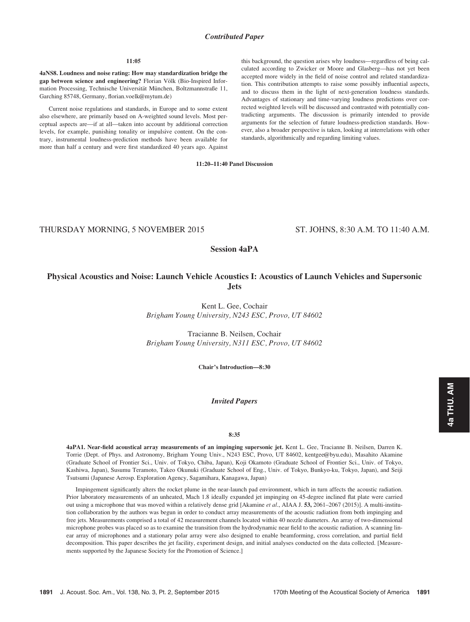# Contributed Paper

## 11:05

4aNS8. Loudness and noise rating: How may standardization bridge the gap between science and engineering? Florian Völk (Bio-Inspired Information Processing, Technische Universität München, Boltzmannstraße 11, Garching 85748, Germany, florian.voelk@mytum.de)

Current noise regulations and standards, in Europe and to some extent also elsewhere, are primarily based on A-weighted sound levels. Most perceptual aspects are—if at all—taken into account by additional correction levels, for example, punishing tonality or impulsive content. On the contrary, instrumental loudness-prediction methods have been available for more than half a century and were first standardized 40 years ago. Against this background, the question arises why loudness—regardless of being calculated according to Zwicker or Moore and Glasberg—has not yet been accepted more widely in the field of noise control and related standardization. This contribution attempts to raise some possibly influential aspects, and to discuss them in the light of next-generation loudness standards. Advantages of stationary and time-varying loudness predictions over corrected weighted levels will be discussed and contrasted with potentially contradicting arguments. The discussion is primarily intended to provide arguments for the selection of future loudness-prediction standards. However, also a broader perspective is taken, looking at interrelations with other standards, algorithmically and regarding limiting values.

11:20–11:40 Panel Discussion

THURSDAY MORNING, 5 NOVEMBER 2015 ST. JOHNS, 8:30 A.M. TO 11:40 A.M.

# Session 4aPA

# Physical Acoustics and Noise: Launch Vehicle Acoustics I: Acoustics of Launch Vehicles and Supersonic Jets

Kent L. Gee, Cochair Brigham Young University, N243 ESC, Provo, UT 84602

Tracianne B. Neilsen, Cochair Brigham Young University, N311 ESC, Provo, UT 84602

Chair's Introduction—8:30

## Invited Papers

## 8:35

4aPA1. Near-field acoustical array measurements of an impinging supersonic jet. Kent L. Gee, Tracianne B. Neilsen, Darren K. Torrie (Dept. of Phys. and Astronomy, Brigham Young Univ., N243 ESC, Provo, UT 84602, kentgee@byu.edu), Masahito Akamine (Graduate School of Frontier Sci., Univ. of Tokyo, Chiba, Japan), Koji Okamoto (Graduate School of Frontier Sci., Univ. of Tokyo, Kashiwa, Japan), Susumu Teramoto, Takeo Okunuki (Graduate School of Eng., Univ. of Tokyo, Bunkyo-ku, Tokyo, Japan), and Seiji Tsutsumi (Japanese Aerosp. Exploration Agency, Sagamihara, Kanagawa, Japan)

Impingement significantly alters the rocket plume in the near-launch pad environment, which in turn affects the acoustic radiation. Prior laboratory measurements of an unheated, Mach 1.8 ideally expanded jet impinging on 45-degree inclined flat plate were carried out using a microphone that was moved within a relatively dense grid [Akamine et al., AIAA J. 53, 2061-2067 (2015)]. A multi-institution collaboration by the authors was begun in order to conduct array measurements of the acoustic radiation from both impinging and free jets. Measurements comprised a total of 42 measurement channels located within 40 nozzle diameters. An array of two-dimensional microphone probes was placed so as to examine the transition from the hydrodynamic near field to the acoustic radiation. A scanning linear array of microphones and a stationary polar array were also designed to enable beamforming, cross correlation, and partial field decomposition. This paper describes the jet facility, experiment design, and initial analyses conducted on the data collected. [Measurements supported by the Japanese Society for the Promotion of Science.]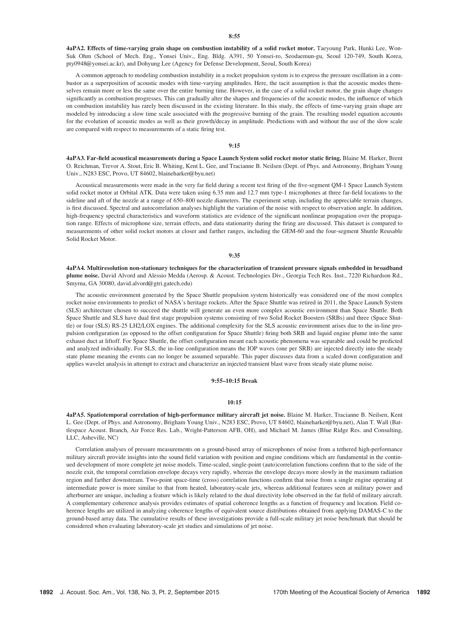4aPA2. Effects of time-varying grain shape on combustion instability of a solid rocket motor. Taeyoung Park, Hunki Lee, Won-Suk Ohm (School of Mech. Eng., Yonsei Univ., Eng. Bldg. A391, 50 Yonsei-ro, Seodaemun-gu, Seoul 120-749, South Korea, pty0948@yonsei.ac.kr), and Dohyung Lee (Agency for Defense Development, Seoul, South Korea)

A common approach to modeling combustion instability in a rocket propulsion system is to express the pressure oscillation in a combustor as a superposition of acoustic modes with time-varying amplitudes. Here, the tacit assumption is that the acoustic modes themselves remain more or less the same over the entire burning time. However, in the case of a solid rocket motor, the grain shape changes significantly as combustion progresses. This can gradually alter the shapes and frequencies of the acoustic modes, the influence of which on combustion instability has rarely been discussed in the existing literature. In this study, the effects of time-varying grain shape are modeled by introducing a slow time scale associated with the progressive burning of the grain. The resulting model equation accounts for the evolution of acoustic modes as well as their growth/decay in amplitude. Predictions with and without the use of the slow scale are compared with respect to measurements of a static firing test.

## 9:15

4aPA3. Far-field acoustical measurements during a Space Launch System solid rocket motor static firing. Blaine M. Harker, Brent O. Reichman, Trevor A. Stout, Eric B. Whiting, Kent L. Gee, and Tracianne B. Neilsen (Dept. of Phys. and Astronomy, Brigham Young Univ., N283 ESC, Provo, UT 84602, blaineharker@byu.net)

Acoustical measurements were made in the very far field during a recent test firing of the five-segment QM-1 Space Launch System solid rocket motor at Orbital ATK. Data were taken using 6.35 mm and 12.7 mm type-1 microphones at three far-field locations to the sideline and aft of the nozzle at a range of 650–800 nozzle diameters. The experiment setup, including the appreciable terrain changes, is first discussed. Spectral and autocorrelation analyses highlight the variation of the noise with respect to observation angle. In addition, high-frequency spectral characteristics and waveform statistics are evidence of the significant nonlinear propagation over the propagation range. Effects of microphone size, terrain effects, and data stationarity during the firing are discussed. This dataset is compared to measurements of other solid rocket motors at closer and farther ranges, including the GEM-60 and the four-segment Shuttle Reusable Solid Rocket Motor.

### 9:35

4aPA4. Multiresolution non-stationary techniques for the characterization of transient pressure signals embedded in broadband plume noise. David Alvord and Alessio Medda (Aerosp. & Acoust. Technologies Div., Georgia Tech Res. Inst., 7220 Richardson Rd., Smyrna, GA 30080, david.alvord@gtri.gatech.edu)

The acoustic environment generated by the Space Shuttle propulsion system historically was considered one of the most complex rocket noise environments to predict of NASA's heritage rockets. After the Space Shuttle was retired in 2011, the Space Launch System (SLS) architecture chosen to succeed the shuttle will generate an even more complex acoustic environment than Space Shuttle. Both Space Shuttle and SLS have dual first stage propulsion systems consisting of two Solid Rocket Boosters (SRBs) and three (Space Shuttle) or four (SLS) RS-25 LH2/LOX engines. The additional complexity for the SLS acoustic environment arises due to the in-line propulsion configuration (as opposed to the offset configuration for Space Shuttle) firing both SRB and liquid engine plume into the same exhaust duct at liftoff. For Space Shuttle, the offset configuration meant each acoustic phenomena was separable and could be predicted and analyzed individually. For SLS, the in-line configuration means the IOP waves (one per SRB) are injected directly into the steady state plume meaning the events can no longer be assumed separable. This paper discusses data from a scaled down configuration and applies wavelet analysis in attempt to extract and characterize an injected transient blast wave from steady state plume noise.

#### 9:55–10:15 Break

#### 10:15

4aPA5. Spatiotemporal correlation of high-performance military aircraft jet noise. Blaine M. Harker, Tracianne B. Neilsen, Kent L. Gee (Dept. of Phys. and Astronomy, Brigham Young Univ., N283 ESC, Provo, UT 84602, blaineharker@byu.net), Alan T. Wall (Battlespace Acoust. Branch, Air Force Res. Lab., Wright-Patterson AFB, OH), and Michael M. James (Blue Ridge Res. and Consulting, LLC, Asheville, NC)

Correlation analyses of pressure measurements on a ground-based array of microphones of noise from a tethered high-performance military aircraft provide insights into the sound field variation with position and engine conditions which are fundamental in the continued development of more complete jet noise models. Time-scaled, single-point (auto)correlation functions confirm that to the side of the nozzle exit, the temporal correlation envelope decays very rapidly, whereas the envelope decays more slowly in the maximum radiation region and farther downstream. Two-point space-time (cross) correlation functions confirm that noise from a single engine operating at intermediate power is more similar to that from heated, laboratory-scale jets, whereas additional features seen at military power and afterburner are unique, including a feature which is likely related to the dual directivity lobe observed in the far field of military aircraft. A complementary coherence analysis provides estimates of spatial coherence lengths as a function of frequency and location. Field coherence lengths are utilized in analyzing coherence lengths of equivalent source distributions obtained from applying DAMAS-C to the ground-based array data. The cumulative results of these investigations provide a full-scale military jet noise benchmark that should be considered when evaluating laboratory-scale jet studies and simulations of jet noise.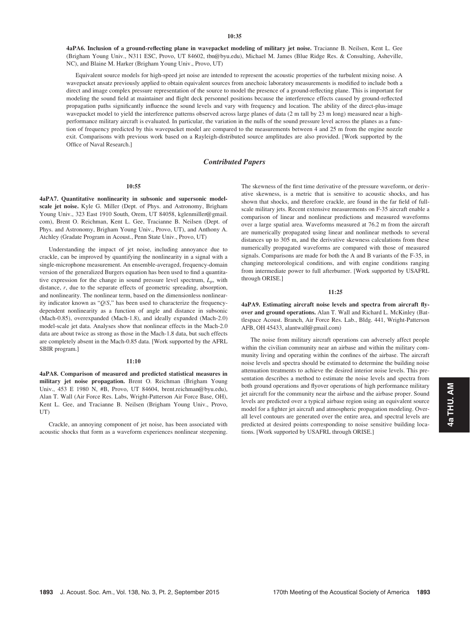4aPA6. Inclusion of a ground-reflecting plane in wavepacket modeling of military jet noise. Tracianne B. Neilsen, Kent L. Gee (Brigham Young Univ., N311 ESC, Provo, UT 84602, tbn@byu.edu), Michael M. James (Blue Ridge Res. & Consulting, Asheville, NC), and Blaine M. Harker (Brigham Young Univ., Provo, UT)

Equivalent source models for high-speed jet noise are intended to represent the acoustic properties of the turbulent mixing noise. A wavepacket ansatz previously applied to obtain equivalent sources from anechoic laboratory measurements is modified to include both a direct and image complex pressure representation of the source to model the presence of a ground-reflecting plane. This is important for modeling the sound field at maintainer and flight deck personnel positions because the interference effects caused by ground-reflected propagation paths significantly influence the sound levels and vary with frequency and location. The ability of the direct-plus-image wavepacket model to yield the interference patterns observed across large planes of data (2 m tall by 23 m long) measured near a highperformance military aircraft is evaluated. In particular, the variation in the nulls of the sound pressure level across the planes as a function of frequency predicted by this wavepacket model are compared to the measurements between 4 and 25 m from the engine nozzle exit. Comparisons with previous work based on a Rayleigh-distributed source amplitudes are also provided. [Work supported by the Office of Naval Research.]

# Contributed Papers

#### 10:55

4aPA7. Quantitative nonlinearity in subsonic and supersonic modelscale jet noise. Kyle G. Miller (Dept. of Phys. and Astronomy, Brigham Young Univ., 323 East 1910 South, Orem, UT 84058, kglenmiller@gmail. com), Brent O. Reichman, Kent L. Gee, Tracianne B. Neilsen (Dept. of Phys. and Astronomy, Brigham Young Univ., Provo, UT), and Anthony A. Atchley (Gradate Program in Acoust., Penn State Univ., Provo, UT)

Understanding the impact of jet noise, including annoyance due to crackle, can be improved by quantifying the nonlinearity in a signal with a single-microphone measurement. An ensemble-averaged, frequency-domain version of the generalized Burgers equation has been used to find a quantitative expression for the change in sound pressure level spectrum,  $L_p$ , with distance, r, due to the separate effects of geometric spreading, absorption, and nonlinearity. The nonlinear term, based on the dimensionless nonlinearity indicator known as "Q/S," has been used to characterize the frequencydependent nonlinearity as a function of angle and distance in subsonic (Mach-0.85), overexpanded (Mach-1.8), and ideally expanded (Mach-2.0) model-scale jet data. Analyses show that nonlinear effects in the Mach-2.0 data are about twice as strong as those in the Mach-1.8 data, but such effects are completely absent in the Mach-0.85 data. [Work supported by the AFRL SBIR program.]

# 11:10

4aPA8. Comparison of measured and predicted statistical measures in military jet noise propagation. Brent O. Reichman (Brigham Young Univ., 453 E 1980 N, #B, Provo, UT 84604, brent.reichman@byu.edu), Alan T. Wall (Air Force Res. Labs, Wright-Patterson Air Force Base, OH), Kent L. Gee, and Tracianne B. Neilsen (Brigham Young Univ., Provo, UT)

Crackle, an annoying component of jet noise, has been associated with acoustic shocks that form as a waveform experiences nonlinear steepening. The skewness of the first time derivative of the pressure waveform, or derivative skewness, is a metric that is sensitive to acoustic shocks, and has shown that shocks, and therefore crackle, are found in the far field of fullscale military jets. Recent extensive measurements on F-35 aircraft enable a comparison of linear and nonlinear predictions and measured waveforms over a large spatial area. Waveforms measured at 76.2 m from the aircraft are numerically propagated using linear and nonlinear methods to several distances up to 305 m, and the derivative skewness calculations from these numerically propagated waveforms are compared with those of measured signals. Comparisons are made for both the A and B variants of the F-35, in changing meteorological conditions, and with engine conditions ranging from intermediate power to full afterburner. [Work supported by USAFRL through ORISE.]

#### 11:25

4aPA9. Estimating aircraft noise levels and spectra from aircraft flyover and ground operations. Alan T. Wall and Richard L. McKinley (Battlespace Acoust. Branch, Air Force Res. Lab., Bldg. 441, Wright-Patterson AFB, OH 45433, alantwall@gmail.com)

The noise from military aircraft operations can adversely affect people within the civilian community near an airbase and within the military community living and operating within the confines of the airbase. The aircraft noise levels and spectra should be estimated to determine the building noise attenuation treatments to achieve the desired interior noise levels. This presentation describes a method to estimate the noise levels and spectra from both ground operations and flyover operations of high performance military jet aircraft for the community near the airbase and the airbase proper. Sound levels are predicted over a typical airbase region using an equivalent source model for a fighter jet aircraft and atmospheric propagation modeling. Overall level contours are generated over the entire area, and spectral levels are predicted at desired points corresponding to noise sensitive building locations. [Work supported by USAFRL through ORISE.]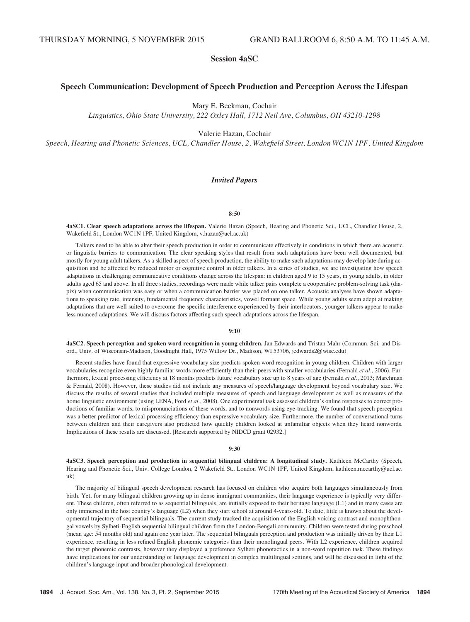# Session 4aSC

# Speech Communication: Development of Speech Production and Perception Across the Lifespan

Mary E. Beckman, Cochair

Linguistics, Ohio State University, 222 Oxley Hall, 1712 Neil Ave, Columbus, OH 43210-1298

Valerie Hazan, Cochair

Speech, Hearing and Phonetic Sciences, UCL, Chandler House, 2, Wakefield Street, London WC1N 1PF, United Kingdom

# Invited Papers

## 8:50

4aSC1. Clear speech adaptations across the lifespan. Valerie Hazan (Speech, Hearing and Phonetic Sci., UCL, Chandler House, 2, Wakefield St., London WC1N 1PF, United Kingdom, v.hazan@ucl.ac.uk)

Talkers need to be able to alter their speech production in order to communicate effectively in conditions in which there are acoustic or linguistic barriers to communication. The clear speaking styles that result from such adaptations have been well documented, but mostly for young adult talkers. As a skilled aspect of speech production, the ability to make such adaptations may develop late during acquisition and be affected by reduced motor or cognitive control in older talkers. In a series of studies, we are investigating how speech adaptations in challenging communicative conditions change across the lifespan: in children aged 9 to 15 years, in young adults, in older adults aged 65 and above. In all three studies, recordings were made while talker pairs complete a cooperative problem-solving task (diapix) when communication was easy or when a communication barrier was placed on one talker. Acoustic analyses have shown adaptations to speaking rate, intensity, fundamental frequency characteristics, vowel formant space. While young adults seem adept at making adaptations that are well suited to overcome the specific interference experienced by their interlocutors, younger talkers appear to make less nuanced adaptations. We will discuss factors affecting such speech adaptations across the lifespan.

## 9:10

4aSC2. Speech perception and spoken word recognition in young children. Jan Edwards and Tristan Mahr (Commun. Sci. and Disord., Univ. of Wisconsin-Madison, Goodnight Hall, 1975 Willow Dr., Madison, WI 53706, jedwards2@wisc.edu)

Recent studies have found that expressive vocabulary size predicts spoken word recognition in young children. Children with larger vocabularies recognize even highly familiar words more efficiently than their peers with smaller vocabularies (Fernald et al., 2006). Furthermore, lexical processing efficiency at 18 months predicts future vocabulary size up to 8 years of age (Fernald et al., 2013; Marchman & Fernald, 2008). However, these studies did not include any measures of speech/language development beyond vocabulary size. We discuss the results of several studies that included multiple measures of speech and language development as well as measures of the home linguistic environment (using LENA, Ford et al., 2008). One experimental task assessed children's online responses to correct productions of familiar words, to mispronunciations of these words, and to nonwords using eye-tracking. We found that speech perception was a better predictor of lexical processing efficiency than expressive vocabulary size. Furthermore, the number of conversational turns between children and their caregivers also predicted how quickly children looked at unfamiliar objects when they heard nonwords. Implications of these results are discussed. [Research supported by NIDCD grant 02932.]

#### 9:30

4aSC3. Speech perception and production in sequential bilingual children: A longitudinal study. Kathleen McCarthy (Speech, Hearing and Phonetic Sci., Univ. College London, 2 Wakefield St., London WC1N 1PF, United Kingdom, kathleen.mccarthy@ucl.ac. uk)

The majority of bilingual speech development research has focused on children who acquire both languages simultaneously from birth. Yet, for many bilingual children growing up in dense immigrant communities, their language experience is typically very different. These children, often referred to as sequential bilinguals, are initially exposed to their heritage language (L1) and in many cases are only immersed in the host country's language (L2) when they start school at around 4-years-old. To date, little is known about the developmental trajectory of sequential bilinguals. The current study tracked the acquisition of the English voicing contrast and monophthongal vowels by Sylheti-English sequential bilingual children from the London-Bengali community. Children were tested during preschool (mean age: 54 months old) and again one year later. The sequential bilinguals perception and production was initially driven by their L1 experience, resulting in less refined English phonemic categories than their monolingual peers. With L2 experience, children acquired the target phonemic contrasts, however they displayed a preference Sylheti phonotactics in a non-word repetition task. These findings have implications for our understanding of language development in complex multilingual settings, and will be discussed in light of the children's language input and broader phonological development.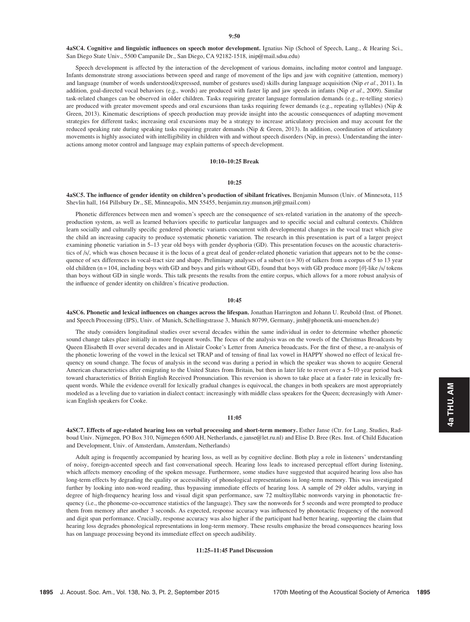4aSC4. Cognitive and linguistic influences on speech motor development. Ignatius Nip (School of Speech, Lang., & Hearing Sci., San Diego State Univ., 5500 Campanile Dr., San Diego, CA 92182-1518, inip@mail.sdsu.edu)

Speech development is affected by the interaction of the development of various domains, including motor control and language. Infants demonstrate strong associations between speed and range of movement of the lips and jaw with cognitive (attention, memory) and language (number of words understood/expressed, number of gestures used) skills during language acquisition (Nip et al., 2011). In addition, goal-directed vocal behaviors (e.g., words) are produced with faster lip and jaw speeds in infants (Nip et al., 2009). Similar task-related changes can be observed in older children. Tasks requiring greater language formulation demands (e.g., re-telling stories) are produced with greater movement speeds and oral excursions than tasks requiring fewer demands (e.g., repeating syllables) (Nip  $\&$ Green, 2013). Kinematic descriptions of speech production may provide insight into the acoustic consequences of adapting movement strategies for different tasks; increasing oral excursions may be a strategy to increase articulatory precision and may account for the reduced speaking rate during speaking tasks requiring greater demands (Nip & Green, 2013). In addition, coordination of articulatory movements is highly associated with intelligibility in children with and without speech disorders (Nip, in press). Understanding the interactions among motor control and language may explain patterns of speech development.

## 10:10–10:25 Break

#### 10:25

4aSC5. The influence of gender identity on children's production of sibilant fricatives. Benjamin Munson (Univ. of Minnesota, 115 Shevlin hall, 164 Pillsbury Dr., SE, Minneapolis, MN 55455, benjamin.ray.munson.jr@gmail.com)

Phonetic differences between men and women's speech are the consequence of sex-related variation in the anatomy of the speechproduction system, as well as learned behaviors specific to particular languages and to specific social and cultural contexts. Children learn socially and culturally specific gendered phonetic variants concurrent with developmental changes in the vocal tract which give the child an increasing capacity to produce systematic phonetic variation. The research in this presentation is part of a larger project examining phonetic variation in 5–13 year old boys with gender dysphoria (GD). This presentation focuses on the acoustic characteristics of /s/, which was chosen because it is the locus of a great deal of gender-related phonetic variation that appears not to be the consequence of sex differences in vocal-tract size and shape. Preliminary analyses of a subset  $(n = 30)$  of talkers from a corpus of 5 to 13 year old children (n = 104, including boys with GD and boys and girls without GD), found that boys with GD produce more  $[\theta]$ -like /s/ tokens than boys without GD in single words. This talk presents the results from the entire corpus, which allows for a more robust analysis of the influence of gender identity on children's fricative production.

## 10:45

4aSC6. Phonetic and lexical influences on changes across the lifespan. Jonathan Harrington and Johann U. Reubold (Inst. of Phonet. and Speech Processing (IPS), Univ. of Munich, Schellingstrasse 3, Munich 80799, Germany, jmh@phonetik.uni-muenchen.de)

The study considers longitudinal studies over several decades within the same individual in order to determine whether phonetic sound change takes place initially in more frequent words. The focus of the analysis was on the vowels of the Christmas Broadcasts by Queen Elisabeth II over several decades and in Alistair Cooke's Letter from America broadcasts. For the first of these, a re-analysis of the phonetic lowering of the vowel in the lexical set TRAP and of tensing of final lax vowel in HAPPY showed no effect of lexical frequency on sound change. The focus of analysis in the second was during a period in which the speaker was shown to acquire General American characteristics after emigrating to the United States from Britain, but then in later life to revert over a 5–10 year period back toward characteristics of British English Received Pronunciation. This reversion is shown to take place at a faster rate in lexically frequent words. While the evidence overall for lexically gradual changes is equivocal, the changes in both speakers are most appropriately modeled as a leveling due to variation in dialect contact: increasingly with middle class speakers for the Queen; decreasingly with American English speakers for Cooke.

#### 11:05

4aSC7. Effects of age-related hearing loss on verbal processing and short-term memory. Esther Janse (Ctr. for Lang. Studies, Radboud Univ. Nijmegen, PO Box 310, Nijmegen 6500 AH, Netherlands, e.janse@let.ru.nl) and Elise D. Bree (Res. Inst. of Child Education and Development, Univ. of Amsterdam, Amsterdam, Netherlands)

Adult aging is frequently accompanied by hearing loss, as well as by cognitive decline. Both play a role in listeners' understanding of noisy, foreign-accented speech and fast conversational speech. Hearing loss leads to increased perceptual effort during listening, which affects memory encoding of the spoken message. Furthermore, some studies have suggested that acquired hearing loss also has long-term effects by degrading the quality or accessibility of phonological representations in long-term memory. This was investigated further by looking into non-word reading, thus bypassing immediate effects of hearing loss. A sample of 29 older adults, varying in degree of high-frequency hearing loss and visual digit span performance, saw 72 multisyllabic nonwords varying in phonotactic frequency (i.e., the phoneme-co-occurrence statistics of the language). They saw the nonwords for 5 seconds and were prompted to produce them from memory after another 3 seconds. As expected, response accuracy was influenced by phonotactic frequency of the nonword and digit span performance. Crucially, response accuracy was also higher if the participant had better hearing, supporting the claim that hearing loss degrades phonological representations in long-term memory. These results emphasize the broad consequences hearing loss has on language processing beyond its immediate effect on speech audibility.

## 11:25–11:45 Panel Discussion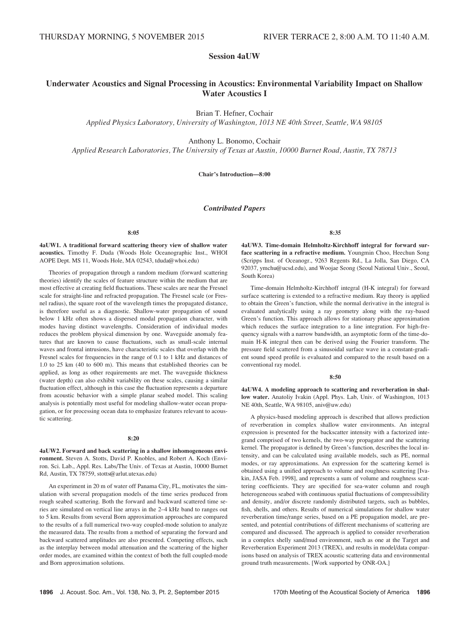# Session 4aUW

# Underwater Acoustics and Signal Processing in Acoustics: Environmental Variability Impact on Shallow Water Acoustics I

Brian T. Hefner, Cochair

Applied Physics Laboratory, University of Washington, 1013 NE 40th Street, Seattle, WA 98105

Anthony L. Bonomo, Cochair

Applied Research Laboratories, The University of Texas at Austin, 10000 Burnet Road, Austin, TX 78713

Chair's Introduction—8:00

# Contributed Papers

#### 8:05

4aUW1. A traditional forward scattering theory view of shallow water acoustics. Timothy F. Duda (Woods Hole Oceanographic Inst., WHOI AOPE Dept. MS 11, Woods Hole, MA 02543, tduda@whoi.edu)

Theories of propagation through a random medium (forward scattering theories) identify the scales of feature structure within the medium that are most effective at creating field fluctuations. These scales are near the Fresnel scale for straight-line and refracted propagation. The Fresnel scale (or Fresnel radius), the square root of the wavelength times the propagated distance, is therefore useful as a diagnostic. Shallow-water propagation of sound below 1 kHz often shows a dispersed modal propagation character, with modes having distinct wavelengths. Consideration of individual modes reduces the problem physical dimension by one. Waveguide anomaly features that are known to cause fluctuations, such as small-scale internal waves and frontal intrusions, have characteristic scales that overlap with the Fresnel scales for frequencies in the range of 0.1 to 1 kHz and distances of 1.0 to 25 km (40 to 600 m). This means that established theories can be applied, as long as other requirements are met. The waveguide thickness (water depth) can also exhibit variability on these scales, causing a similar fluctuation effect, although in this case the fluctuation represents a departure from acoustic behavior with a simple planar seabed model. This scaling analysis is potentially most useful for modeling shallow-water ocean propagation, or for processing ocean data to emphasize features relevant to acoustic scattering.

#### 8:20

4aUW2. Forward and back scattering in a shallow inhomogeneous environment. Steven A. Stotts, David P. Knobles, and Robert A. Koch (Environ. Sci. Lab., Appl. Res. Labs/The Univ. of Texas at Austin, 10000 Burnet Rd, Austin, TX 78759, stotts@arlut.utexas.edu)

An experiment in 20 m of water off Panama City, FL, motivates the simulation with several propagation models of the time series produced from rough seabed scattering. Both the forward and backward scattered time series are simulated on vertical line arrays in the 2–4 kHz band to ranges out to 5 km. Results from several Born approximation approaches are compared to the results of a full numerical two-way coupled-mode solution to analyze the measured data. The results from a method of separating the forward and backward scattered amplitudes are also presented. Competing effects, such as the interplay between modal attenuation and the scattering of the higher order modes, are examined within the context of both the full coupled-mode and Born approximation solutions.

8:35

4aUW3. Time-domain Helmholtz-Kirchhoff integral for forward surface scattering in a refractive medium. Youngmin Choo, Heechun Song (Scripps Inst. of Oceanogr., 9263 Regents Rd., La Jolla, San Diego, CA 92037, ymchu@ucsd.edu), and Woojae Seong (Seoul National Univ., Seoul, South Korea)

Time-domain Helmholtz-Kirchhoff integral (H-K integral) for forward surface scattering is extended to a refractive medium. Ray theory is applied to obtain the Green's function, while the normal derivative in the integral is evaluated analytically using a ray geometry along with the ray-based Green's function. This approach allows for stationary phase approximation which reduces the surface integration to a line integration. For high-frequency signals with a narrow bandwidth, an asymptotic form of the time-domain H-K integral then can be derived using the Fourier transform. The pressure field scattered from a sinusoidal surface wave in a constant-gradient sound speed profile is evaluated and compared to the result based on a conventional ray model.

#### 8:50

4aUW4. A modeling approach to scattering and reverberation in shallow water. Anatoliy Ivakin (Appl. Phys. Lab, Univ. of Washington, 1013 NE 40th, Seattle, WA 98105, aniv@uw.edu)

A physics-based modeling approach is described that allows prediction of reverberation in complex shallow water environments. An integral expression is presented for the backscatter intensity with a factorized integrand comprised of two kernels, the two-way propagator and the scattering kernel. The propagator is defined by Green's function, describes the local intensity, and can be calculated using available models, such as PE, normal modes, or ray approximations. An expression for the scattering kernel is obtained using a unified approach to volume and roughness scattering [Ivakin, JASA Feb. 1998], and represents a sum of volume and roughness scattering coefficients. They are specified for sea-water column and rough heterogeneous seabed with continuous spatial fluctuations of compressibility and density, and/or discrete randomly distributed targets, such as bubbles, fish, shells, and others. Results of numerical simulations for shallow water reverberation time/range series, based on a PE propagation model, are presented, and potential contributions of different mechanisms of scattering are compared and discussed. The approach is applied to consider reverberation in a complex shelly sand/mud environment, such as one at the Target and Reverberation Experiment 2013 (TREX), and results in model/data comparisons based on analysis of TREX acoustic scattering data and environmental ground truth measurements. [Work supported by ONR-OA.]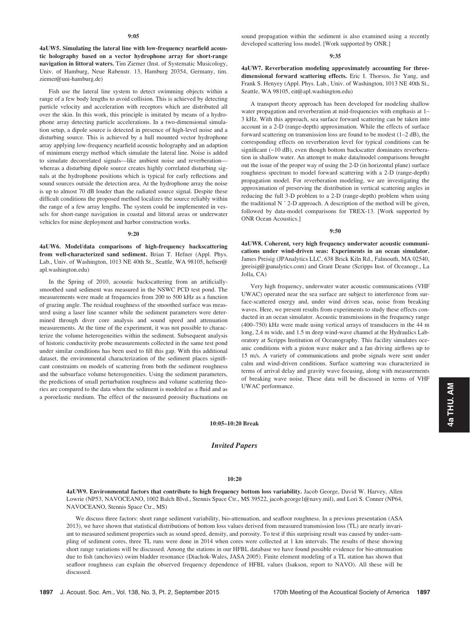4aUW5. Simulating the lateral line with low-frequency nearfield acoustic holography based on a vector hydrophone array for short-range navigation in littoral waters. Tim Ziemer (Inst. of Systematic Musicology, Univ. of Hamburg, Neue Rabenstr. 13, Hamburg 20354, Germany, tim. ziemer@uni-hamburg.de)

Fish use the lateral line system to detect swimming objects within a range of a few body lengths to avoid collision. This is achieved by detecting particle velocity and acceleration with receptors which are distributed all over the skin. In this work, this principle is imitated by means of a hydrophone array detecting particle accelerations. In a two-dimensional simulation setup, a dipole source is detected in presence of high-level noise and a disturbing source. This is achieved by a hull mounted vector hydrophone array applying low-frequency nearfield acoustic holography and an adaption of minimum energy method which simulate the lateral line. Noise is added to simulate decorrelated signals—like ambient noise and reverberation whereas a disturbing dipole source creates highly correlated disturbing signals at the hydrophone positions which is typical for early reflections and sound sources outside the detection area. At the hydrophone array the noise is up to almost 70 dB louder than the radiated source signal. Despite these difficult conditions the proposed method localizes the source reliably within the range of a few array lengths. The system could be implemented in vessels for short-range navigation in coastal and littoral areas or underwater vehicles for mine deployment and harbor construction works.

#### 9:20

4aUW6. Model/data comparisons of high-frequency backscattering from well-characterized sand sediment. Brian T. Hefner (Appl. Phys. Lab., Univ. of Washington, 1013 NE 40th St., Seattle, WA 98105, hefner@ apl.washington.edu)

In the Spring of 2010, acoustic backscattering from an artificiallysmoothed sand sediment was measured in the NSWC PCD test pond. The measurements were made at frequencies from 200 to 500 kHz as a function of grazing angle. The residual roughness of the smoothed surface was measured using a laser line scanner while the sediment parameters were determined through diver core analysis and sound speed and attenuation measurements. At the time of the experiment, it was not possible to characterize the volume heterogeneities within the sediment. Subsequent analysis of historic conductivity probe measurements collected in the same test pond under similar conditions has been used to fill this gap. With this additional dataset, the environmental characterization of the sediment places significant constraints on models of scattering from both the sediment roughness and the subsurface volume heterogeneities. Using the sediment parameters, the predictions of small perturbation roughness and volume scattering theories are compared to the data when the sediment is modeled as a fluid and as a poroelastic medium. The effect of the measured porosity fluctuations on sound propagation within the sediment is also examined using a recently developed scattering loss model. [Work supported by ONR.]

#### 9:35

4aUW7. Reverberation modeling approximately accounting for threedimensional forward scattering effects. Eric I. Thorsos, Jie Yang, and Frank S. Henyey (Appl. Phys. Lab., Univ. of Washington, 1013 NE 40th St., Seattle, WA 98105, eit@apl.washington.edu)

A transport theory approach has been developed for modeling shallow water propagation and reverberation at mid-frequencies with emphasis at 1– 3 kHz. With this approach, sea surface forward scattering can be taken into account in a 2-D (range-depth) approximation. While the effects of surface forward scattering on transmission loss are found to be modest (1–2 dB), the corresponding effects on reverberation level for typical conditions can be significant (~10 dB), even though bottom backscatter dominates reverberation in shallow water. An attempt to make data/model comparisons brought out the issue of the proper way of using the 2-D (in horizontal plane) surface roughness spectrum to model forward scattering with a 2-D (range-depth) propagation model. For reverberation modeling, we are investigating the approximation of preserving the distribution in vertical scattering angles in reducing the full 3-D problem to a 2-D (range-depth) problem when using the traditional N ' 2-D approach. A description of the method will be given, followed by data-model comparisons for TREX-13. [Work supported by ONR Ocean Acoustics.]

#### 9:50

4aUW8. Coherent, very high frequency underwater acoustic communications under wind-driven seas: Experiments in an ocean simulator. James Preisig (JPAnalytics LLC, 638 Brick Kiln Rd., Falmouth, MA 02540, jpreisig@jpanalytics.com) and Grant Deane (Scripps Inst. of Oceanogr., La Jolla, CA)

Very high frequency, underwater water acoustic communications (VHF UWAC) operated near the sea surface are subject to interference from surface-scattered energy and, under wind driven seas, noise from breaking waves. Here, we present results from experiments to study these effects conducted in an ocean simulator. Acoustic transmissions in the frequency range (400–750) kHz were made using vertical arrays of transducers in the 44 m long, 2.4 m wide, and 1.5 m deep wind-wave channel at the Hydraulics Laboratory at Scripps Institution of Oceanography. This facility simulates oceanic conditions with a piston wave maker and a fan driving airflows up to 15 m/s. A variety of communications and probe signals were sent under calm and wind-driven conditions. Surface scattering was characterized in terms of arrival delay and gravity wave focusing, along with measurements of breaking wave noise. These data will be discussed in terms of VHF UWAC performance.

# 10:05–10:20 Break

# Invited Papers

## 10:20

4aUW9. Environmental factors that contribute to high frequency bottom loss variability. Jacob George, David W. Harvey, Allen Lowrie (NP53, NAVOCEANO, 1002 Balch Blvd., Stennis Space Ctr., MS 39522, jacob.george1@navy.mil), and Lori S. Conner (NP64, NAVOCEANO, Stennis Space Ctr., MS)

We discuss three factors: short range sediment variability, bio-attenuation, and seafloor roughness. In a previous presentation (ASA 2013), we have shown that statistical distributions of bottom loss values derived from measured transmission loss (TL) are nearly invariant to measured sediment properties such as sound speed, density, and porosity. To test if this surprising result was caused by under-sampling of sediment cores, three TL runs were done in 2014 when cores were collected at 1 km intervals. The results of these showing short range variations will be discussed. Among the stations in our HFBL database we have found possible evidence for bio-attenuation due to fish (anchovies) swim bladder resonance (Diachok-Wales, JASA 2005). Finite element modeling of a TL station has shown that seafloor roughness can explain the observed frequency dependence of HFBL values (Isakson, report to NAVO). All these will be discussed.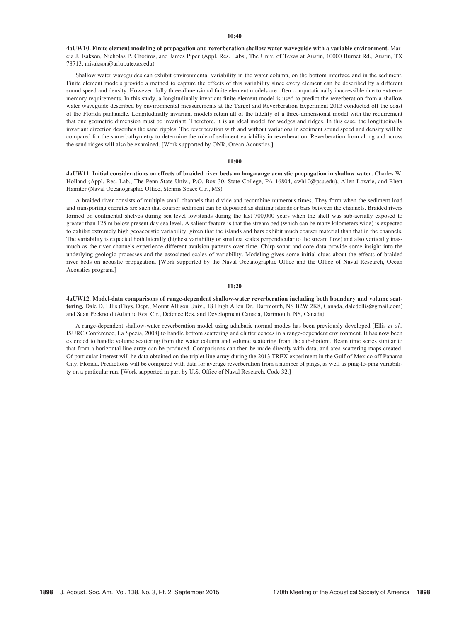### $10:40$

4aUW10. Finite element modeling of propagation and reverberation shallow water waveguide with a variable environment. Marcia J. Isakson, Nicholas P. Chotiros, and James Piper (Appl. Res. Labs., The Univ. of Texas at Austin, 10000 Burnet Rd., Austin, TX 78713, misakson@arlut.utexas.edu)

Shallow water waveguides can exhibit environmental variability in the water column, on the bottom interface and in the sediment. Finite element models provide a method to capture the effects of this variability since every element can be described by a different sound speed and density. However, fully three-dimensional finite element models are often computationally inaccessible due to extreme memory requirements. In this study, a longitudinally invariant finite element model is used to predict the reverberation from a shallow water waveguide described by environmental measurements at the Target and Reverberation Experiment 2013 conducted off the coast of the Florida panhandle. Longitudinally invariant models retain all of the fidelity of a three-dimensional model with the requirement that one geometric dimension must be invariant. Therefore, it is an ideal model for wedges and ridges. In this case, the longitudinally invariant direction describes the sand ripples. The reverberation with and without variations in sediment sound speed and density will be compared for the same bathymetry to determine the role of sediment variability in reverberation. Reverberation from along and across the sand ridges will also be examined. [Work supported by ONR, Ocean Acoustics.]

#### 11:00

4aUW11. Initial considerations on effects of braided river beds on long-range acoustic propagation in shallow water. Charles W. Holland (Appl. Res. Lab., The Penn State Univ., P.O. Box 30, State College, PA 16804, cwh10@psu.edu), Allen Lowrie, and Rhett Hamiter (Naval Oceanographic Office, Stennis Space Ctr., MS)

A braided river consists of multiple small channels that divide and recombine numerous times. They form when the sediment load and transporting energies are such that coarser sediment can be deposited as shifting islands or bars between the channels. Braided rivers formed on continental shelves during sea level lowstands during the last 700,000 years when the shelf was sub-aerially exposed to greater than 125 m below present day sea level. A salient feature is that the stream bed (which can be many kilometers wide) is expected to exhibit extremely high geoacoustic variability, given that the islands and bars exhibit much coarser material than that in the channels. The variability is expected both laterally (highest variability or smallest scales perpendicular to the stream flow) and also vertically inasmuch as the river channels experience different avulsion patterns over time. Chirp sonar and core data provide some insight into the underlying geologic processes and the associated scales of variability. Modeling gives some initial clues about the effects of braided river beds on acoustic propagation. [Work supported by the Naval Oceanographic Office and the Office of Naval Research, Ocean Acoustics program.]

## 11:20

4aUW12. Model-data comparisons of range-dependent shallow-water reverberation including both boundary and volume scattering. Dale D. Ellis (Phys. Dept., Mount Allison Univ., 18 Hugh Allen Dr., Dartmouth, NS B2W 2K8, Canada, daledellis@gmail.com) and Sean Pecknold (Atlantic Res. Ctr., Defence Res. and Development Canada, Dartmouth, NS, Canada)

A range-dependent shallow-water reverberation model using adiabatic normal modes has been previously developed [Ellis et al., ISURC Conference, La Spezia, 2008] to handle bottom scattering and clutter echoes in a range-dependent environment. It has now been extended to handle volume scattering from the water column and volume scattering from the sub-bottom. Beam time series similar to that from a horizontal line array can be produced. Comparisons can then be made directly with data, and area scattering maps created. Of particular interest will be data obtained on the triplet line array during the 2013 TREX experiment in the Gulf of Mexico off Panama City, Florida. Predictions will be compared with data for average reverberation from a number of pings, as well as ping-to-ping variability on a particular run. [Work supported in part by U.S. Office of Naval Research, Code 32.]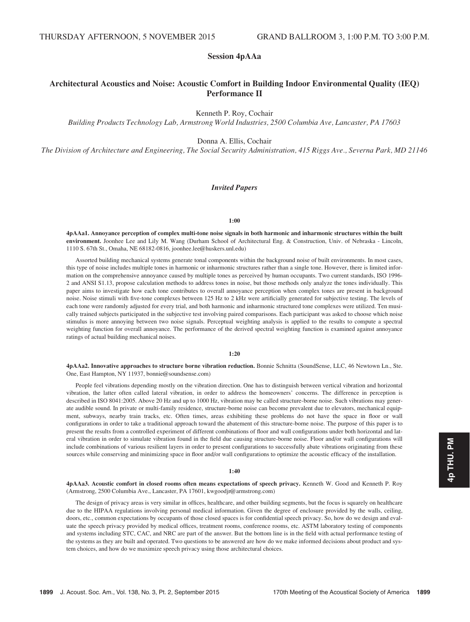# Session 4pAAa

# Architectural Acoustics and Noise: Acoustic Comfort in Building Indoor Environmental Quality (IEQ) Performance II

Kenneth P. Roy, Cochair

Building Products Technology Lab, Armstrong World Industries, 2500 Columbia Ave, Lancaster, PA 17603

Donna A. Ellis, Cochair

The Division of Architecture and Engineering, The Social Security Administration, 415 Riggs Ave., Severna Park, MD 21146

# Invited Papers

## 1:00

4pAAa1. Annoyance perception of complex multi-tone noise signals in both harmonic and inharmonic structures within the built environment. Joonhee Lee and Lily M. Wang (Durham School of Architectural Eng. & Construction, Univ. of Nebraska - Lincoln, 1110 S. 67th St., Omaha, NE 68182-0816, joonhee.lee@huskers.unl.edu)

Assorted building mechanical systems generate tonal components within the background noise of built environments. In most cases, this type of noise includes multiple tones in harmonic or inharmonic structures rather than a single tone. However, there is limited information on the comprehensive annoyance caused by multiple tones as perceived by human occupants. Two current standards, ISO 1996- 2 and ANSI S1.13, propose calculation methods to address tones in noise, but those methods only analyze the tones individually. This paper aims to investigate how each tone contributes to overall annoyance perception when complex tones are present in background noise. Noise stimuli with five-tone complexes between 125 Hz to 2 kHz were artificially generated for subjective testing. The levels of each tone were randomly adjusted for every trial, and both harmonic and inharmonic structured tone complexes were utilized. Ten musically trained subjects participated in the subjective test involving paired comparisons. Each participant was asked to choose which noise stimulus is more annoying between two noise signals. Perceptual weighting analysis is applied to the results to compute a spectral weighting function for overall annoyance. The performance of the derived spectral weighting function is examined against annoyance ratings of actual building mechanical noises.

#### 1:20

4pAAa2. Innovative approaches to structure borne vibration reduction. Bonnie Schnitta (SoundSense, LLC, 46 Newtown Ln., Ste. One, East Hampton, NY 11937, bonnie@soundsense.com)

People feel vibrations depending mostly on the vibration direction. One has to distinguish between vertical vibration and horizontal vibration, the latter often called lateral vibration, in order to address the homeowners' concerns. The difference in perception is described in ISO 8041:2005. Above 20 Hz and up to 1000 Hz, vibration may be called structure-borne noise. Such vibrations may generate audible sound. In private or multi-family residence, structure-borne noise can become prevalent due to elevators, mechanical equipment, subways, nearby train tracks, etc. Often times, areas exhibiting these problems do not have the space in floor or wall configurations in order to take a traditional approach toward the abatement of this structure-borne noise. The purpose of this paper is to present the results from a controlled experiment of different combinations of floor and wall configurations under both horizontal and lateral vibration in order to simulate vibration found in the field due causing structure-borne noise. Floor and/or wall configurations will include combinations of various resilient layers in order to present configurations to successfully abate vibrations originating from these sources while conserving and minimizing space in floor and/or wall configurations to optimize the acoustic efficacy of the installation.

#### 1:40

4pAAa3. Acoustic comfort in closed rooms often means expectations of speech privacy. Kenneth W. Good and Kenneth P. Roy (Armstrong, 2500 Columbia Ave., Lancaster, PA 17601, kwgoodjr@armstrong.com)

The design of privacy areas is very similar in offices, healthcare, and other building segments, but the focus is squarely on healthcare due to the HIPAA regulations involving personal medical information. Given the degree of enclosure provided by the walls, ceiling, doors, etc., common expectations by occupants of those closed spaces is for confidential speech privacy. So, how do we design and evaluate the speech privacy provided by medical offices, treatment rooms, conference rooms, etc. ASTM laboratory testing of components and systems including STC, CAC, and NRC are part of the answer. But the bottom line is in the field with actual performance testing of the systems as they are built and operated. Two questions to be answered are how do we make informed decisions about product and system choices, and how do we maximize speech privacy using those architectural choices.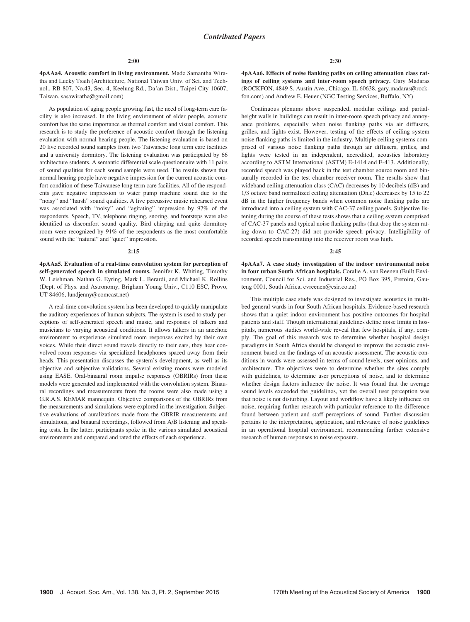4pAAa4. Acoustic comfort in living environment. Made Samantha Wiratha and Lucky Tsaih (Architecture, National Taiwan Univ. of Sci. and Technol., RB 807, No.43, Sec. 4, Keelung Rd., Da'an Dist., Taipei City 10607, Taiwan, sasawiratha@gmail.com)

As population of aging people growing fast, the need of long-term care facility is also increased. In the living environment of elder people, acoustic comfort has the same importance as thermal comfort and visual comfort. This research is to study the preference of acoustic comfort through the listening evaluation with normal hearing people. The listening evaluation is based on 20 live recorded sound samples from two Taiwanese long term care facilities and a university dormitory. The listening evaluation was participated by 66 architecture students. A semantic differential scale questionnaire with 11 pairs of sound qualities for each sound sample were used. The results shown that normal hearing people have negative impression for the current acoustic comfort condition of these Taiwanese long term care facilities. All of the respondents gave negative impression to water pump machine sound due to the "noisy" and "harsh" sound qualities. A live percussive music rehearsed event was associated with "noisy" and "agitating" impression by 97% of the respondents. Speech, TV, telephone ringing, snoring, and footsteps were also identified as discomfort sound quality. Bird chirping and quite dormitory room were recognized by 91% of the respondents as the most comfortable sound with the "natural" and "quiet" impression.

#### $2:15$

4pAAa5. Evaluation of a real-time convolution system for perception of self-generated speech in simulated rooms. Jennifer K. Whiting, Timothy W. Leishman, Nathan G. Eyring, Mark L. Berardi, and Michael K. Rollins (Dept. of Phys. and Astronomy, Brigham Young Univ., C110 ESC, Provo, UT 84606, lundjenny@comcast.net)

A real-time convolution system has been developed to quickly manipulate the auditory experiences of human subjects. The system is used to study perceptions of self-generated speech and music, and responses of talkers and musicians to varying acoustical conditions. It allows talkers in an anechoic environment to experience simulated room responses excited by their own voices. While their direct sound travels directly to their ears, they hear convolved room responses via specialized headphones spaced away from their heads. This presentation discusses the system's development, as well as its objective and subjective validations. Several existing rooms were modeled using EASE. Oral-binaural room impulse responses (OBRIRs) from these models were generated and implemented with the convolution system. Binaural recordings and measurements from the rooms were also made using a G.R.A.S. KEMAR mannequin. Objective comparisons of the OBRIRs from the measurements and simulations were explored in the investigation. Subjective evaluations of auralizations made from the OBRIR measurements and simulations, and binaural recordings, followed from A/B listening and speaking tests. In the latter, participants spoke in the various simulated acoustical environments and compared and rated the effects of each experience.

4pAAa6. Effects of noise flanking paths on ceiling attenuation class ratings of ceiling systems and inter-room speech privacy. Gary Madaras (ROCKFON, 4849 S. Austin Ave., Chicago, IL 60638, gary.madaras@rockfon.com) and Andrew E. Heuer (NGC Testing Services, Buffalo, NY)

Continuous plenums above suspended, modular ceilings and partialheight walls in buildings can result in inter-room speech privacy and annoyance problems, especially when noise flanking paths via air diffusers, grilles, and lights exist. However, testing of the effects of ceiling system noise flanking paths is limited in the industry. Multiple ceiling systems comprised of various noise flanking paths through air diffusers, grilles, and lights were tested in an independent, accredited, acoustics laboratory according to ASTM International (ASTM) E-1414 and E-413. Additionally, recorded speech was played back in the test chamber source room and binaurally recorded in the test chamber receiver room. The results show that wideband ceiling attenuation class (CAC) decreases by 10 decibels (dB) and 1/3 octave band normalized ceiling attenuation (Dn,c) decreases by 15 to 22 dB in the higher frequency bands when common noise flanking paths are introduced into a ceiling system with CAC-37 ceiling panels. Subjective listening during the course of these tests shows that a ceiling system comprised of CAC-37 panels and typical noise flanking paths (that drop the system rating down to CAC-27) did not provide speech privacy. Intelligibility of recorded speech transmitting into the receiver room was high.

#### $2.45$

4pAAa7. A case study investigation of the indoor environmental noise in four urban South African hospitals. Coralie A. van Reenen (Built Environment, Council for Sci. and Industrial Res., PO Box 395, Pretoira, Gauteng 0001, South Africa, cvreenen@csir.co.za)

This multiple case study was designed to investigate acoustics in multibed general wards in four South African hospitals. Evidence-based research shows that a quiet indoor environment has positive outcomes for hospital patients and staff. Though international guidelines define noise limits in hospitals, numerous studies world-wide reveal that few hospitals, if any, comply. The goal of this research was to determine whether hospital design paradigms in South Africa should be changed to improve the acoustic environment based on the findings of an acoustic assessment. The acoustic conditions in wards were assessed in terms of sound levels, user opinions, and architecture. The objectives were to determine whether the sites comply with guidelines, to determine user perceptions of noise, and to determine whether design factors influence the noise. It was found that the average sound levels exceeded the guidelines, yet the overall user perception was that noise is not disturbing. Layout and workflow have a likely influence on noise, requiring further research with particular reference to the difference found between patient and staff perceptions of sound. Further discussion pertains to the interpretation, application, and relevance of noise guidelines in an operational hospital environment, recommending further extensive research of human responses to noise exposure.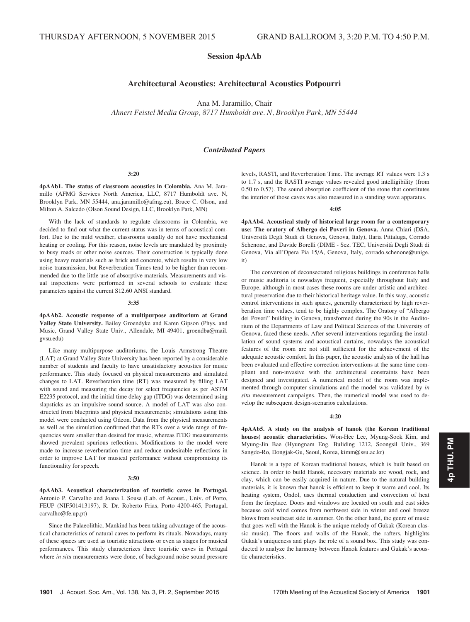# Session 4pAAb

# Architectural Acoustics: Architectural Acoustics Potpourri

Ana M. Jaramillo, Chair

Ahnert Feistel Media Group, 8717 Humboldt ave. N, Brooklyn Park, MN 55444

# Contributed Papers

#### 3:20

4pAAb1. The status of classroom acoustics in Colombia. Ana M. Jaramillo (AFMG Services North America, LLC, 8717 Humboldt ave. N, Brooklyn Park, MN 55444, ana.jaramillo@afmg.eu), Bruce C. Olson, and Milton A. Salcedo (Olson Sound Design, LLC, Brooklyn Park, MN)

With the lack of standards to regulate classrooms in Colombia, we decided to find out what the current status was in terms of acoustical comfort. Due to the mild weather, classrooms usually do not have mechanical heating or cooling. For this reason, noise levels are mandated by proximity to busy roads or other noise sources. Their construction is typically done using heavy materials such as brick and concrete, which results in very low noise transmission, but Reverberation Times tend to be higher than recommended due to the little use of absorptive materials. Measurements and visual inspections were performed in several schools to evaluate these parameters against the current S12.60 ANSI standard.

## 3:35

4pAAb2. Acoustic response of a multipurpose auditorium at Grand Valley State University. Bailey Groendyke and Karen Gipson (Phys. and Music, Grand Valley State Univ., Allendale, MI 49401, groendba@mail. gvsu.edu)

Like many multipurpose auditoriums, the Louis Armstrong Theatre (LAT) at Grand Valley State University has been reported by a considerable number of students and faculty to have unsatisfactory acoustics for music performance. This study focused on physical measurements and simulated changes to LAT. Reverberation time (RT) was measured by filling LAT with sound and measuring the decay for select frequencies as per ASTM E2235 protocol, and the initial time delay gap (ITDG) was determined using slapsticks as an impulsive sound source. A model of LAT was also constructed from blueprints and physical measurements; simulations using this model were conducted using Odeon. Data from the physical measurements as well as the simulation confirmed that the RTs over a wide range of frequencies were smaller than desired for music, whereas ITDG measurements showed prevalent spurious reflections. Modifications to the model were made to increase reverberation time and reduce undesirable reflections in order to improve LAT for musical performance without compromising its functionality for speech.

#### 3:50

4pAAb3. Acoustical characterization of touristic caves in Portugal. Antonio P. Carvalho and Joana I. Sousa (Lab. of Acoust., Univ. of Porto, FEUP (NIF501413197), R. Dr. Roberto Frias, Porto 4200-465, Portugal, carvalho@fe.up.pt)

Since the Palaeolithic, Mankind has been taking advantage of the acoustical characteristics of natural caves to perform its rituals. Nowadays, many of these spaces are used as touristic attractions or even as stages for musical performances. This study characterizes three touristic caves in Portugal where in situ measurements were done, of background noise sound pressure levels, RASTI, and Reverberation Time. The average RT values were 1.3 s to 1.7 s, and the RASTI average values revealed good intelligibility (from 0.50 to 0.57). The sound absorption coefficient of the stone that constitutes the interior of those caves was also measured in a standing wave apparatus.

#### 4:05

4pAAb4. Acoustical study of historical large room for a contemporary use: The oratory of Albergo dei Poveri in Genova. Anna Chiari (DSA, Universita Degli Studi di Genova, Genova, Italy), Ilaria Pittaluga, Corrado Schenone, and Davide Borelli (DIME - Sez. TEC, Universita Degli Studi di Genova, Via all'Opera Pia 15/A, Genova, Italy, corrado.schenone@unige. it)

The conversion of deconsecrated religious buildings in conference halls or music auditoria is nowadays frequent, especially throughout Italy and Europe, although in most cases these rooms are under artistic and architectural preservation due to their historical heritage value. In this way, acoustic control interventions in such spaces, generally characterized by high reverberation time values, tend to be highly complex. The Oratory of "Albergo dei Poveri" building in Genova, transformed during the 90s in the Auditorium of the Departments of Law and Political Sciences of the University of Genova, faced these needs. After several interventions regarding the installation of sound systems and acoustical curtains, nowadays the acoustical features of the room are not still sufficient for the achievement of the adequate acoustic comfort. In this paper, the acoustic analysis of the hall has been evaluated and effective correction interventions at the same time compliant and non-invasive with the architectural constraints have been designed and investigated. A numerical model of the room was implemented through computer simulations and the model was validated by in situ measurement campaigns. Then, the numerical model was used to develop the subsequent design-scenarios calculations.

#### 4:20

4pAAb5. A study on the analysis of hanok (the Korean traditional houses) acoustic characteristics. Won-Hee Lee, Myung-Sook Kim, and Myung-Jin Bae (Hyungnam Eng. Buliding 1212, Soongsil Univ., 369 Sangdo-Ro, Dongjak-Gu, Seoul, Korea, kimm@ssu.ac.kr)

Hanok is a type of Korean traditional houses, which is built based on science. In order to build Hanok, necessary materials are wood, rock, and clay, which can be easily acquired in nature. Due to the natural building materials, it is known that hanok is efficient to keep it warm and cool. Its heating system, Ondol, uses thermal conduction and convection of heat from the fireplace. Doors and windows are located on south and east sides because cold wind comes from northwest side in winter and cool breeze blows from southeast side in summer. On the other hand, the genre of music that goes well with the Hanok is the unique melody of Gukak (Korean classic music). The floors and walls of the Hanok, the rafters, highlights Gukak's uniqueness and plays the role of a sound box. This study was conducted to analyze the harmony between Hanok features and Gukak's acoustic characteristics.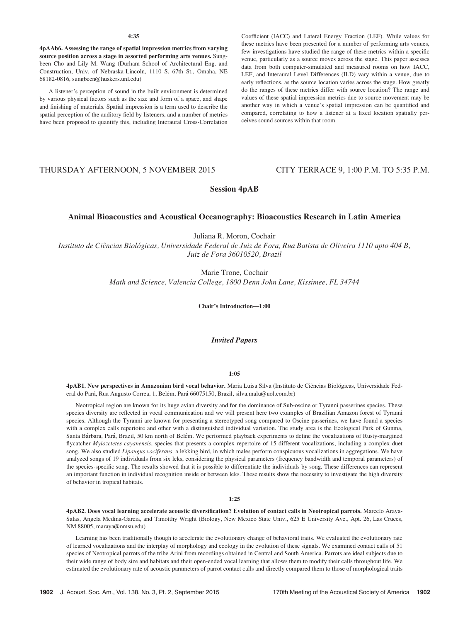4pAAb6. Assessing the range of spatial impression metrics from varying source position across a stage in assorted performing arts venues. Sungbeen Cho and Lily M. Wang (Durham School of Architectural Eng. and Construction, Univ. of Nebraska-Lincoln, 1110 S. 67th St., Omaha, NE 68182-0816, sungbeen@huskers.unl.edu)

A listener's perception of sound in the built environment is determined by various physical factors such as the size and form of a space, and shape and finishing of materials. Spatial impression is a term used to describe the spatial perception of the auditory field by listeners, and a number of metrics have been proposed to quantify this, including Interaural Cross-Correlation Coefficient (IACC) and Lateral Energy Fraction (LEF). While values for these metrics have been presented for a number of performing arts venues, few investigations have studied the range of these metrics within a specific venue, particularly as a source moves across the stage. This paper assesses data from both computer-simulated and measured rooms on how IACC, LEF, and Interaural Level Differences (ILD) vary within a venue, due to early reflections, as the source location varies across the stage. How greatly do the ranges of these metrics differ with source location? The range and values of these spatial impression metrics due to source movement may be another way in which a venue's spatial impression can be quantified and compared, correlating to how a listener at a fixed location spatially perceives sound sources within that room.

# THURSDAY AFTERNOON, 5 NOVEMBER 2015 CITY TERRACE 9, 1:00 P.M. TO 5:35 P.M.

# Session 4pAB

# Animal Bioacoustics and Acoustical Oceanography: Bioacoustics Research in Latin America

Juliana R. Moron, Cochair

Instituto de Ciências Biológicas, Universidade Federal de Juiz de Fora, Rua Batista de Oliveira 1110 apto 404 B, Juiz de Fora 36010520, Brazil

> Marie Trone, Cochair Math and Science, Valencia College, 1800 Denn John Lane, Kissimee, FL 34744

> > Chair's Introduction—1:00

# Invited Papers

# 1:05

4pAB1. New perspectives in Amazonian bird vocal behavior. Maria Luisa Silva (Instituto de Ciências Biológicas, Universidade Federal do Pará, Rua Augusto Correa, 1, Belém, Pará 66075150, Brazil, silva.malu@uol.com.br)

Neotropical region are known for its huge avian diversity and for the dominance of Sub-oscine or Tyranni passerines species. These species diversity are reflected in vocal communication and we will present here two examples of Brazilian Amazon forest of Tyranni species. Although the Tyranni are known for presenting a stereotyped song compared to Oscine passerines, we have found a species with a complex calls repertoire and other with a distinguished individual variation. The study area is the Ecological Park of Gunma, Santa Bárbara, Pará, Brazil, 50 km north of Belém. We performed playback experiments to define the vocalizations of Rusty-margined flycatcher *Myiozetetes cayanensis*, species that presents a complex repertoire of 15 different vocalizations, including a complex duet song. We also studied Lipaugus vociferans, a lekking bird, in which males perform conspicuous vocalizations in aggregations. We have analyzed songs of 19 individuals from six leks, considering the physical parameters (frequency bandwidth and temporal parameters) of the species-specific song. The results showed that it is possible to differentiate the individuals by song. These differences can represent an important function in individual recognition inside or between leks. These results show the necessity to investigate the high diversity of behavior in tropical habitats.

#### 1:25

4pAB2. Does vocal learning accelerate acoustic diversification? Evolution of contact calls in Neotropical parrots. Marcelo Araya-Salas, Angela Medina-Garcia, and Timotthy Wright (Biology, New Mexico State Univ., 625 E University Ave., Apt. 26, Las Cruces, NM 88005, maraya@nmsu.edu)

Learning has been traditionally though to accelerate the evolutionary change of behavioral traits. We evaluated the evolutionary rate of learned vocalizations and the interplay of morphology and ecology in the evolution of these signals. We examined contact calls of 51 species of Neotropical parrots of the tribe Arini from recordings obtained in Central and South America. Parrots are ideal subjects due to their wide range of body size and habitats and their open-ended vocal learning that allows them to modify their calls throughout life. We estimated the evolutionary rate of acoustic parameters of parrot contact calls and directly compared them to those of morphological traits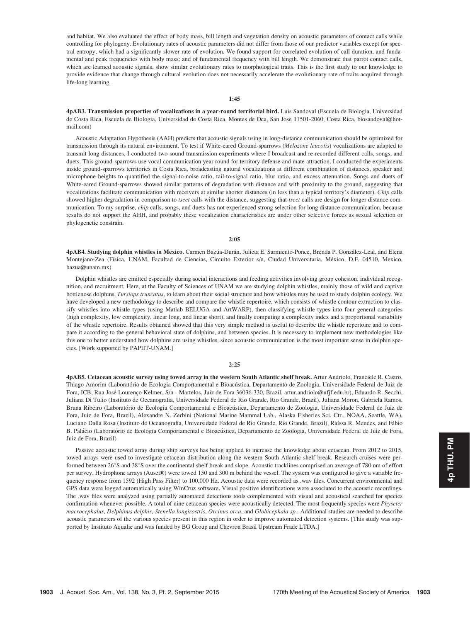and habitat. We also evaluated the effect of body mass, bill length and vegetation density on acoustic parameters of contact calls while controlling for phylogeny. Evolutionary rates of acoustic parameters did not differ from those of our predictor variables except for spectral entropy, which had a significantly slower rate of evolution. We found support for correlated evolution of call duration, and fundamental and peak frequencies with body mass; and of fundamental frequency with bill length. We demonstrate that parrot contact calls, which are learned acoustic signals, show similar evolutionary rates to morphological traits. This is the first study to our knowledge to provide evidence that change through cultural evolution does not necessarily accelerate the evolutionary rate of traits acquired through life-long learning.

## 1:45

4pAB3. Transmission properties of vocalizations in a year-round territorial bird. Luis Sandoval (Escuela de Biologia, Universidad de Costa Rica, Escuela de Biologia, Universidad de Costa Rica, Montes de Oca, San Jose 11501-2060, Costa Rica, biosandoval@hotmail.com)

Acoustic Adaptation Hypothesis (AAH) predicts that acoustic signals using in long-distance communication should be optimized for transmission through its natural environment. To test if White-eared Ground-sparrows (Melozone leucotis) vocalizations are adapted to transmit long distances, I conducted two sound transmission experiments where I broadcast and re-recorded different calls, songs, and duets. This ground-sparrows use vocal communication year round for territory defense and mate attraction. I conducted the experiments inside ground-sparrows territories in Costa Rica, broadcasting natural vocalizations at different combination of distances, speaker and microphone heights to quantified the signal-to-noise ratio, tail-to-signal ratio, blur ratio, and excess attenuation. Songs and duets of White-eared Ground-sparrows showed similar patterns of degradation with distance and with proximity to the ground, suggesting that vocalizations facilitate communication with receivers at similar shorter distances (in less than a typical territory's diameter). Chip calls showed higher degradation in comparison to tseet calls with the distance, suggesting that tseet calls are design for longer distance communication. To my surprise, *chip* calls, songs, and duets has not experienced strong selection for long distance communication, because results do not support the AHH, and probably these vocalization characteristics are under other selective forces as sexual selection or phylogenetic constrain.

#### 2:05

4pAB4. Studying dolphin whistles in Mexico. Carmen Bazúa-Durán, Julieta E. Sarmiento-Ponce, Brenda P. González-Leal, and Elena Montejano-Zea (Física, UNAM, Facultad de Ciencias, Circuito Exterior s/n, Ciudad Universitaria, México, D.F. 04510, Mexico, bazua@unam.mx)

Dolphin whistles are emitted especially during social interactions and feeding activities involving group cohesion, individual recognition, and recruitment. Here, at the Faculty of Sciences of UNAM we are studying dolphin whistles, mainly those of wild and captive bottlenose dolphins, Tursiops truncatus, to learn about their social structure and how whistles may be used to study dolphin ecology. We have developed a new methodology to describe and compare the whistle repertoire, which consists of whistle contour extraction to classify whistles into whistle types (using Matlab BELUGA and ArtWARP), then classifying whistle types into four general categories (high complexity, low complexity, linear long, and linear short), and finally computing a complexity index and a proportional variability of the whistle repertoire. Results obtained showed that this very simple method is useful to describe the whistle repertoire and to compare it according to the general behavioral state of dolphins, and between species. It is necessary to implement new methodologies like this one to better understand how dolphins are using whistles, since acoustic communication is the most important sense in dolphin species. [Work supported by PAPIIT-UNAM.]

#### 2:25

4pAB5. Cetacean acoustic survey using towed array in the western South Atlantic shelf break. Artur Andriolo, Franciele R. Castro, Thiago Amorim (Laboratório de Ecologia Comportamental e Bioacústica, Departamento de Zoologia, Universidade Federal de Juiz de Fora, ICB, Rua José Lourenço Kelmer, S/n - Martelos, Juiz de Fora 36036-330, Brazil, artur.andriolo@ufjf.edu.br), Eduardo R. Secchi, Juliana Di Tulio (Instituto de Oceanografia, Universidade Federal de Rio Grande, Rio Grande, Brazil), Juliana Moron, Gabriela Ramos, Bruna Ribeiro (Laboratório de Ecologia Comportamental e Bioacústica, Departamento de Zoologia, Universidade Federal de Juiz de Fora, Juiz de Fora, Brazil), Alexandre N. Zerbini (National Marine Mammal Lab., Alaska Fisheries Sci. Ctr., NOAA, Seattle, WA), Luciano Dalla Rosa (Instituto de Oceanografia, Universidade Federal de Rio Grande, Rio Grande, Brazil), Raíssa R. Mendes, and Fábio B. Palácio (Laboratório de Ecologia Comportamental e Bioacústica, Departamento de Zoologia, Universidade Federal de Juiz de Fora, Juiz de Fora, Brazil)

Passive acoustic towed array during ship surveys has being applied to increase the knowledge about cetacean. From 2012 to 2015, towed arrays were used to investigate cetacean distribution along the western South Atlantic shelf break. Research cruises were performed between 26°S and 38°S over the continental shelf break and slope. Acoustic tracklines comprised an average of 780 nm of effort per survey. Hydrophone arrays (Auset®) were towed 150 and 300 m behind the vessel. The system was configured to give a variable frequency response from 1592 (High Pass Filter) to 100,000 Hz. Acoustic data were recorded as .wav files. Concurrent environmental and GPS data were logged automatically using WinCruz software. Visual positive identifications were associated to the acoustic recordings. The .wav files were analyzed using partially automated detections tools complemented with visual and acoustical searched for species confirmation whenever possible. A total of nine cetacean species were acoustically detected. The most frequently species were *Physeter* macrocephalus, Delphinus delphis, Stenella longirostris, Orcinus orca, and Globicephala sp.. Additional studies are needed to describe acoustic parameters of the various species present in this region in order to improve automated detection systems. [This study was supported by Instituto Aqualie and was funded by BG Group and Chevron Brasil Upstream Frade LTDA.]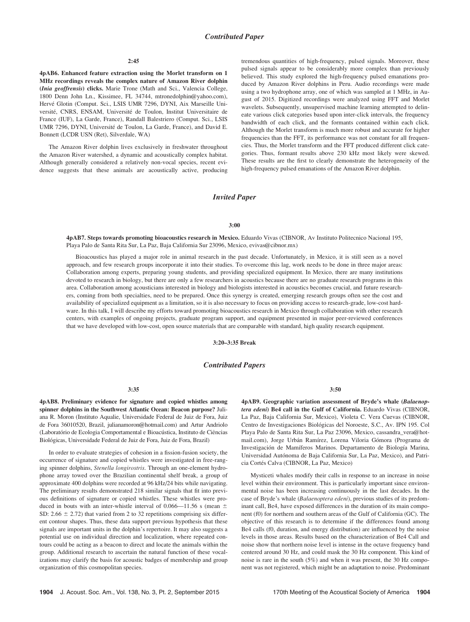#### 2:45

4pAB6. Enhanced feature extraction using the Morlet transform on 1 MHz recordings reveals the complex nature of Amazon River dolphin (Inia geoffrensis) clicks. Marie Trone (Math and Sci., Valencia College, 1800 Denn John Ln., Kissimee, FL 34744, mtronedolphin@yahoo.com), Hervé Glotin (Comput. Sci., LSIS UMR 7296, DYNI, Aix Marseille Université, CNRS, ENSAM, Université de Toulon, Institut Universitaire de France (IUF), La Garde, France), Randall Balestriero (Comput. Sci., LSIS UMR 7296, DYNI, Université de Toulon, La Garde, France), and David E. Bonnett (LCDR USN (Ret), Silverdale, WA)

The Amazon River dolphin lives exclusively in freshwater throughout the Amazon River watershed, a dynamic and acoustically complex habitat. Although generally considered a relatively non-vocal species, recent evidence suggests that these animals are acoustically active, producing tremendous quantities of high-frequency, pulsed signals. Moreover, these pulsed signals appear to be considerably more complex than previously believed. This study explored the high-frequency pulsed emanations produced by Amazon River dolphins in Peru. Audio recordings were made using a two hydrophone array, one of which was sampled at 1 MHz, in August of 2015. Digitized recordings were analyzed using FFT and Morlet wavelets. Subsequently, unsupervised machine learning attempted to delineate various click categories based upon inter-click intervals, the frequency bandwidth of each click, and the formants contained within each click. Although the Morlet transform is much more robust and accurate for higher frequencies than the FFT, its performance was not constant for all frequencies. Thus, the Morlet transform and the FFT produced different click categories. Thus, formant results above 230 kHz most likely were skewed. These results are the first to clearly demonstrate the heterogeneity of the high-frequency pulsed emanations of the Amazon River dolphin.

# Invited Paper

#### 3:00

4pAB7. Steps towards promoting bioacoustics research in Mexico. Eduardo Vivas (CIBNOR, Av Instituto Politecnico Nacional 195, Playa Palo de Santa Rita Sur, La Paz, Baja California Sur 23096, Mexico, evivas@cibnor.mx)

Bioacoustics has played a major role in animal research in the past decade. Unfortunately, in Mexico, it is still seen as a novel approach, and few research groups incorporate it into their studies. To overcome this lag, work needs to be done in three major areas: Collaboration among experts, preparing young students, and providing specialized equipment. In Mexico, there are many institutions devoted to research in biology, but there are only a few researchers in acoustics because there are no graduate research programs in this area. Collaboration among acousticians interested in biology and biologists interested in acoustics becomes crucial, and future researchers, coming from both specialties, need to be prepared. Once this synergy is created, emerging research groups often see the cost and availability of specialized equipment as a limitation, so it is also necessary to focus on providing access to research-grade, low-cost hardware. In this talk, I will describe my efforts toward promoting bioacoustics research in Mexico through collaboration with other research centers, with examples of ongoing projects, graduate program support, and equipment presented in major peer-reviewed conferences that we have developed with low-cost, open source materials that are comparable with standard, high quality research equipment.

3:20–3:35 Break

#### Contributed Papers

### 3:35

4pAB8. Preliminary evidence for signature and copied whistles among spinner dolphins in the Southwest Atlantic Ocean: Beacon purpose? Juliana R. Moron (Instituto Aqualie, Universidade Federal de Juiz de Fora, Juiz de Fora 36010520, Brazil, julianamoron@hotmail.com) and Artur Andriolo (Laboratório de Ecologia Comportamental e Bioacústica, Instituto de Ciências Biológicas, Universidade Federal de Juiz de Fora, Juiz de Fora, Brazil)

In order to evaluate strategies of cohesion in a fission-fusion society, the occurrence of signature and copied whistles were investigated in free-ranging spinner dolphins, Stenella longirostris. Through an one-element hydrophone array towed over the Brazilian continental shelf break, a group of approximate 400 dolphins were recorded at 96 kHz/24 bits while navigating. The preliminary results demonstrated 218 similar signals that fit into previous definitions of signature or copied whistles. These whistles were produced in bouts with an inter-whistle interval of 0.066—11.56 s (mean  $\pm$ SD: 2.66  $\pm$  2.72) that varied from 2 to 32 repetitions comprising six different contour shapes. Thus, these data support previous hypothesis that these signals are important units in the dolphin's repertoire. It may also suggests a potential use on individual direction and localization, where repeated contours could be acting as a beacon to direct and locate the animals within the group. Additional research to ascertain the natural function of these vocalizations may clarify the basis for acoustic badges of membership and group organization of this cosmopolitan species.

3:50

4pAB9. Geographic variation assessment of Bryde's whale (Balaenoptera edeni) Be4 call in the Gulf of California. Eduardo Vivas (CIBNOR, La Paz, Baja California Sur, Mexico), Violeta C. Vera Cuevas (CIBNOR, Centro de Investigaciones Biológicas del Noroeste, S.C., Av. IPN 195. Col Playa Palo de Santa Rita Sur, La Paz 23096, Mexico, cassandra\_vera@hotmail.com), Jorge Urbán Ramírez, Lorena Viloria Gómora (Programa de Investigación de Mamíferos Marinos. Departamento de Biología Marina, Universidad Autónoma de Baja California Sur, La Paz, Mexico), and Patricia Cortés Calva (CIBNOR, La Paz, Mexico)

Mysticeti whales modify their calls in response to an increase in noise level within their environment. This is particularly important since environmental noise has been increasing continuously in the last decades. In the case of Bryde's whale (Balaenoptera edeni), previous studies of its predominant call, Be4, have exposed differences in the duration of its main component (f0) for northern and southern areas of the Gulf of California (GC). The objective of this research is to determine if the differences found among Be4 calls (f0, duration, and energy distribution) are influenced by the noise levels in those areas. Results based on the characterization of Be4 Call and noise show that northern noise level is intense in the octave frequency band centered around 30 Hz, and could mask the 30 Hz component. This kind of noise is rare in the south (5%) and when it was present, the 30 Hz component was not registered, which might be an adaptation to noise. Predominant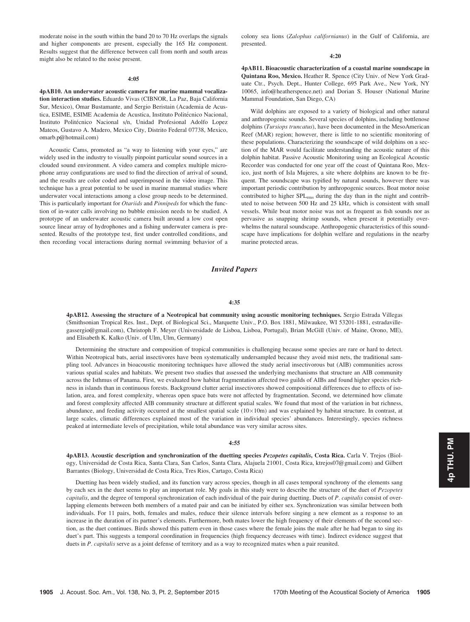moderate noise in the south within the band 20 to 70 Hz overlaps the signals and higher components are present, especially the 165 Hz component. Results suggest that the difference between call from north and south areas might also be related to the noise present.

#### 4:05

4pAB10. An underwater acoustic camera for marine mammal vocalization interaction studies. Eduardo Vivas (CIBNOR, La Paz, Baja California Sur, Mexico), Omar Bustamante, and Sergio Beristain (Academia de Acustica, ESIME, ESIME Academia de Acustica, Instituto Politécnico Nacional, Instituto Politécnico Nacional s/n, Unidad Profesional Adolfo Lopez Mateos, Gustavo A. Madero, Mexico City, Distrito Federal 07738, Mexico, omarb.p@hotmail.com)

Acoustic Cams, promoted as "a way to listening with your eyes," are widely used in the industry to visually pinpoint particular sound sources in a clouded sound environment. A video camera and complex multiple microphone array configurations are used to find the direction of arrival of sound, and the results are color coded and superimposed in the video image. This technique has a great potential to be used in marine mammal studies where underwater vocal interactions among a close group needs to be determined. This is particularly important for Otariids and Pinnipeds for which the function of in-water calls involving no bubble emission needs to be studied. A prototype of an underwater acoustic camera built around a low cost open source linear array of hydrophones and a fishing underwater camera is presented. Results of the prototype test, first under controlled conditions, and then recording vocal interactions during normal swimming behavior of a

colony sea lions (Zalophus californianus) in the Gulf of California, are presented.

#### 4:20

4pAB11. Bioacoustic characterization of a coastal marine soundscape in Quintana Roo, Mexico. Heather R. Spence (City Univ. of New York Graduate Ctr., Psych. Dept., Hunter College, 695 Park Ave., New York, NY 10065, info@heatherspence.net) and Dorian S. Houser (National Marine Mammal Foundation, San Diego, CA)

Wild dolphins are exposed to a variety of biological and other natural and anthropogenic sounds. Several species of dolphins, including bottlenose dolphins (Tursiops truncatus), have been documented in the MesoAmerican Reef (MAR) region; however, there is little to no scientific monitoring of these populations. Characterizing the soundscape of wild dolphins on a section of the MAR would facilitate understanding the acoustic nature of this dolphin habitat. Passive Acoustic Monitoring using an Ecological Acoustic Recorder was conducted for one year off the coast of Quintana Roo, Mexico, just north of Isla Mujeres, a site where dolphins are known to be frequent. The soundscape was typified by natural sounds, however there was important periodic contribution by anthropogenic sources. Boat motor noise contributed to higher SPL<sub>rms</sub> during the day than in the night and contributed to noise between 500 Hz and 25 kHz, which is consistent with small vessels. While boat motor noise was not as frequent as fish sounds nor as pervasive as snapping shrimp sounds, when present it potentially overwhelms the natural soundscape. Anthropogenic characteristics of this soundscape have implications for dolphin welfare and regulations in the nearby marine protected areas.

# Invited Papers

#### 4:35

4pAB12. Assessing the structure of a Neotropical bat community using acoustic monitoring techniques. Sergio Estrada Villegas (Smithsonian Tropical Res. Inst., Dept. of Biological Sci., Marquette Univ., P.O. Box 1881, Milwaukee, WI 53201-1881, estradavillegassergio@gmail.com), Christoph F. Meyer (Universidade de Lisboa, Lisboa, Portugal), Brian McGill (Univ. of Maine, Orono, ME), and Elisabeth K. Kalko (Univ. of Ulm, Ulm, Germany)

Determining the structure and composition of tropical communities is challenging because some species are rare or hard to detect. Within Neotropical bats, aerial insectivores have been systematically undersampled because they avoid mist nets, the traditional sampling tool. Advances in bioacoustic monitoring techniques have allowed the study aerial insectivorous bat (AIB) communities across various spatial scales and habitats. We present two studies that assessed the underlying mechanisms that structure an AIB community across the Isthmus of Panama. First, we evaluated how habitat fragmentation affected two guilds of AIBs and found higher species richness in islands than in continuous forests. Background clutter aerial insectivores showed compositional differences due to effects of isolation, area, and forest complexity, whereas open space bats were not affected by fragmentation. Second, we determined how climate and forest complexity affected AIB community structure at different spatial scales. We found that most of the variation in bat richness, abundance, and feeding activity occurred at the smallest spatial scale  $(10\times10m)$  and was explained by habitat structure. In contrast, at large scales, climatic differences explained most of the variation in individual species' abundances. Interestingly, species richness peaked at intermediate levels of precipitation, while total abundance was very similar across sites.

#### 4:55

4pAB13. Acoustic description and synchronization of the duetting species Pezopetes capitalis, Costa Rica. Carla V. Trejos (Biology, Universidad de Costa Rica, Santa Clara, San Carlos, Santa Clara, Alajuela 21001, Costa Rica, ktrejos07@gmail.com) and Gilbert Barrantes (Biology, Universidad de Costa Rica, Tres Rios, Cartago, Costa Rica)

Duetting has been widely studied, and its function vary across species, though in all cases temporal synchrony of the elements sang by each sex in the duet seems to play an important role. My goals in this study were to describe the structure of the duet of Pezopetes capitalis, and the degree of temporal synchronization of each individual of the pair during duetting. Duets of P. capitalis consist of overlapping elements between both members of a mated pair and can be initiated by either sex. Synchronization was similar between both individuals. For 11 pairs, both, females and males, reduce their silence intervals before singing a new element as a response to an increase in the duration of its partner's elements. Furthermore, both mates lower the high frequency of their elements of the second section, as the duet continues. Birds showed this pattern even in those cases where the female joins the male after he had began to sing its duet's part. This suggests a temporal coordination in frequencies (high frequency decreases with time). Indirect evidence suggest that duets in P. capitalis serve as a joint defense of territory and as a way to recognized mates when a pair reunited.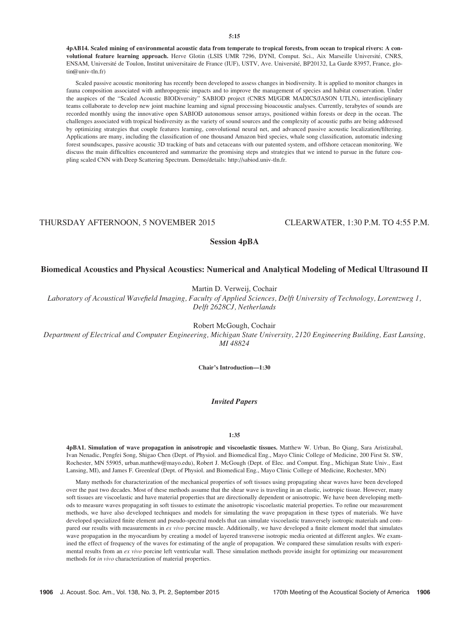4pAB14. Scaled mining of environmental acoustic data from temperate to tropical forests, from ocean to tropical rivers: A convolutional feature learning approach. Herve Glotin (LSIS UMR 7296, DYNI, Comput. Sci., Aix Marseille Université, CNRS, ENSAM, Université de Toulon, Institut universitaire de France (IUF), USTV, Ave. Université, BP20132, La Garde 83957, France, glotin@univ-tln.fr)

Scaled passive acoustic monitoring has recently been developed to assess changes in biodiversity. It is applied to monitor changes in fauna composition associated with anthropogenic impacts and to improve the management of species and habitat conservation. Under the auspices of the "Scaled Acoustic BIODiversity" SABIOD project (CNRS MI/GDR MADICS/JASON UTLN), interdisciplinary teams collaborate to develop new joint machine learning and signal processing bioacoustic analyses. Currently, terabytes of sounds are recorded monthly using the innovative open SABIOD autonomous sensor arrays, positioned within forests or deep in the ocean. The challenges associated with tropical biodiversity as the variety of sound sources and the complexity of acoustic paths are being addressed by optimizing strategies that couple features learning, convolutional neural net, and advanced passive acoustic localization/filtering. Applications are many, including the classification of one thousand Amazon bird species, whale song classification, automatic indexing forest soundscapes, passive acoustic 3D tracking of bats and cetaceans with our patented system, and offshore cetacean monitoring. We discuss the main difficulties encountered and summarize the promising steps and strategies that we intend to pursue in the future coupling scaled CNN with Deep Scattering Spectrum. Demo/details: http://sabiod.univ-tln.fr.

# THURSDAY AFTERNOON, 5 NOVEMBER 2015 CLEARWATER, 1:30 P.M. TO 4:55 P.M.

# Session 4pBA

# Biomedical Acoustics and Physical Acoustics: Numerical and Analytical Modeling of Medical Ultrasound II

Martin D. Verweij, Cochair

Laboratory of Acoustical Wavefield Imaging, Faculty of Applied Sciences, Delft University of Technology, Lorentzweg 1, Delft 2628CJ, Netherlands

Robert McGough, Cochair

Department of Electrical and Computer Engineering, Michigan State University, 2120 Engineering Building, East Lansing, MI 48824

Chair's Introduction—1:30

## Invited Papers

## 1:35

4pBA1. Simulation of wave propagation in anisotropic and viscoelastic tissues. Matthew W. Urban, Bo Qiang, Sara Aristizabal, Ivan Nenadic, Pengfei Song, Shigao Chen (Dept. of Physiol. and Biomedical Eng., Mayo Clinic College of Medicine, 200 First St. SW, Rochester, MN 55905, urban.matthew@mayo.edu), Robert J. McGough (Dept. of Elec. and Comput. Eng., Michigan State Univ., East Lansing, MI), and James F. Greenleaf (Dept. of Physiol. and Biomedical Eng., Mayo Clinic College of Medicine, Rochester, MN)

Many methods for characterization of the mechanical properties of soft tissues using propagating shear waves have been developed over the past two decades. Most of these methods assume that the shear wave is traveling in an elastic, isotropic tissue. However, many soft tissues are viscoelastic and have material properties that are directionally dependent or anisotropic. We have been developing methods to measure waves propagating in soft tissues to estimate the anisotropic viscoelastic material properties. To refine our measurement methods, we have also developed techniques and models for simulating the wave propagation in these types of materials. We have developed specialized finite element and pseudo-spectral models that can simulate viscoelastic transversely isotropic materials and compared our results with measurements in ex vivo porcine muscle. Additionally, we have developed a finite element model that simulates wave propagation in the myocardium by creating a model of layered transverse isotropic media oriented at different angles. We examined the effect of frequency of the waves for estimating of the angle of propagation. We compared these simulation results with experimental results from an ex vivo porcine left ventricular wall. These simulation methods provide insight for optimizing our measurement methods for in vivo characterization of material properties.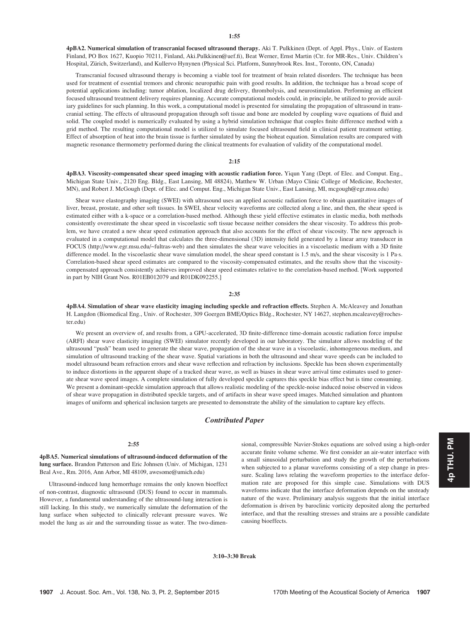4pBA2. Numerical simulation of transcranial focused ultrasound therapy. Aki T. Pulkkinen (Dept. of Appl. Phys., Univ. of Eastern Finland, PO Box 1627, Kuopio 70211, Finland, Aki.Pulkkinen@uef.fi), Beat Werner, Ernst Martin (Ctr. for MR-Res., Univ. Children's Hospital, Zürich, Switzerland), and Kullervo Hynynen (Physical Sci. Platform, Sunnybrook Res. Inst., Toronto, ON, Canada)

Transcranial focused ultrasound therapy is becoming a viable tool for treatment of brain related disorders. The technique has been used for treatment of essential tremors and chronic neuropathic pain with good results. In addition, the technique has a broad scope of potential applications including: tumor ablation, localized drug delivery, thrombolysis, and neurostimulation. Performing an efficient focused ultrasound treatment delivery requires planning. Accurate computational models could, in principle, be utilized to provide auxiliary guidelines for such planning. In this work, a computational model is presented for simulating the propagation of ultrasound in transcranial setting. The effects of ultrasound propagation through soft tissue and bone are modeled by coupling wave equations of fluid and solid. The coupled model is numerically evaluated by using a hybrid simulation technique that couples finite difference method with a grid method. The resulting computational model is utilized to simulate focused ultrasound field in clinical patient treatment setting. Effect of absorption of heat into the brain tissue is further simulated by using the bioheat equation. Simulation results are compared with magnetic resonance thermometry performed during the clinical treatments for evaluation of validity of the computational model.

## 2:15

4pBA3. Viscosity-compensated shear speed imaging with acoustic radiation force. Yiqun Yang (Dept. of Elec. and Comput. Eng., Michigan State Univ., 2120 Eng. Bldg., East Lansing, MI 48824), Matthew W. Urban (Mayo Clinic College of Medicine, Rochester, MN), and Robert J. McGough (Dept. of Elec. and Comput. Eng., Michigan State Univ., East Lansing, MI, mcgough@egr.msu.edu)

Shear wave elastography imaging (SWEI) with ultrasound uses an applied acoustic radiation force to obtain quantitative images of liver, breast, prostate, and other soft tissues. In SWEI, shear velocity waveforms are collected along a line, and then, the shear speed is estimated either with a k-space or a correlation-based method. Although these yield effective estimates in elastic media, both methods consistently overestimate the shear speed in viscoelastic soft tissue because neither considers the shear viscosity. To address this problem, we have created a new shear speed estimation approach that also accounts for the effect of shear viscosity. The new approach is evaluated in a computational model that calculates the three-dimensional (3D) intensity field generated by a linear array transducer in FOCUS (http://www.egr.msu.edu/~fultras-web) and then simulates the shear wave velocities in a viscoelastic medium with a 3D finite difference model. In the viscoelastic shear wave simulation model, the shear speed constant is 1.5 m/s, and the shear viscosity is 1 Pa·s. Correlation-based shear speed estimates are compared to the viscosity-compensated estimates, and the results show that the viscositycompensated approach consistently achieves improved shear speed estimates relative to the correlation-based method. [Work supported in part by NIH Grant Nos. R01EB012079 and R01DK092255.]

#### 2:35

4pBA4. Simulation of shear wave elasticity imaging including speckle and refraction effects. Stephen A. McAleavey and Jonathan H. Langdon (Biomedical Eng., Univ. of Rochester, 309 Goergen BME/Optics Bldg., Rochester, NY 14627, stephen.mcaleavey@rochester.edu)

We present an overview of, and results from, a GPU-accelerated, 3D finite-difference time-domain acoustic radiation force impulse (ARFI) shear wave elasticity imaging (SWEI) simulator recently developed in our laboratory. The simulator allows modeling of the ultrasound "push" beam used to generate the shear wave, propagation of the shear wave in a viscoelastic, inhomogeneous medium, and simulation of ultrasound tracking of the shear wave. Spatial variations in both the ultrasound and shear wave speeds can be included to model ultrasound beam refraction errors and shear wave reflection and refraction by inclusions. Speckle has been shown experimentally to induce distortions in the apparent shape of a tracked shear wave, as well as biases in shear wave arrival time estimates used to generate shear wave speed images. A complete simulation of fully developed speckle captures this speckle bias effect but is time consuming. We present a dominant-speckle simulation approach that allows realistic modeling of the speckle-noise induced noise observed in videos of shear wave propagation in distributed speckle targets, and of artifacts in shear wave speed images. Matched simulation and phantom images of uniform and spherical inclusion targets are presented to demonstrate the ability of the simulation to capture key effects.

# Contributed Paper

# 2:55

4pBA5. Numerical simulations of ultrasound-induced deformation of the lung surface. Brandon Patterson and Eric Johnsen (Univ. of Michigan, 1231 Beal Ave., Rm. 2016, Ann Arbor, MI 48109, awesome@umich.edu)

Ultrasound-induced lung hemorrhage remains the only known bioeffect of non-contrast, diagnostic ultrasound (DUS) found to occur in mammals. However, a fundamental understanding of the ultrasound-lung interaction is still lacking. In this study, we numerically simulate the deformation of the lung surface when subjected to clinically relevant pressure waves. We model the lung as air and the surrounding tissue as water. The two-dimensional, compressible Navier-Stokes equations are solved using a high-order accurate finite volume scheme. We first consider an air-water interface with a small sinusoidal perturbation and study the growth of the perturbations when subjected to a planar waveforms consisting of a step change in pressure. Scaling laws relating the waveform properties to the interface deformation rate are proposed for this simple case. Simulations with DUS waveforms indicate that the interface deformation depends on the unsteady nature of the wave. Preliminary analysis suggests that the initial interface deformation is driven by baroclinic vorticity deposited along the perturbed interface, and that the resulting stresses and strains are a possible candidate causing bioeffects.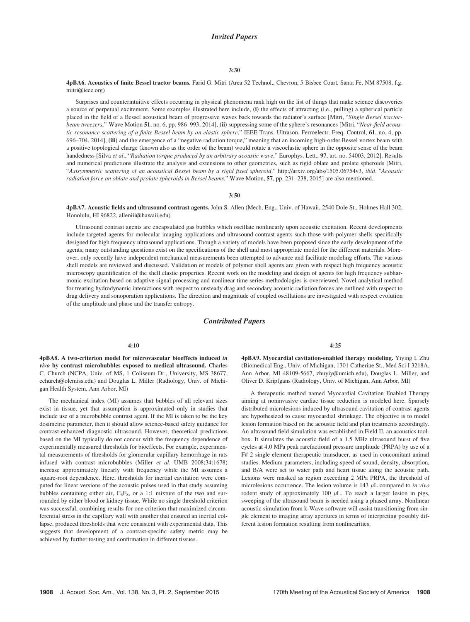## 3:30

# 4pBA6. Acoustics of finite Bessel tractor beams. Farid G. Mitri (Area 52 Technol., Chevron, 5 Bisbee Court, Santa Fe, NM 87508, f.g. mitri@ieee.org)

Surprises and counterintuitive effects occurring in physical phenomena rank high on the list of things that make science discoveries a source of perpetual excitement. Some examples illustrated here include, (i) the effects of attracting (i.e., pulling) a spherical particle placed in the field of a Bessel acoustical beam of progressive waves back towards the radiator's surface [Mitri, "Single Bessel tractorbeam tweezers," Wave Motion 51, no. 6, pp. 986-993, 2014], (ii) suppressing some of the sphere's resonances [Mitri, "Near-field acoustic resonance scattering of a finite Bessel beam by an elastic sphere," IEEE Trans. Ultrason. Ferroelectr. Freq. Control, 61, no. 4, pp. 696–704, 2014], (iii) and the emergence of a "negative radiation torque," meaning that an incoming high-order Bessel vortex beam with a positive topological charge (known also as the order of the beam) would rotate a viscoelastic sphere in the opposite sense of the beam handedness [Silva et al., "Radiation torque produced by an arbitrary acoustic wave," Europhys. Lett., 97, art. no. 54003, 2012]. Results and numerical predictions illustrate the analysis and extensions to other geometries, such as rigid oblate and prolate spheroids [Mitri, "Axisymmetric scattering of an acoustical Bessel beam by a rigid fixed spheroid," http://arxiv.org/abs/1505.06754v3, ibid. "Acoustic radiation force on oblate and prolate spheroids in Bessel beams," Wave Motion, 57, pp. 231–238, 2015] are also mentioned.

## 3:50

4pBA7. Acoustic fields and ultrasound contrast agents. John S. Allen (Mech. Eng., Univ. of Hawaii, 2540 Dole St., Holmes Hall 302, Honolulu, HI 96822, alleniii@hawaii.edu)

Ultrasound contrast agents are encapsulated gas bubbles which oscillate nonlinearly upon acoustic excitation. Recent developments include targeted agents for molecular imaging applications and ultrasound contrast agents such those with polymer shells specifically designed for high frequency ultrasound applications. Though a variety of models have been proposed since the early development of the agents, many outstanding questions exist on the specifications of the shell and most appropriate model for the different materials. Moreover, only recently have independent mechanical measurements been attempted to advance and facilitate modeling efforts. The various shell models are reviewed and discussed. Validation of models of polymer shell agents are given with respect high frequency acoustic microscopy quantification of the shell elastic properties. Recent work on the modeling and design of agents for high frequency subharmonic excitation based on adaptive signal processing and nonlinear time series methodologies is overviewed. Novel analytical method for treating hydrodynamic interactions with respect to unsteady drag and secondary acoustic radiation forces are outlined with respect to drug delivery and sonoporation applications. The direction and magnitude of coupled oscillations are investigated with respect evolution of the amplitude and phase and the transfer entropy.

# Contributed Papers

## 4:10

4pBA8. A two-criterion model for microvascular bioeffects induced in vivo by contrast microbubbles exposed to medical ultrasound. Charles C. Church (NCPA, Univ. of MS, 1 Coliseum Dr., University, MS 38677, cchurch@olemiss.edu) and Douglas L. Miller (Radiology, Univ. of Michigan Health System, Ann Arbor, MI)

The mechanical index (MI) assumes that bubbles of all relevant sizes exist in tissue, yet that assumption is approximated only in studies that include use of a microbubble contrast agent. If the MI is taken to be the key dosimetric parameter, then it should allow science-based safety guidance for contrast-enhanced diagnostic ultrasound. However, theoretical predictions based on the MI typically do not concur with the frequency dependence of experimentally measured thresholds for bioeffects. For example, experimental measurements of thresholds for glomerular capillary hemorrhage in rats infused with contrast microbubbles (Miller et al. UMB 2008;34:1678) increase approximately linearly with frequency while the MI assumes a square-root dependence. Here, thresholds for inertial cavitation were computed for linear versions of the acoustic pulses used in that study assuming bubbles containing either air,  $C_3F_8$ , or a 1:1 mixture of the two and surrounded by either blood or kidney tissue. While no single threshold criterion was successful, combining results for one criterion that maximized circumferential stress in the capillary wall with another that ensured an inertial collapse, produced thresholds that were consistent with experimental data. This suggests that development of a contrast-specific safety metric may be achieved by further testing and confirmation in different tissues.

#### 4:25

4pBA9. Myocardial cavitation-enabled therapy modeling. Yiying I. Zhu (Biomedical Eng., Univ. of Michigan, 1301 Catherine St., Med Sci I 3218A, Ann Arbor, MI 48109-5667, zhuyiy@umich.edu), Douglas L. Miller, and Oliver D. Kripfgans (Radiology, Univ. of Michigan, Ann Arbor, MI)

A therapeutic method named Myocardial Cavitation Enabled Therapy aiming at noninvasive cardiac tissue reduction is modeled here. Sparsely distributed microlesions induced by ultrasound cavitation of contrast agents are hypothesized to cause myocardial shrinkage. The objective is to model lesion formation based on the acoustic field and plan treatments accordingly. An ultrasound field simulation was established in Field II, an acoustics toolbox. It simulates the acoustic field of a 1.5 MHz ultrasound burst of five cycles at 4.0 MPa peak rarefactional pressure amplitude (PRPA) by use of a F# 2 single element therapeutic transducer, as used in concomitant animal studies. Medium parameters, including speed of sound, density, absorption, and B/A were set to water path and heart tissue along the acoustic path. Lesions were masked as region exceeding 2 MPa PRPA, the threshold of microlesions occurrence. The lesion volume is 143  $\mu$ L compared to *in vivo* rodent study of approximately 100  $\mu$ L. To reach a larger lesion in pigs, sweeping of the ultrasound beam is needed using a phased array. Nonlinear acoustic simulation from k-Wave software will assist transitioning from single element to imaging array apertures in terms of interpreting possibly different lesion formation resulting from nonlinearities.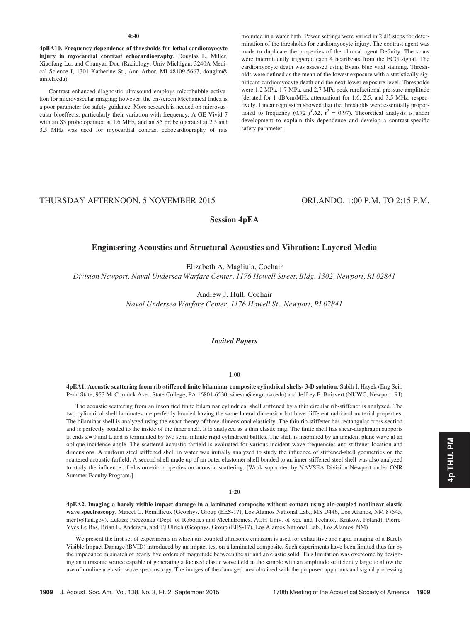## 4:40

4pBA10. Frequency dependence of thresholds for lethal cardiomyocyte injury in myocardial contrast echocardiography. Douglas L. Miller, Xiaofang Lu, and Chunyan Dou (Radiology, Univ Michigan, 3240A Medical Science I, 1301 Katherine St., Ann Arbor, MI 48109-5667, douglm@ umich.edu)

Contrast enhanced diagnostic ultrasound employs microbubble activation for microvascular imaging; however, the on-screen Mechanical Index is a poor parameter for safety guidance. More research is needed on microvascular bioeffects, particularly their variation with frequency. A GE Vivid 7 with an S3 probe operated at 1.6 MHz, and an S5 probe operated at 2.5 and 3.5 MHz was used for myocardial contrast echocardiography of rats mounted in a water bath. Power settings were varied in 2 dB steps for determination of the thresholds for cardiomyocyte injury. The contrast agent was made to duplicate the properties of the clinical agent Definity. The scans were intermittently triggered each 4 heartbeats from the ECG signal. The cardiomyocyte death was assessed using Evans blue vital staining. Thresholds were defined as the mean of the lowest exposure with a statistically significant cardiomyocyte death and the next lower exposure level. Thresholds were 1.2 MPa, 1.7 MPa, and 2.7 MPa peak rarefactional pressure amplitude (derated for 1 dB/cm/MHz attenuation) for 1.6, 2.5, and 3.5 MHz, respectively. Linear regression showed that the thresholds were essentially proportional to frequency (0.72  $f^2$ .02,  $r^2 = 0.97$ ). Theoretical analysis is under development to explain this dependence and develop a contrast-specific safety parameter.

# THURSDAY AFTERNOON, 5 NOVEMBER 2015 ORLANDO, 1:00 P.M. TO 2:15 P.M.

Session 4pEA

# Engineering Acoustics and Structural Acoustics and Vibration: Layered Media

Elizabeth A. Magliula, Cochair

Division Newport, Naval Undersea Warfare Center, 1176 Howell Street, Bldg. 1302, Newport, RI 02841

Andrew J. Hull, Cochair Naval Undersea Warfare Center, 1176 Howell St., Newport, RI 02841

# Invited Papers

## 1:00

4pEA1. Acoustic scattering from rib-stiffened finite bilaminar composite cylindrical shells- 3-D solution. Sabih I. Hayek (Eng Sci., Penn State, 953 McCormick Ave., State College, PA 16801-6530, sihesm@engr.psu.edu) and Jeffrey E. Boisvert (NUWC, Newport, RI)

The acoustic scattering from an insonified finite bilaminar cylindrical shell stiffened by a thin circular rib-stiffener is analyzed. The two cylindrical shell laminates are perfectly bonded having the same lateral dimension but have different radii and material properties. The bilaminar shell is analyzed using the exact theory of three-dimensional elasticity. The thin rib-stiffener has rectangular cross-section and is perfectly bonded to the inside of the inner shell. It is analyzed as a thin elastic ring. The finite shell has shear-diaphragm supports at ends z = 0 and L and is terminated by two semi-infinite rigid cylindrical baffles. The shell is insonified by an incident plane wave at an oblique incidence angle. The scattered acoustic farfield is evaluated for various incident wave frequencies and stiffener location and dimensions. A uniform steel stiffened shell in water was initially analyzed to study the influence of stiffened-shell geometries on the scattered acoustic farfield. A second shell made up of an outer elastomer shell bonded to an inner stiffened steel shell was also analyzed to study the influence of elastomeric properties on acoustic scattering. [Work supported by NAVSEA Division Newport under ONR Summer Faculty Program.]

## 1:20

4pEA2. Imaging a barely visible impact damage in a laminated composite without contact using air-coupled nonlinear elastic wave spectroscopy. Marcel C. Remillieux (Geophys. Group (EES-17), Los Alamos National Lab., MS D446, Los Alamos, NM 87545, mcr1@lanl.gov), Łukasz Pieczonka (Dept. of Robotics and Mechatronics, AGH Univ. of Sci. and Technol., Krakow, Poland), Pierre-Yves Le Bas, Brian E. Anderson, and TJ Ulrich (Geophys. Group (EES-17), Los Alamos National Lab., Los Alamos, NM)

We present the first set of experiments in which air-coupled ultrasonic emission is used for exhaustive and rapid imaging of a Barely Visible Impact Damage (BVID) introduced by an impact test on a laminated composite. Such experiments have been limited thus far by the impedance mismatch of nearly five orders of magnitude between the air and an elastic solid. This limitation was overcome by designing an ultrasonic source capable of generating a focused elastic wave field in the sample with an amplitude sufficiently large to allow the use of nonlinear elastic wave spectroscopy. The images of the damaged area obtained with the proposed apparatus and signal processing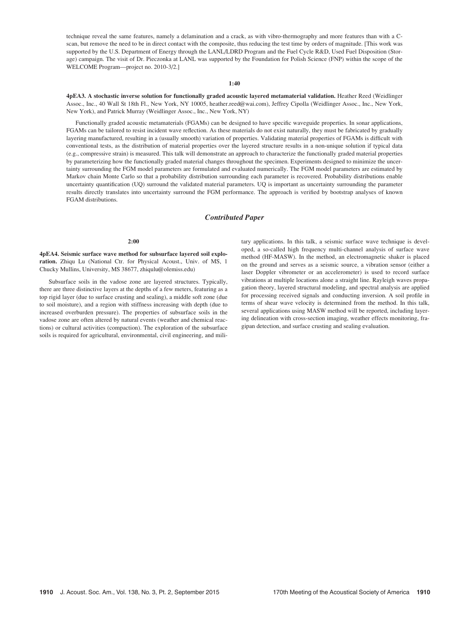technique reveal the same features, namely a delamination and a crack, as with vibro-thermography and more features than with a Cscan, but remove the need to be in direct contact with the composite, thus reducing the test time by orders of magnitude. [This work was supported by the U.S. Department of Energy through the LANL/LDRD Program and the Fuel Cycle R&D, Used Fuel Disposition (Storage) campaign. The visit of Dr. Pieczonka at LANL was supported by the Foundation for Polish Science (FNP) within the scope of the WELCOME Program—project no. 2010-3/2.]

# 1:40

4pEA3. A stochastic inverse solution for functionally graded acoustic layered metamaterial validation. Heather Reed (Weidlinger Assoc., Inc., 40 Wall St 18th Fl., New York, NY 10005, heather.reed@wai.com), Jeffrey Cipolla (Weidlinger Assoc., Inc., New York, New York), and Patrick Murray (Weidlinger Assoc., Inc., New York, NY)

Functionally graded acoustic metamaterials (FGAMs) can be designed to have specific waveguide properties. In sonar applications, FGAMs can be tailored to resist incident wave reflection. As these materials do not exist naturally, they must be fabricated by gradually layering manufactured, resulting in a (usually smooth) variation of properties. Validating material properties of FGAMs is difficult with conventional tests, as the distribution of material properties over the layered structure results in a non-unique solution if typical data (e.g., compressive strain) is measured. This talk will demonstrate an approach to characterize the functionally graded material properties by parameterizing how the functionally graded material changes throughout the specimen. Experiments designed to minimize the uncertainty surrounding the FGM model parameters are formulated and evaluated numerically. The FGM model parameters are estimated by Markov chain Monte Carlo so that a probability distribution surrounding each parameter is recovered. Probability distributions enable uncertainty quantification (UQ) surround the validated material parameters. UQ is important as uncertainty surrounding the parameter results directly translates into uncertainty surround the FGM performance. The approach is verified by bootstrap analyses of known FGAM distributions.

# Contributed Paper

## 2:00

4pEA4. Seismic surface wave method for subsurface layered soil exploration. Zhiqu Lu (National Ctr. for Physical Acoust., Univ. of MS, 1 Chucky Mullins, University, MS 38677, zhiqulu@olemiss.edu)

Subsurface soils in the vadose zone are layered structures. Typically, there are three distinctive layers at the depths of a few meters, featuring as a top rigid layer (due to surface crusting and sealing), a middle soft zone (due to soil moisture), and a region with stiffness increasing with depth (due to increased overburden pressure). The properties of subsurface soils in the vadose zone are often altered by natural events (weather and chemical reactions) or cultural activities (compaction). The exploration of the subsurface soils is required for agricultural, environmental, civil engineering, and military applications. In this talk, a seismic surface wave technique is developed, a so-called high frequency multi-channel analysis of surface wave method (HF-MASW). In the method, an electromagnetic shaker is placed on the ground and serves as a seismic source, a vibration sensor (either a laser Doppler vibrometer or an accelerometer) is used to record surface vibrations at multiple locations alone a straight line. Rayleigh waves propagation theory, layered structural modeling, and spectral analysis are applied for processing received signals and conducting inversion. A soil profile in terms of shear wave velocity is determined from the method. In this talk, several applications using MASW method will be reported, including layering delineation with cross-section imaging, weather effects monitoring, fragipan detection, and surface crusting and sealing evaluation.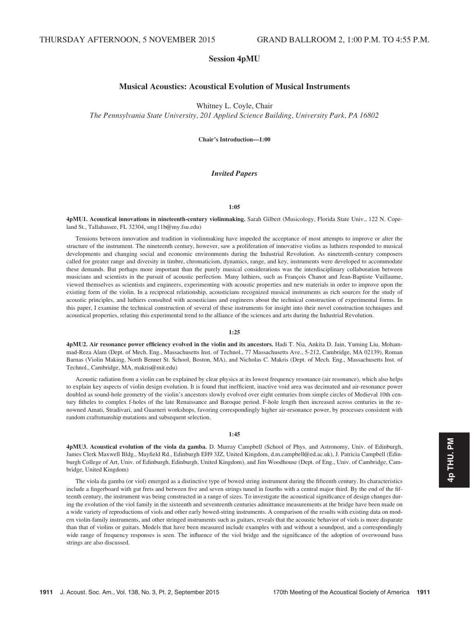# Session 4pMU

# Musical Acoustics: Acoustical Evolution of Musical Instruments

Whitney L. Coyle, Chair

The Pennsylvania State University, 201 Applied Science Building, University Park, PA 16802

Chair's Introduction—1:00

# Invited Papers

## 1:05

4pMU1. Acoustical innovations in nineteenth-century violinmaking. Sarah Gilbert (Musicology, Florida State Univ., 122 N. Copeland St., Tallahassee, FL 32304, smg11b@my.fsu.edu)

Tensions between innovation and tradition in violinmaking have impeded the acceptance of most attempts to improve or alter the structure of the instrument. The nineteenth century, however, saw a proliferation of innovative violins as luthiers responded to musical developments and changing social and economic environments during the Industrial Revolution. As nineteenth-century composers called for greater range and diversity in timbre, chromaticism, dynamics, range, and key, instruments were developed to accommodate these demands. But perhaps more important than the purely musical considerations was the interdisciplinary collaboration between musicians and scientists in the pursuit of acoustic perfection. Many luthiers, such as François Chanot and Jean-Baptiste Vuillaume, viewed themselves as scientists and engineers, experimenting with acoustic properties and new materials in order to improve upon the existing form of the violin. In a reciprocal relationship, acousticians recognized musical instruments as rich sources for the study of acoustic principles, and luthiers consulted with acousticians and engineers about the technical construction of experimental forms. In this paper, I examine the technical construction of several of these instruments for insight into their novel construction techniques and acoustical properties, relating this experimental trend to the alliance of the sciences and arts during the Industrial Revolution.

# 1:25

4pMU2. Air resonance power efficiency evolved in the violin and its ancestors. Hadi T. Nia, Ankita D. Jain, Yuming Liu, Mohammad-Reza Alam (Dept. of Mech. Eng., Massachusetts Inst. of Technol., 77 Massachusetts Ave., 5-212, Cambridge, MA 02139), Roman Barnas (Violin Making, North Bennet St. School, Boston, MA), and Nicholas C. Makris (Dept. of Mech. Eng., Massachusetts Inst. of Technol., Cambridge, MA, makris@mit.edu)

Acoustic radiation from a violin can be explained by clear physics at its lowest frequency resonance (air resonance), which also helps to explain key aspects of violin design evolution. It is found that inefficient, inactive void area was decimated and air-resonance power doubled as sound-hole geometry of the violin's ancestors slowly evolved over eight centuries from simple circles of Medieval 10th century fitheles to complex f-holes of the late Renaissance and Baroque period. F-hole length then increased across centuries in the renowned Amati, Stradivari, and Guarneri workshops, favoring correspondingly higher air-resonance power, by processes consistent with random craftsmanship mutations and subsequent selection.

#### 1:45

4pMU3. Acoustical evolution of the viola da gamba. D. Murray Campbell (School of Phys. and Astronomy, Univ. of Edinburgh, James Clerk Maxwell Bldg., Mayfield Rd., Edinburgh EH9 3JZ, United Kingdom, d.m.campbell@ed.ac.uk), J. Patricia Campbell (Edinburgh College of Art, Univ. of Edinburgh, Edinburgh, United Kingdom), and Jim Woodhouse (Dept. of Eng., Univ. of Cambridge, Cambridge, United Kingdom)

The viola da gamba (or viol) emerged as a distinctive type of bowed string instrument during the fifteenth century. Its characteristics include a fingerboard with gut frets and between five and seven strings tuned in fourths with a central major third. By the end of the fifteenth century, the instrument was being constructed in a range of sizes. To investigate the acoustical significance of design changes during the evolution of the viol family in the sixteenth and seventeenth centuries admittance measurements at the bridge have been made on a wide variety of reproductions of viols and other early bowed-string instruments. A comparison of the results with existing data on modern violin-family instruments, and other stringed instruments such as guitars, reveals that the acoustic behavior of viols is more disparate than that of violins or guitars. Models that have been measured include examples with and without a soundpost, and a correspondingly wide range of frequency responses is seen. The influence of the viol bridge and the significance of the adoption of overwound bass strings are also discussed.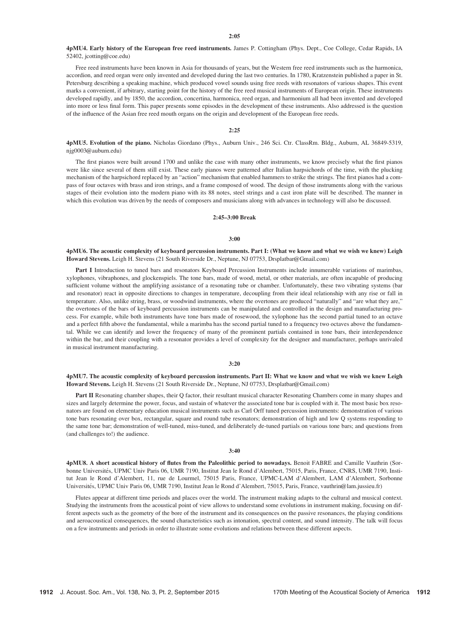4pMU4. Early history of the European free reed instruments. James P. Cottingham (Phys. Dept., Coe College, Cedar Rapids, IA 52402, jcotting@coe.edu)

Free reed instruments have been known in Asia for thousands of years, but the Western free reed instruments such as the harmonica, accordion, and reed organ were only invented and developed during the last two centuries. In 1780, Kratzenstein published a paper in St. Petersburg describing a speaking machine, which produced vowel sounds using free reeds with resonators of various shapes. This event marks a convenient, if arbitrary, starting point for the history of the free reed musical instruments of European origin. These instruments developed rapidly, and by 1850, the accordion, concertina, harmonica, reed organ, and harmonium all had been invented and developed into more or less final form. This paper presents some episodes in the development of these instruments. Also addressed is the question of the influence of the Asian free reed mouth organs on the origin and development of the European free reeds.

## 2:25

4pMU5. Evolution of the piano. Nicholas Giordano (Phys., Auburn Univ., 246 Sci. Ctr. ClassRm. Bldg., Auburn, AL 36849-5319, njg0003@auburn.edu)

The first pianos were built around 1700 and unlike the case with many other instruments, we know precisely what the first pianos were like since several of them still exist. These early pianos were patterned after Italian harpsichords of the time, with the plucking mechanism of the harpsichord replaced by an "action" mechanism that enabled hammers to strike the strings. The first pianos had a compass of four octaves with brass and iron strings, and a frame composed of wood. The design of those instruments along with the various stages of their evolution into the modern piano with its 88 notes, steel strings and a cast iron plate will be described. The manner in which this evolution was driven by the needs of composers and musicians along with advances in technology will also be discussed.

## 2:45–3:00 Break

#### 3:00

4pMU6. The acoustic complexity of keyboard percussion instruments. Part I: (What we know and what we wish we knew) Leigh Howard Stevens. Leigh H. Stevens (21 South Riverside Dr., Neptune, NJ 07753, Drsplatbar@Gmail.com)

Part I Introduction to tuned bars and resonators Keyboard Percussion Instruments include innumerable variations of marimbas, xylophones, vibraphones, and glockenspiels. The tone bars, made of wood, metal, or other materials, are often incapable of producing sufficient volume without the amplifying assistance of a resonating tube or chamber. Unfortunately, these two vibrating systems (bar and resonator) react in opposite directions to changes in temperature, decoupling from their ideal relationship with any rise or fall in temperature. Also, unlike string, brass, or woodwind instruments, where the overtones are produced "naturally" and "are what they are," the overtones of the bars of keyboard percussion instruments can be manipulated and controlled in the design and manufacturing process. For example, while both instruments have tone bars made of rosewood, the xylophone has the second partial tuned to an octave and a perfect fifth above the fundamental, while a marimba has the second partial tuned to a frequency two octaves above the fundamental. While we can identify and lower the frequency of many of the prominent partials contained in tone bars, their interdependence within the bar, and their coupling with a resonator provides a level of complexity for the designer and manufacturer, perhaps unrivaled in musical instrument manufacturing.

#### 3:20

## 4pMU7. The acoustic complexity of keyboard percussion instruments. Part II: What we know and what we wish we knew Leigh Howard Stevens. Leigh H. Stevens (21 South Riverside Dr., Neptune, NJ 07753, Drsplatbar@Gmail.com)

Part II Resonating chamber shapes, their Q factor, their resultant musical character Resonating Chambers come in many shapes and sizes and largely determine the power, focus, and sustain of whatever the associated tone bar is coupled with it. The most basic box resonators are found on elementary education musical instruments such as Carl Orff tuned percussion instruments: demonstration of various tone bars resonating over box, rectangular, square and round tube resonators; demonstration of high and low Q systems responding to the same tone bar; demonstration of well-tuned, miss-tuned, and deliberately de-tuned partials on various tone bars; and questions from (and challenges to!) the audience.

#### 3:40

4pMU8. A short acoustical history of flutes from the Paleolithic period to nowadays. Benoit FABRE and Camille Vauthrin (Sorbonne Universités, UPMC Univ Paris 06, UMR 7190, Institut Jean le Rond d'Alembert, 75015, Paris, France, CNRS, UMR 7190, Institut Jean le Rond d'Alembert, 11, rue de Lourmel, 75015 Paris, France, UPMC-LAM d'Alembert, LAM d'Alembert, Sorbonne Universités, UPMC Univ Paris 06, UMR 7190, Institut Jean le Rond d'Alembert, 75015, Paris, France, vauthrin@lam.jussieu.fr)

Flutes appear at different time periods and places over the world. The instrument making adapts to the cultural and musical context. Studying the instruments from the acoustical point of view allows to understand some evolutions in instrument making, focusing on different aspects such as the geometry of the bore of the instrument and its consequences on the passive resonances, the playing conditions and aeroacoustical consequences, the sound characteristics such as intonation, spectral content, and sound intensity. The talk will focus on a few instruments and periods in order to illustrate some evolutions and relations between these different aspects.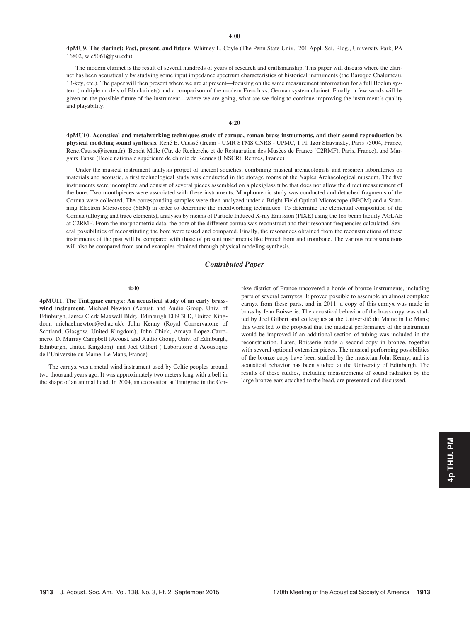4pMU9. The clarinet: Past, present, and future. Whitney L. Coyle (The Penn State Univ., 201 Appl. Sci. Bldg., University Park, PA 16802, wlc5061@psu.edu)

The modern clarinet is the result of several hundreds of years of research and craftsmanship. This paper will discuss where the clarinet has been acoustically by studying some input impedance spectrum characteristics of historical instruments (the Baroque Chalumeau, 13-key, etc.). The paper will then present where we are at present—focusing on the same measurement information for a full Boehm system (multiple models of Bb clarinets) and a comparison of the modern French vs. German system clarinet. Finally, a few words will be given on the possible future of the instrument—where we are going, what are we doing to continue improving the instrument's quality and playability.

# 4:20

4pMU10. Acoustical and metalworking techniques study of cornua, roman brass instruments, and their sound reproduction by physical modeling sound synthesis. René E. Caussé (Ircam - UMR STMS CNRS - UPMC, 1 Pl. Igor Stravinsky, Paris 75004, France, Rene.Causse@ircam.fr), Benoît Mille (Ctr. de Recherche et de Restauration des Musées de France (C2RMF), Paris, France), and Margaux Tansu (Ecole nationale supérieure de chimie de Rennes (ENSCR), Rennes, France)

Under the musical instrument analysis project of ancient societies, combining musical archaeologists and research laboratories on materials and acoustic, a first technological study was conducted in the storage rooms of the Naples Archaeological museum. The five instruments were incomplete and consist of several pieces assembled on a plexiglass tube that does not allow the direct measurement of the bore. Two mouthpieces were associated with these instruments. Morphometric study was conducted and detached fragments of the Cornua were collected. The corresponding samples were then analyzed under a Bright Field Optical Microscope (BFOM) and a Scanning Electron Microscope (SEM) in order to determine the metalworking techniques. To determine the elemental composition of the Cornua (alloying and trace elements), analyses by means of Particle Induced X-ray Emission (PIXE) using the Ion beam facility AGLAE at C2RMF. From the morphometric data, the bore of the different cornua was reconstruct and their resonant frequencies calculated. Several possibilities of reconstituting the bore were tested and compared. Finally, the resonances obtained from the reconstructions of these instruments of the past will be compared with those of present instruments like French horn and trombone. The various reconstructions will also be compared from sound examples obtained through physical modeling synthesis.

# Contributed Paper

# 4:40

4pMU11. The Tintignac carnyx: An acoustical study of an early brasswind instrument. Michael Newton (Acoust. and Audio Group, Univ. of Edinburgh, James Clerk Maxwell Bldg., Edinburgh EH9 3FD, United Kingdom, michael.newton@ed.ac.uk), John Kenny (Royal Conservatoire of Scotland, Glasgow, United Kingdom), John Chick, Amaya Lopez-Carromero, D. Murray Campbell (Acoust. and Audio Group, Univ. of Edinburgh, Edinburgh, United Kingdom), and Joel Gilbert ( Laboratoire d'Acoustique de l'Université du Maine, Le Mans, France)

The carnyx was a metal wind instrument used by Celtic peoples around two thousand years ago. It was approximately two meters long with a bell in the shape of an animal head. In 2004, an excavation at Tintignac in the Corrèze district of France uncovered a horde of bronze instruments, including parts of several carnyxes. It proved possible to assemble an almost complete carnyx from these parts, and in 2011, a copy of this carnyx was made in brass by Jean Boisserie. The acoustical behavior of the brass copy was studied by Joel Gilbert and colleagues at the Université du Maine in Le Mans; this work led to the proposal that the musical performance of the instrument would be improved if an additional section of tubing was included in the reconstruction. Later, Boisserie made a second copy in bronze, together with several optional extension pieces. The musical performing possibilities of the bronze copy have been studied by the musician John Kenny, and its acoustical behavior has been studied at the University of Edinburgh. The results of these studies, including measurements of sound radiation by the large bronze ears attached to the head, are presented and discussed.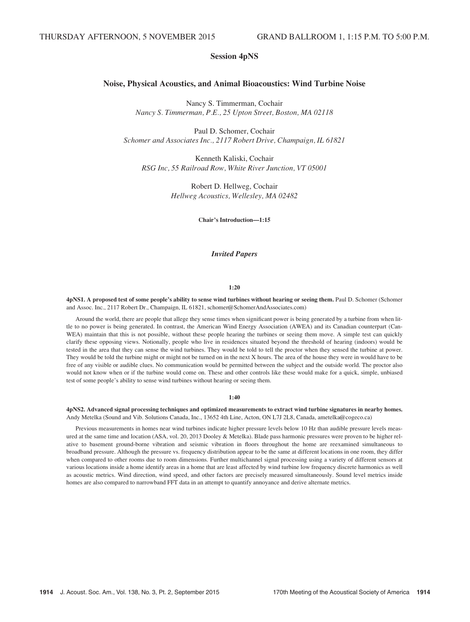# Session 4pNS

# Noise, Physical Acoustics, and Animal Bioacoustics: Wind Turbine Noise

Nancy S. Timmerman, Cochair Nancy S. Timmerman, P.E., 25 Upton Street, Boston, MA 02118

Paul D. Schomer, Cochair Schomer and Associates Inc., 2117 Robert Drive, Champaign, IL 61821

Kenneth Kaliski, Cochair RSG Inc, 55 Railroad Row, White River Junction, VT 05001

> Robert D. Hellweg, Cochair Hellweg Acoustics, Wellesley, MA 02482

> > Chair's Introduction—1:15

# Invited Papers

#### 1:20

## 4pNS1. A proposed test of some people's ability to sense wind turbines without hearing or seeing them. Paul D. Schomer (Schomer and Assoc. Inc., 2117 Robert Dr., Champaign, IL 61821, schomer@SchomerAndAssociates.com)

Around the world, there are people that allege they sense times when significant power is being generated by a turbine from when little to no power is being generated. In contrast, the American Wind Energy Association (AWEA) and its Canadian counterpart (Can-WEA) maintain that this is not possible, without these people hearing the turbines or seeing them move. A simple test can quickly clarify these opposing views. Notionally, people who live in residences situated beyond the threshold of hearing (indoors) would be tested in the area that they can sense the wind turbines. They would be told to tell the proctor when they sensed the turbine at power. They would be told the turbine might or might not be turned on in the next X hours. The area of the house they were in would have to be free of any visible or audible clues. No communication would be permitted between the subject and the outside world. The proctor also would not know when or if the turbine would come on. These and other controls like these would make for a quick, simple, unbiased test of some people's ability to sense wind turbines without hearing or seeing them.

#### 1:40

#### 4pNS2. Advanced signal processing techniques and optimized measurements to extract wind turbine signatures in nearby homes. Andy Metelka (Sound and Vib. Solutions Canada, Inc., 13652 4th Line, Acton, ON L7J 2L8, Canada, ametelka@cogeco.ca)

Previous measurements in homes near wind turbines indicate higher pressure levels below 10 Hz than audible pressure levels measured at the same time and location (ASA, vol. 20, 2013 Dooley & Metelka). Blade pass harmonic pressures were proven to be higher relative to basement ground-borne vibration and seismic vibration in floors throughout the home are reexamined simultaneous to broadband pressure. Although the pressure vs. frequency distribution appear to be the same at different locations in one room, they differ when compared to other rooms due to room dimensions. Further multichannel signal processing using a variety of different sensors at various locations inside a home identify areas in a home that are least affected by wind turbine low frequency discrete harmonics as well as acoustic metrics. Wind direction, wind speed, and other factors are precisely measured simultaneously. Sound level metrics inside homes are also compared to narrowband FFT data in an attempt to quantify annoyance and derive alternate metrics.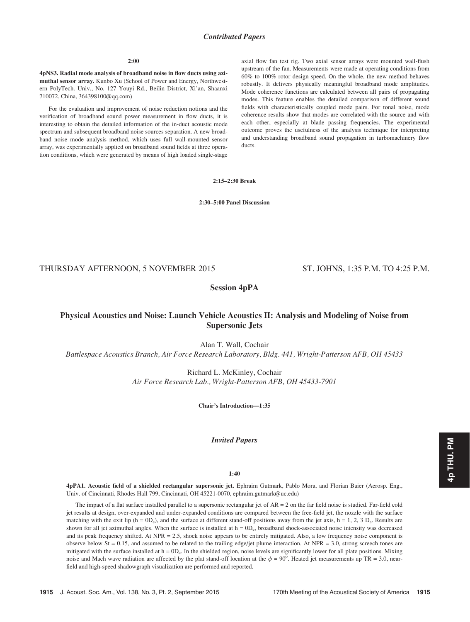# Contributed Papers

#### $2:00$

4pNS3. Radial mode analysis of broadband noise in flow ducts using azimuthal sensor array. Kunbo Xu (School of Power and Energy, Northwestern PolyTech. Univ., No. 127 Youyi Rd., Beilin District, Xi'an, Shaanxi 710072, China, 364398100@qq.com)

For the evaluation and improvement of noise reduction notions and the verification of broadband sound power measurement in flow ducts, it is interesting to obtain the detailed information of the in-duct acoustic mode spectrum and subsequent broadband noise sources separation. A new broadband noise mode analysis method, which uses full wall-mounted sensor array, was experimentally applied on broadband sound fields at three operation conditions, which were generated by means of high loaded single-stage axial flow fan test rig. Two axial sensor arrays were mounted wall-flush upstream of the fan. Measurements were made at operating conditions from 60% to 100% rotor design speed. On the whole, the new method behaves robustly. It delivers physically meaningful broadband mode amplitudes. Mode coherence functions are calculated between all pairs of propagating modes. This feature enables the detailed comparison of different sound fields with characteristically coupled mode pairs. For tonal noise, mode coherence results show that modes are correlated with the source and with each other, especially at blade passing frequencies. The experimental outcome proves the usefulness of the analysis technique for interpreting and understanding broadband sound propagation in turbomachinery flow ducts.

# 2:15–2:30 Break

2:30–5:00 Panel Discussion

# THURSDAY AFTERNOON, 5 NOVEMBER 2015 ST. JOHNS, 1:35 P.M. TO 4:25 P.M.

# Session 4pPA

# Physical Acoustics and Noise: Launch Vehicle Acoustics II: Analysis and Modeling of Noise from Supersonic Jets

Alan T. Wall, Cochair

Battlespace Acoustics Branch, Air Force Research Laboratory, Bldg. 441, Wright-Patterson AFB, OH 45433

Richard L. McKinley, Cochair Air Force Research Lab., Wright-Patterson AFB, OH 45433-7901

Chair's Introduction—1:35

# Invited Papers

1:40

4pPA1. Acoustic field of a shielded rectangular supersonic jet. Ephraim Gutmark, Pablo Mora, and Florian Baier (Aerosp. Eng., Univ. of Cincinnati, Rhodes Hall 799, Cincinnati, OH 45221-0070, ephraim.gutmark@uc.edu)

The impact of a flat surface installed parallel to a supersonic rectangular jet of  $AR = 2$  on the far field noise is studied. Far-field cold jet results at design, over-expanded and under-expanded conditions are compared between the free-field jet, the nozzle with the surface matching with the exit lip (h =  $0D_e$ ), and the surface at different stand-off positions away from the jet axis, h = 1, 2, 3 D<sub>e</sub>. Results are shown for all jet azimuthal angles. When the surface is installed at  $h = 0D_e$ , broadband shock-associated noise intensity was decreased and its peak frequency shifted. At NPR = 2.5, shock noise appears to be entirely mitigated. Also, a low frequency noise component is observe below St = 0.15, and assumed to be related to the trailing edge/jet plume interaction. At NPR = 3.0, strong screech tones are mitigated with the surface installed at h = 0D<sub>e</sub>. In the shielded region, noise levels are significantly lower for all plate positions. Mixing noise and Mach wave radiation are affected by the plat stand-off location at the  $\phi = 90^\circ$ . Heated jet measurements up TR = 3.0, nearfield and high-speed shadowgraph visualization are performed and reported.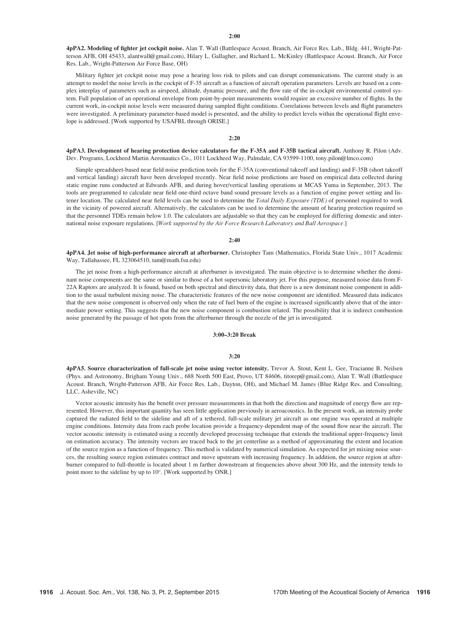4pPA2. Modeling of fighter jet cockpit noise. Alan T. Wall (Battlespace Acoust. Branch, Air Force Res. Lab., Bldg. 441, Wright-Patterson AFB, OH 45433, alantwall@gmail.com), Hilary L. Gallagher, and Richard L. McKinley (Battlespace Acoust. Branch, Air Force Res. Lab., Wright-Patterson Air Force Base, OH)

Military fighter jet cockpit noise may pose a hearing loss risk to pilots and can disrupt communications. The current study is an attempt to model the noise levels in the cockpit of F-35 aircraft as a function of aircraft operation parameters. Levels are based on a complex interplay of parameters such as airspeed, altitude, dynamic pressure, and the flow rate of the in-cockpit environmental control system. Full population of an operational envelope from point-by-point measurements would require an excessive number of flights. In the current work, in-cockpit noise levels were measured during sampled flight conditions. Correlations between levels and flight parameters were investigated. A preliminary parameter-based model is presented, and the ability to predict levels within the operational flight envelope is addressed. [Work supported by USAFRL through ORISE.]

# 2:20

4pPA3. Development of hearing protection device calculators for the F-35A and F-35B tactical aircraft. Anthony R. Pilon (Adv. Dev. Programs, Lockheed Martin Aeronautics Co., 1011 Lockheed Way, Palmdale, CA 93599-1100, tony.pilon@lmco.com)

Simple spreadsheet-based near field noise prediction tools for the F-35A (conventional takeoff and landing) and F-35B (short takeoff and vertical landing) aircraft have been developed recently. Near field noise predictions are based on empirical data collected during static engine runs conducted at Edwards AFB, and during hover/vertical landing operations at MCAS Yuma in September, 2013. The tools are programmed to calculate near field one-third octave band sound pressure levels as a function of engine power setting and listener location. The calculated near field levels can be used to determine the Total Daily Exposure (TDE) of personnel required to work in the vicinity of powered aircraft. Alternatively, the calculators can be used to determine the amount of hearing protection required so that the personnel TDEs remain below 1.0. The calculators are adjustable so that they can be employed for differing domestic and international noise exposure regulations. [Work supported by the Air Force Research Laboratory and Ball Aerospace.]

#### 2:40

4pPA4. Jet noise of high-performance aircraft at afterburner. Christopher Tam (Mathematics, Florida State Univ., 1017 Academic Way, Tallahassee, FL 323064510, tam@math.fsu.edu)

The jet noise from a high-performance aircraft at afterburner is investigated. The main objective is to determine whether the dominant noise components are the same or similar to those of a hot supersonic laboratory jet. For this purpose, measured noise data from F-22A Raptors are analyzed. It is found, based on both spectral and directivity data, that there is a new dominant noise component in addition to the usual turbulent mixing noise. The characteristic features of the new noise component are identified. Measured data indicates that the new noise component is observed only when the rate of fuel burn of the engine is increased significantly above that of the intermediate power setting. This suggests that the new noise component is combustion related. The possibility that it is indirect combustion noise generated by the passage of hot spots from the afterburner through the nozzle of the jet is investigated.

## 3:00–3:20 Break

### 3:20

4pPA5. Source characterization of full-scale jet noise using vector intensity. Trevor A. Stout, Kent L. Gee, Tracianne B. Neilsen (Phys. and Astronomy, Brigham Young Univ., 688 North 500 East, Provo, UT 84606, titorep@gmail.com), Alan T. Wall (Battlespace Acoust. Branch, Wright-Patterson AFB, Air Force Res. Lab., Dayton, OH), and Michael M. James (Blue Ridge Res. and Consulting, LLC, Asheville, NC)

Vector acoustic intensity has the benefit over pressure measurements in that both the direction and magnitude of energy flow are represented. However, this important quantity has seen little application previously in aeroacoustics. In the present work, an intensity probe captured the radiated field to the sideline and aft of a tethered, full-scale military jet aircraft as one engine was operated at multiple engine conditions. Intensity data from each probe location provide a frequency-dependent map of the sound flow near the aircraft. The vector acoustic intensity is estimated using a recently developed processing technique that extends the traditional upper-frequency limit on estimation accuracy. The intensity vectors are traced back to the jet centerline as a method of approximating the extent and location of the source region as a function of frequency. This method is validated by numerical simulation. As expected for jet mixing noise sources, the resulting source region estimates contract and move upstream with increasing frequency. In addition, the source region at afterburner compared to full-throttle is located about 1 m farther downstream at frequencies above about 300 Hz, and the intensity tends to point more to the sideline by up to 10°. [Work supported by ONR.]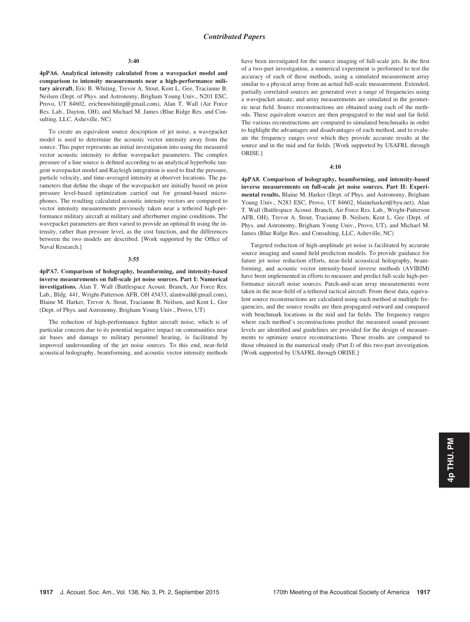#### 3:40

4pPA6. Analytical intensity calculated from a wavepacket model and comparison to intensity measurements near a high-performance military aircraft. Eric B. Whiting, Trevor A. Stout, Kent L. Gee, Tracianne B. Neilsen (Dept. of Phys. and Astronomy, Brigham Young Univ., N201 ESC, Provo, UT 84602, ericbenwhiting@gmail.com), Alan T. Wall (Air Force Res. Lab., Dayton, OH), and Michael M. James (Blue Ridge Res. and Consulting, LLC, Asheville, NC)

To create an equivalent source description of jet noise, a wavepacket model is used to determine the acoustic vector intensity away from the source. This paper represents an initial investigation into using the measured vector acoustic intensity to define wavepacket parameters. The complex pressure of a line source is defined according to an analytical hyperbolic tangent wavepacket model and Rayleigh integration is used to find the pressure, particle velocity, and time-averaged intensity at observer locations. The parameters that define the shape of the wavepacket are initially based on prior pressure level-based optimization carried out for ground-based microphones. The resulting calculated acoustic intensity vectors are compared to vector intensity measurements previously taken near a tethered high-performance military aircraft at military and afterburner engine conditions. The wavepacket parameters are then varied to provide an optimal fit using the intensity, rather than pressure level, as the cost function, and the differences between the two models are described. [Work supported by the Office of Naval Research.]

#### 3:55

4pPA7. Comparison of holography, beamforming, and intensity-based inverse measurements on full-scale jet noise sources. Part I: Numerical investigations. Alan T. Wall (Battlespace Acoust. Branch, Air Force Res. Lab., Bldg. 441, Wright-Patterson AFB, OH 45433, alantwall@gmail.com), Blaine M. Harker, Trevor A. Stout, Tracianne B. Neilsen, and Kent L. Gee (Dept. of Phys. and Astronomy, Brigham Young Univ., Provo, UT)

The reduction of high-performance fighter aircraft noise, which is of particular concern due to its potential negative impact on communities near air bases and damage to military personnel hearing, is facilitated by improved understanding of the jet noise sources. To this end, near-field acoustical holography, beamforming, and acoustic vector intensity methods have been investigated for the source imaging of full-scale jets. In the first of a two-part investigation, a numerical experiment is performed to test the accuracy of each of these methods, using a simulated measurement array similar to a physical array from an actual full-scale measurement. Extended, partially correlated sources are generated over a range of frequencies using a wavepacket ansatz, and array measurements are simulated in the geometric near field. Source reconstructions are obtained using each of the methods. These equivalent sources are then propagated to the mid and far field. The various reconstructions are compared to simulated benchmarks in order to highlight the advantages and disadvantages of each method, and to evaluate the frequency ranges over which they provide accurate results at the source and in the mid and far fields. [Work supported by USAFRL through ORISE.]

#### 4:10

4pPA8. Comparison of holography, beamforming, and intensity-based inverse measurements on full-scale jet noise sources. Part II: Experimental results. Blaine M. Harker (Dept. of Phys. and Astronomy, Brigham Young Univ., N283 ESC, Provo, UT 84602, blaineharker@byu.net), Alan T. Wall (Battlespace Acoust. Branch, Air Force Res. Lab., Wright-Patterson AFB, OH), Trevor A. Stout, Tracianne B. Neilsen, Kent L. Gee (Dept. of Phys. and Astronomy, Brigham Young Univ., Provo, UT), and Michael M. James (Blue Ridge Res. and Consulting, LLC, Asheville, NC)

Targeted reduction of high-amplitude jet noise is facilitated by accurate source imaging and sound field prediction models. To provide guidance for future jet noise reduction efforts, near-field acoustical holography, beamforming, and acoustic vector intensity-based inverse methods (AVIBIM) have been implemented in efforts to measure and predict full-scale high-performance aircraft noise sources. Patch-and-scan array measurements were taken in the near-field of a tethered tactical aircraft. From these data, equivalent source reconstructions are calculated using each method at multiple frequencies, and the source results are then propagated outward and compared with benchmark locations in the mid and far fields. The frequency ranges where each method's reconstructions predict the measured sound pressure levels are identified and guidelines are provided for the design of measurements to optimize source reconstructions. These results are compared to those obtained in the numerical study (Part I) of this two-part investigation. [Work supported by USAFRL through ORISE.]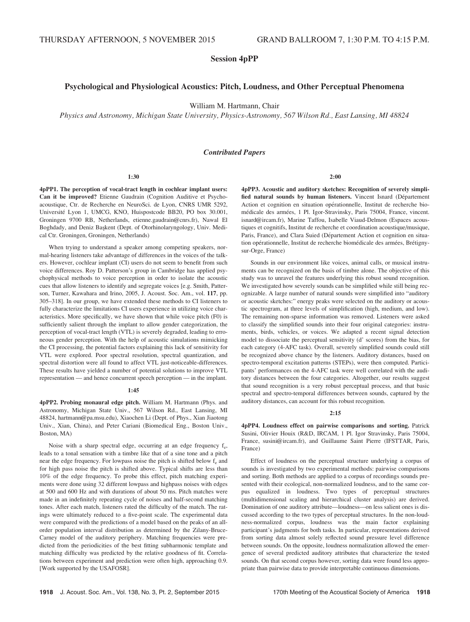Session 4pPP

# Psychological and Physiological Acoustics: Pitch, Loudness, and Other Perceptual Phenomena

William M. Hartmann, Chair

Physics and Astronomy, Michigan State University, Physics-Astronomy, 567 Wilson Rd., East Lansing, MI 48824

#### Contributed Papers

#### 1:30

4pPP1. The perception of vocal-tract length in cochlear implant users: Can it be improved? Etienne Gaudrain (Cognition Auditive et Psychoacoustique, Ctr. de Recherche en NeuroSci. de Lyon, CNRS UMR 5292, Université Lyon 1, UMCG, KNO, Huispostcode BB20, PO box 30.001, Groningen 9700 RB, Netherlands, etienne.gaudrain@cnrs.fr), Nawal El Boghdady, and Deniz Başkent (Dept. of Otorhinolaryngology, Univ. Medical Ctr. Groningen, Groningen, Netherlands)

When trying to understand a speaker among competing speakers, normal-hearing listeners take advantage of differences in the voices of the talkers. However, cochlear implant (CI) users do not seem to benefit from such voice differences. Roy D. Patterson's group in Cambridge has applied psychophysical methods to voice perception in order to isolate the acoustic cues that allow listeners to identify and segregate voices [e.g. Smith, Patterson, Turner, Kawahara and Irino, 2005, J. Acoust. Soc. Am., vol. 117, pp. 305–318]. In our group, we have extended these methods to CI listeners to fully characterize the limitations CI users experience in utilizing voice characteristics. More specifically, we have shown that while voice pitch (F0) is sufficiently salient through the implant to allow gender categorization, the perception of vocal-tract length (VTL) is severely degraded, leading to erroneous gender perception. With the help of acoustic simulations mimicking the CI processing, the potential factors explaining this lack of sensitivity for VTL were explored. Poor spectral resolution, spectral quantization, and spectral distortion were all found to affect VTL just-noticeable-differences. These results have yielded a number of potential solutions to improve VTL representation — and hence concurrent speech perception — in the implant.

#### 1:45

4pPP2. Probing monaural edge pitch. William M. Hartmann (Phys. and Astronomy, Michigan State Univ., 567 Wilson Rd., East Lansing, MI 48824, hartmann@pa.msu.edu), Xiaochen Li (Dept. of Phys., Xian Jiaotong Univ., Xian, China), and Peter Cariani (Biomedical Eng., Boston Univ., Boston, MA)

Noise with a sharp spectral edge, occurring at an edge frequency  $f_e$ , leads to a tonal sensation with a timbre like that of a sine tone and a pitch near the edge frequency. For lowpass noise the pitch is shifted below f<sub>e</sub> and for high pass noise the pitch is shifted above. Typical shifts are less than 10% of the edge frequency. To probe this effect, pitch matching experiments were done using 32 different lowpass and highpass noises with edges at 500 and 600 Hz and with durations of about 50 ms. Pitch matches were made in an indefinitely repeating cycle of noises and half-second matching tones. After each match, listeners rated the difficulty of the match. The ratings were ultimately reduced to a five-point scale. The experimental data were compared with the predictions of a model based on the peaks of an allorder population interval distribution as determined by the Zilany-Bruce-Carney model of the auditory periphery. Matching frequencies were predicted from the periodicities of the best fitting subharmonic template and matching difficulty was predicted by the relative goodness of fit. Correlations between experiment and prediction were often high, approaching 0.9. [Work supported by the USAFOSR].

2:00

4pPP3. Acoustic and auditory sketches: Recognition of severely simplified natural sounds by human listeners. Vincent Isnard (Département Action et cognition en situation opérationnelle, Institut de recherche biomédicale des armées, 1 Pl. Igor-Stravinsky, Paris 75004, France, vincent. isnard@ircam.fr), Marine Taffou, Isabelle Viaud-Delmon (Espaces acoustiques et cognitifs, Institut de recherche et coordination acoustique/musique, Paris, France), and Clara Suied (Département Action et cognition en situation opérationnelle, Institut de recherche biomédicale des armées, Brétignysur-Orge, France)

Sounds in our environment like voices, animal calls, or musical instruments can be recognized on the basis of timbre alone. The objective of this study was to unravel the features underlying this robust sound recognition. We investigated how severely sounds can be simplified while still being recognizable. A large number of natural sounds were simplified into "auditory or acoustic sketches:" energy peaks were selected on the auditory or acoustic spectrogram, at three levels of simplification (high, medium, and low). The remaining non-sparse information was removed. Listeners were asked to classify the simplified sounds into their four original categories: instruments, birds, vehicles, or voices. We adapted a recent signal detection model to dissociate the perceptual sensitivity (d' scores) from the bias, for each category (4-AFC task). Overall, severely simplified sounds could still be recognized above chance by the listeners. Auditory distances, based on spectro-temporal excitation patterns (STEPs), were then computed. Participants' performances on the 4-AFC task were well correlated with the auditory distances between the four categories. Altogether, our results suggest that sound recognition is a very robust perceptual process, and that basic spectral and spectro-temporal differences between sounds, captured by the auditory distances, can account for this robust recognition.

#### $2:15$

4pPP4. Loudness effect on pairwise comparisons and sorting. Patrick Susini, Olivier Houix (R&D, IRCAM, 1 Pl. Igor Stravinsky, Paris 75004, France, susini@ircam.fr), and Guillaume Saint Pierre (IFSTTAR, Paris, France)

Effect of loudness on the perceptual structure underlying a corpus of sounds is investigated by two experimental methods: pairwise comparisons and sorting. Both methods are applied to a corpus of recordings sounds presented with their ecological, non-normalized loudness, and to the same corpus equalized in loudness. Two types of perceptual structures (multidimensional scaling and hierarchical cluster analysis) are derived. Domination of one auditory attribute—loudness—on less salient ones is discussed according to the two types of perceptual structures. In the non-loudness-normalized corpus, loudness was the main factor explaining participant's judgments for both tasks. In particular, representations derived from sorting data almost solely reflected sound pressure level difference between sounds. On the opposite, loudness normalization allowed the emergence of several predicted auditory attributes that characterize the tested sounds. On that second corpus however, sorting data were found less appropriate than pairwise data to provide interpretable continuous dimensions.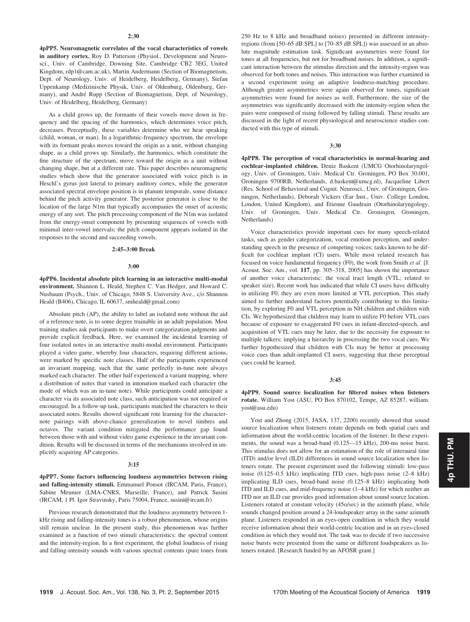4pPP5. Neuromagnetic correlates of the vocal characteristics of vowels in auditory cortex. Roy D. Patterson (Physiol., Development and Neurosci., Univ. of Cambridge, Downing Site, Cambridge CB2 3EG, United Kingdom, rdp1@cam.ac.uk), Martin Andermann (Section of Biomagnetism, Dept. of Neurology, Univ. of Heidelberg, Heidelberg, Germany), Stefan Uppenkamp (Medizinische Physik, Univ. of Oldenburg, Oldenburg, Germany), and André Rupp (Section of Biomagnetism, Dept. of Neurology, Univ. of Heidelberg, Heidelberg, Germany)

As a child grows up, the formants of their vowels move down in frequency and the spacing of the harmonics, which determines voice pitch, decreases. Perceptually, these variables determine who we hear speaking (child, woman, or man). In a logarithmic-frequency spectrum, the envelope with its formant peaks moves toward the origin as a unit, without changing shape, as a child grows up. Similarly, the harmonics, which constitute the fine structure of the spectrum, move toward the origin as a unit without changing shape, but at a different rate. This paper describes neuromagnetic studies which show that the generator associated with voice pitch is in Heschl's gyrus just lateral to primary auditory cortex, while the generator associated spectral envelope position is in planum temporale, some distance behind the pitch activity generator. The posterior generator is close to the location of the large N1m that typically accompanies the onset of acoustic energy of any sort. The pitch processing component of the N1m was isolated from the energy-onset component by presenting sequences of vowels with minimal inter-vowel intervals; the pitch component appears isolated in the responses to the second and succeeding vowels.

# 2:45–3:00 Break

#### 3:00

4pPP6. Incidental absolute pitch learning in an interactive multi-modal environment. Shannon L. Heald, Stephen C. Van Hedger, and Howard C. Nusbaum (Psych., Univ. of Chicago, 5848 S. University Ave., c/o Shannon Heald (B406), Chicago, IL 60637, smheald@gmail.com)

Absolute pitch (AP), the ability to label an isolated note without the aid of a reference note, is to some degree trainable in an adult population. Most training studies ask participants to make overt categorization judgments and provide explicit feedback. Here, we examined the incidental learning of four isolated notes in an interactive multi-modal environment. Participants played a video game, whereby four characters, requiring different actions, were marked by specific note classes. Half of the participants experienced an invariant mapping, such that the same perfectly in-tune note always marked each character. The other half experienced a variant mapping, where a distribution of notes that varied in intonation marked each character (the mode of which was an in-tune note). While participants could anticipate a character via its associated note class, such anticipation was not required or encouraged. In a follow-up task, participants matched the characters to their associated notes. Results showed significant rote learning for the characternote pairings with above-chance generalization to novel timbres and octaves. The variant condition mitigated the performance gap found between those with and without video game experience in the invariant condition. Results will be discussed in terms of the mechanisms involved in implicitly acquiring AP categories.

#### 3:15

4pPP7. Some factors influencing loudness asymmetries between rising and falling-intensity stimuli. Emmanuel Ponsot (IRCAM, Paris, France), Sabine Meunier (LMA-CNRS, Marseille, France), and Patrick Susini (IRCAM, 1 Pl. Igor Stravinsky, Paris 75004, France, susini@ircam.fr)

Previous research demonstrated that the loudness asymmetry between 1 kHz rising and falling-intensity tones is a robust phenomenon, whose origins still remain unclear. In the present study, this phenomenon was further examined as a function of two stimuli characteristics: the spectral content and the intensity-region. In a first experiment, the global loudness of rising and falling-intensity sounds with various spectral contents (pure tones from 250 Hz to 8 kHz and broadband noises) presented in different intensityregions (from [50–65 dB SPL] to [70–85 dB SPL]) was assessed in an absolute magnitude estimation task. Significant asymmetries were found for tones at all frequencies, but not for broadband noises. In addition, a significant interaction between the stimulus direction and the intensity-region was observed for both tones and noises. This interaction was further examined in a second experiment using an adaptive loudness-matching procedure. Although greater asymmetries were again observed for tones, significant asymmetries were found for noises as well. Furthermore, the size of the asymmetries was significantly decreased with the intensity-region when the pairs were composed of rising followed by falling stimuli. These results are discussed in the light of recent physiological and neuroscience studies conducted with this type of stimuli.

## 3:30

4pPP8. The perception of vocal characteristics in normal-hearing and cochlear-implanted children. Deniz Baskent (UMCG Otorhinolaryngology, Univ. of Groningen, Univ. Medical Ctr. Groningen, PO Box 30.001, Groningen 9700RB, Netherlands, d.baskent@umcg.nl), Jacqueline Libert (Res. School of Behavioral and Cognit. Neurosci., Univ. of Groningen, Groningen, Netherlands), Deborah Vickers (Ear Inst., Univ. College London, London, United Kingdom), and Etienne Gaudrain (Otorhinolaryngology, Univ. of Groningen, Univ. Medical Ctr. Groningen, Groningen, Netherlands)

Voice characteristics provide important cues for many speech-related tasks, such as gender categorization, vocal emotion perception, and understanding speech in the presence of competing voices; tasks known to be difficult for cochlear implant (CI) users. While most related research has focused on voice fundamental frequency (F0), the work from Smith et al. [J. Acoust. Soc. Am., vol. 117, pp. 305–318, 2005] has shown the importance of another voice characteristic: the vocal tract length (VTL; related to speaker size). Recent work has indicated that while CI users have difficulty in utilizing F0, they are even more limited at VTL perception. This study aimed to further understand factors potentially contributing to this limitation, by exploring F0 and VTL perception in NH children and children with CIs. We hypothesized that children may learn to utilize F0 before VTL cues because of exposure to exaggerated F0 cues in infant-directed-speech, and acquisition of VTL cues may be later, due to the necessity for exposure to multiple talkers; implying a hierarchy in processing the two vocal cues. We further hypothesized that children with CIs may be better at processing voice cues than adult-implanted CI users, suggesting that these perceptual cues could be learned.

#### 3:45

4pPP9. Sound source localization for filtered noises when listeners rotate. William Yost (ASU, PO Box 870102, Tempe, AZ 85287, william. yost@asu.edu)

Yost and Zhong (2015, JASA, 137, 2200) recently showed that sound source localization when listeners rotate depends on both spatial cues and information about the world-centric location of the listener. In these experiments, the sound was a broad-band (0.125—15 kHz), 200-ms noise burst. This stimulus does not allow for an estimation of the role of interaural time (ITD) and/or level (ILD) differences in sound source localization when listeners rotate. The present experiment used the following stimuli: low-pass noise (0.125–0.5 kHz) implicating ITD cues, high-pass noise (2–8 kHz) implicating ILD cues, broad-band noise (0.125–8 kHz) implicating both ITD and ILD cues, and mid-frequency noise (1–4 kHz) for which neither an ITD nor an ILD cue provides good information about sound source location. Listeners rotated at constant velocity (45o/sec) in the azimuth plane, while sounds changed position around a 24-loudspeaker array in the same azimuth plane. Listeners responded in an eyes-open condition in which they would receive information about their world-centric location and in an eyes-closed condition in which they would not. The task was to decide if two successive noise bursts were presented from the same or different loudspeakers as listeners rotated. [Research funded by an AFOSR grant.]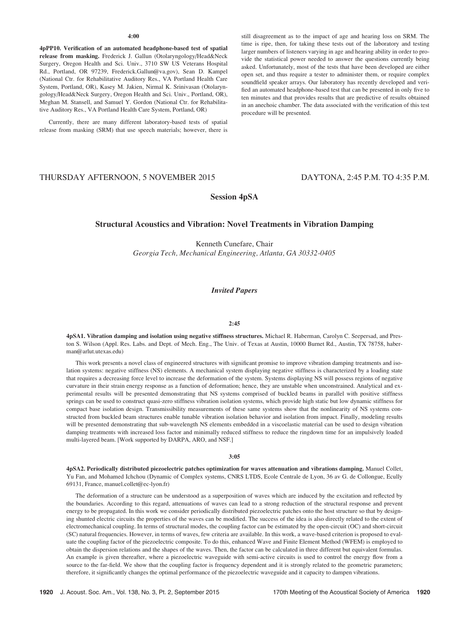## 4:00

4pPP10. Verification of an automated headphone-based test of spatial release from masking. Frederick J. Gallun (Otolaryngology/Head&Neck Surgery, Oregon Health and Sci. Univ., 3710 SW US Veterans Hospital Rd., Portland, OR 97239, Frederick.Gallun@va.gov), Sean D. Kampel (National Ctr. for Rehabilitative Auditory Res., VA Portland Health Care System, Portland, OR), Kasey M. Jakien, Nirmal K. Srinivasan (Otolaryngology/Head&Neck Surgery, Oregon Health and Sci. Univ., Portland, OR), Meghan M. Stansell, and Samuel Y. Gordon (National Ctr. for Rehabilitative Auditory Res., VA Portland Health Care System, Portland, OR)

Currently, there are many different laboratory-based tests of spatial release from masking (SRM) that use speech materials; however, there is still disagreement as to the impact of age and hearing loss on SRM. The time is ripe, then, for taking these tests out of the laboratory and testing larger numbers of listeners varying in age and hearing ability in order to provide the statistical power needed to answer the questions currently being asked. Unfortunately, most of the tests that have been developed are either open set, and thus require a tester to administer them, or require complex soundfield speaker arrays. Our laboratory has recently developed and verified an automated headphone-based test that can be presented in only five to ten minutes and that provides results that are predictive of results obtained in an anechoic chamber. The data associated with the verification of this test procedure will be presented.

# THURSDAY AFTERNOON, 5 NOVEMBER 2015 DAYTONA, 2:45 P.M. TO 4:35 P.M.

# Session 4pSA

# Structural Acoustics and Vibration: Novel Treatments in Vibration Damping

Kenneth Cunefare, Chair Georgia Tech, Mechanical Engineering, Atlanta, GA 30332-0405

# Invited Papers

#### 2:45

4pSA1. Vibration damping and isolation using negative stiffness structures. Michael R. Haberman, Carolyn C. Seepersad, and Preston S. Wilson (Appl. Res. Labs. and Dept. of Mech. Eng., The Univ. of Texas at Austin, 10000 Burnet Rd., Austin, TX 78758, haberman@arlut.utexas.edu)

This work presents a novel class of engineered structures with significant promise to improve vibration damping treatments and isolation systems: negative stiffness (NS) elements. A mechanical system displaying negative stiffness is characterized by a loading state that requires a decreasing force level to increase the deformation of the system. Systems displaying NS will possess regions of negative curvature in their strain energy response as a function of deformation; hence, they are unstable when unconstrained. Analytical and experimental results will be presented demonstrating that NS systems comprised of buckled beams in parallel with positive stiffness springs can be used to construct quasi-zero stiffness vibration isolation systems, which provide high static but low dynamic stiffness for compact base isolation design. Transmissibility measurements of these same systems show that the nonlinearity of NS systems constructed from buckled beam structures enable tunable vibration isolation behavior and isolation from impact. Finally, modeling results will be presented demonstrating that sub-wavelength NS elements embedded in a viscoelastic material can be used to design vibration damping treatments with increased loss factor and minimally reduced stiffness to reduce the ringdown time for an impulsively loaded multi-layered beam. [Work supported by DARPA, ARO, and NSF.]

#### 3:05

4pSA2. Periodically distributed piezoelectric patches optimization for waves attenuation and vibrations damping. Manuel Collet, Yu Fan, and Mohamed Ichchou (Dynamic of Complex systems, CNRS LTDS, Ecole Centrale de Lyon, 36 av G. de Collongue, Ecully 69131, France, manuel.collet@ec-lyon.fr)

The deformation of a structure can be understood as a superposition of waves which are induced by the excitation and reflected by the boundaries. According to this regard, attenuations of waves can lead to a strong reduction of the structural response and prevent energy to be propagated. In this work we consider periodically distributed piezoelectric patches onto the host structure so that by designing shunted electric circuits the properties of the waves can be modified. The success of the idea is also directly related to the extent of electromechanical coupling. In terms of structural modes, the coupling factor can be estimated by the open-circuit (OC) and short-circuit (SC) natural frequencies. However, in terms of waves, few criteria are available. In this work, a wave-based criterion is proposed to evaluate the coupling factor of the piezoelectric composite. To do this, enhanced Wave and Finite Element Method (WFEM) is employed to obtain the dispersion relations and the shapes of the waves. Then, the factor can be calculated in three different but equivalent formulas. An example is given thereafter, where a piezoelectric waveguide with semi-active circuits is used to control the energy flow from a source to the far-field. We show that the coupling factor is frequency dependent and it is strongly related to the geometric parameters; therefore, it significantly changes the optimal performance of the piezoelectric waveguide and it capacity to dampen vibrations.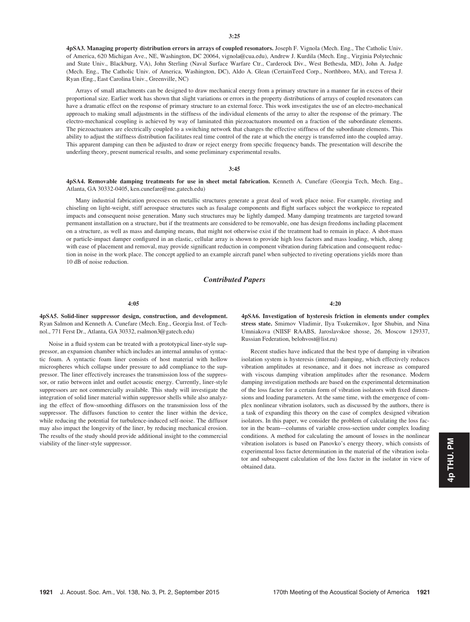4pSA3. Managing property distribution errors in arrays of coupled resonators. Joseph F. Vignola (Mech. Eng., The Catholic Univ. of America, 620 Michigan Ave., NE, Washington, DC 20064, vignola@cua.edu), Andrew J. Kurdila (Mech. Eng., Virginia Polytechnic and State Univ., Blackburg, VA), John Sterling (Naval Surface Warfare Ctr., Carderock Div., West Bethesda, MD), John A. Judge (Mech. Eng., The Catholic Univ. of America, Washington, DC), Aldo A. Glean (CertainTeed Corp., Northboro, MA), and Teresa J. Ryan (Eng., East Carolina Univ., Greenville, NC)

Arrays of small attachments can be designed to draw mechanical energy from a primary structure in a manner far in excess of their proportional size. Earlier work has shown that slight variations or errors in the property distributions of arrays of coupled resonators can have a dramatic effect on the response of primary structure to an external force. This work investigates the use of an electro-mechanical approach to making small adjustments in the stiffness of the individual elements of the array to alter the response of the primary. The electro-mechanical coupling is achieved by way of laminated thin piezoactuators mounted on a fraction of the subordinate elements. The piezoactuators are electrically coupled to a switching network that changes the effective stiffness of the subordinate elements. This ability to adjust the stiffness distribution facilitates real time control of the rate at which the energy is transferred into the coupled array. This apparent damping can then be adjusted to draw or reject energy from specific frequency bands. The presentation will describe the underling theory, present numerical results, and some preliminary experimental results.

## 3:45

4pSA4. Removable damping treatments for use in sheet metal fabrication. Kenneth A. Cunefare (Georgia Tech, Mech. Eng., Atlanta, GA 30332-0405, ken.cunefare@me.gatech.edu)

Many industrial fabrication processes on metallic structures generate a great deal of work place noise. For example, riveting and chiseling on light-weight, stiff aerospace structures such as fusalage components and flight surfaces subject the workpiece to repeated impacts and consequent noise generation. Many such structures may be lightly damped. Many damping treatments are targeted toward permanent installation on a structure, but if the treatments are considered to be removable, one has design freedoms including placement on a structure, as well as mass and damping means, that might not otherwise exist if the treatment had to remain in place. A shot-mass or particle-impact damper configured in an elastic, cellular array is shown to provide high loss factors and mass loading, which, along with ease of placement and removal, may provide significant reduction in component vibration during fabrication and consequent reduction in noise in the work place. The concept applied to an example aircraft panel when subjected to riveting operations yields more than 10 dB of noise reduction.

# Contributed Papers

#### 4:05

4pSA5. Solid-liner suppressor design, construction, and development. Ryan Salmon and Kenneth A. Cunefare (Mech. Eng., Georgia Inst. of Technol., 771 Ferst Dr., Atlanta, GA 30332, rsalmon3@gatech.edu)

Noise in a fluid system can be treated with a prototypical liner-style suppressor, an expansion chamber which includes an internal annulus of syntactic foam. A syntactic foam liner consists of host material with hollow microspheres which collapse under pressure to add compliance to the suppressor. The liner effectively increases the transmission loss of the suppressor, or ratio between inlet and outlet acoustic energy. Currently, liner-style suppressors are not commercially available. This study will investigate the integration of solid liner material within suppressor shells while also analyzing the effect of flow-smoothing diffusors on the transmission loss of the suppressor. The diffusors function to center the liner within the device, while reducing the potential for turbulence-induced self-noise. The diffusor may also impact the longevity of the liner, by reducing mechanical erosion. The results of the study should provide additional insight to the commercial viability of the liner-style suppressor.

4:20

4pSA6. Investigation of hysteresis friction in elements under complex stress state. Smirnov Vladimir, Ilya Tsukernikov, Igor Shubin, and Nina Umniakova (NIISF RAABS, Jaroslavskoe shosse, 26, Moscow 129337, Russian Federation, belohvost@list.ru)

Recent studies have indicated that the best type of damping in vibration isolation system is hysteresis (internal) damping, which effectively reduces vibration amplitudes at resonance, and it does not increase as compared with viscous damping vibration amplitudes after the resonance. Modern damping investigation methods are based on the experimental determination of the loss factor for a certain form of vibration isolators with fixed dimensions and loading parameters. At the same time, with the emergence of complex nonlinear vibration isolators, such as discussed by the authors, there is a task of expanding this theory on the case of complex designed vibration isolators. In this paper, we consider the problem of calculating the loss factor in the beam—columns of variable cross-section under complex loading conditions. A method for calculating the amount of losses in the nonlinear vibration isolators is based on Panovko's energy theory, which consists of experimental loss factor determination in the material of the vibration isolator and subsequent calculation of the loss factor in the isolator in view of obtained data.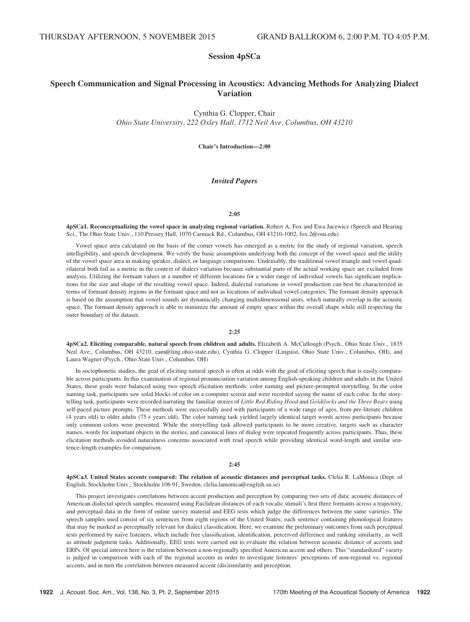# Session 4pSCa

# Speech Communication and Signal Processing in Acoustics: Advancing Methods for Analyzing Dialect Variation

Cynthia G. Clopper, Chair Ohio State University, 222 Oxley Hall, 1712 Neil Ave, Columbus, OH 43210

Chair's Introduction—2:00

# Invited Papers

## 2:05

4pSCa1. Reconceptualizing the vowel space in analyzing regional variation. Robert A. Fox and Ewa Jacewicz (Speech and Hearing Sci., The Ohio State Univ., 110 Pressey Hall, 1070 Carmack Rd., Columbus, OH 43210-1002, fox.2@osu.edu)

Vowel space area calculated on the basis of the corner vowels has emerged as a metric for the study of regional variation, speech intelligibility, and speech development. We verify the basic assumptions underlying both the concept of the vowel space and the utility of the vowel space area in making speaker, dialect, or language comparisons. Undeniably, the traditional vowel triangle and vowel quadrilateral both fail as a metric in the context of dialect variation because substantial parts of the actual working space are excluded from analysis. Utilizing the formant values at a number of different locations for a wider range of individual vowels has significant implications for the size and shape of the resulting vowel space. Indeed, dialectal variations in vowel production can best be characterized in terms of formant density regions in the formant space and not as locations of individual vowel categories. The formant density approach is based on the assumption that vowel sounds are dynamically changing multidimensional units, which naturally overlap in the acoustic space. The formant density approach is able to minimize the amount of empty space within the overall shape while still respecting the outer boundary of the dataset.

## 2:25

4pSCa2. Eliciting comparable, natural speech from children and adults. Elizabeth A. McCullough (Psych., Ohio State Univ., 1835 Neil Ave., Columbus, OH 43210, eam@ling.ohio-state.edu), Cynthia G. Clopper (Linguist, Ohio State Univ., Columbus, OH), and Laura Wagner (Psych., Ohio State Univ., Columbus, OH)

In sociophonetic studies, the goal of eliciting natural speech is often at odds with the goal of eliciting speech that is easily comparable across participants. In this examination of regional pronunciation variation among English-speaking children and adults in the United States, these goals were balanced using two speech elicitation methods: color naming and picture-prompted storytelling. In the color naming task, participants saw solid blocks of color on a computer screen and were recorded saying the name of each color. In the storytelling task, participants were recorded narrating the familiar stories of Little Red Riding Hood and Goldilocks and the Three Bears using self-paced picture prompts. These methods were successfully used with participants of a wide range of ages, from pre-literate children (4 years old) to older adults (75 + years old). The color naming task yielded largely identical target words across participants because only common colors were presented. While the storytelling task allowed participants to be more creative, targets such as character names, words for important objects in the stories, and canonical lines of dialog were repeated frequently across participants. Thus, these elicitation methods avoided naturalness concerns associated with read speech while providing identical word-length and similar sentence-length examples for comparison.

## $2:45$

4pSCa3. United States accents compared: The relation of acoustic distances and perceptual tasks. Clelia R. LaMonica (Dept. of English, Stockholm Univ., Stockholm 106 91, Sweden, clelia.lamonica@english.su.se)

This project investigates correlations between accent production and perception by comparing two sets of data: acoustic distances of American dialectal speech samples, measured using Euclidean distances of each vocalic stimuli's first three formants across a trajectory, and perceptual data in the form of online survey material and EEG tests which judge the differences between the same varieties. The speech samples used consist of six sentences from eight regions of the United States; each sentence containing phonological features that may be marked as perceptually relevant for dialect classification. Here, we examine the preliminary outcomes from such perceptual tests performed by naïve listeners, which include free classification, identification, perceived difference and ranking similarity, as well as attitude judgment tasks. Additionally, EEG tests were carried out to evaluate the relation between acoustic distance of accents and ERPs. Of special interest here is the relation between a non-regionally specified American accent and others. This "standardized" variety is judged in comparison with each of the regional accents in order to investigate listeners' perceptions of non-regional vs. regional accents, and in turn the correlation between measured accent (dis)similarity and perception.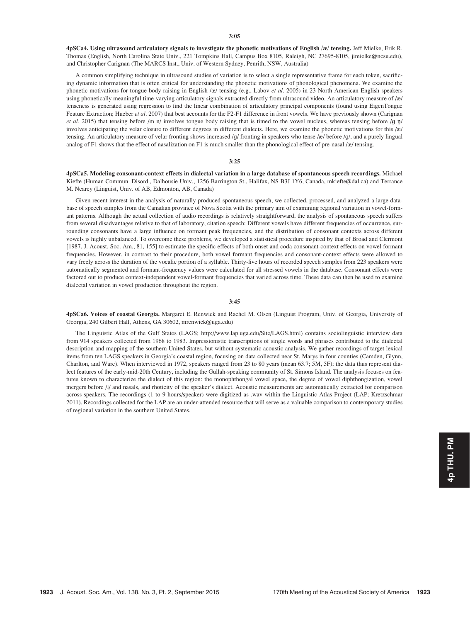4pSCa4. Using ultrasound articulatory signals to investigate the phonetic motivations of English /æ/ tensing. Jeff Mielke, Erik R. Thomas (English, North Carolina State Univ., 221 Tompkins Hall, Campus Box 8105, Raleigh, NC 27695-8105, jimielke@ncsu.edu), and Christopher Carignan (The MARCS Inst., Univ. of Western Sydney, Penrith, NSW, Australia)

A common simplifying technique in ultrasound studies of variation is to select a single representative frame for each token, sacrificing dynamic information that is often critical for understanding the phonetic motivations of phonological phenomena. We examine the phonetic motivations for tongue body raising in English /æ/ tensing (e.g., Labov et al. 2005) in 23 North American English speakers using phonetically meaningful time-varying articulatory signals extracted directly from ultrasound video. An articulatory measure of /æ/ tenseness is generated using regression to find the linear combination of articulatory principal components (found using EigenTongue Feature Extraction; Hueber et al. 2007) that best accounts for the F2-F1 difference in front vowels. We have previously shown (Carignan et al. 2015) that tensing before /m n/ involves tongue body raising that is timed to the vowel nucleus, whereas tensing before /g  $\eta$ / involves anticipating the velar closure to different degrees in different dialects. Here, we examine the phonetic motivations for this /æ/ tensing. An articulatory measure of velar fronting shows increased /g/ fronting in speakers who tense /æ/ before /g/, and a purely lingual analog of F1 shows that the effect of nasalization on F1 is much smaller than the phonological effect of pre-nasal /æ/ tensing.

#### 3:25

4pSCa5. Modeling consonant-context effects in dialectal variation in a large database of spontaneous speech recordings. Michael Kiefte (Human Commun. Disord., Dalhousie Univ., 1256 Barrington St., Halifax, NS B3J 1Y6, Canada, mkiefte@dal.ca) and Terrance M. Nearey (Linguist, Univ. of AB, Edmonton, AB, Canada)

Given recent interest in the analysis of naturally produced spontaneous speech, we collected, processed, and analyzed a large database of speech samples from the Canadian province of Nova Scotia with the primary aim of examining regional variation in vowel-formant patterns. Although the actual collection of audio recordings is relatively straightforward, the analysis of spontaneous speech suffers from several disadvantages relative to that of laboratory, citation speech: Different vowels have different frequencies of occurrence, surrounding consonants have a large influence on formant peak frequencies, and the distribution of consonant contexts across different vowels is highly unbalanced. To overcome these problems, we developed a statistical procedure inspired by that of Broad and Clermont [1987, J. Acoust. Soc. Am., 81, 155] to estimate the specific effects of both onset and coda consonant-context effects on vowel formant frequencies. However, in contrast to their procedure, both vowel formant frequencies and consonant-context effects were allowed to vary freely across the duration of the vocalic portion of a syllable. Thirty-five hours of recorded speech samples from 223 speakers were automatically segmented and formant-frequency values were calculated for all stressed vowels in the database. Consonant effects were factored out to produce context-independent vowel-formant frequencies that varied across time. These data can then be used to examine dialectal variation in vowel production throughout the region.

#### 3:45

4pSCa6. Voices of coastal Georgia. Margaret E. Renwick and Rachel M. Olsen (Linguist Program, Univ. of Georgia, University of Georgia, 240 Gilbert Hall, Athens, GA 30602, mrenwick@uga.edu)

The Linguistic Atlas of the Gulf States (LAGS; http://www.lap.uga.edu/Site/LAGS.html) contains sociolinguistic interview data from 914 speakers collected from 1968 to 1983. Impressionistic transcriptions of single words and phrases contributed to the dialectal description and mapping of the southern United States, but without systematic acoustic analysis. We gather recordings of target lexical items from ten LAGS speakers in Georgia's coastal region, focusing on data collected near St. Marys in four counties (Camden, Glynn, Charlton, and Ware). When interviewed in 1972, speakers ranged from 23 to 80 years (mean 63.7; 5M, 5F); the data thus represent dialect features of the early-mid-20th Century, including the Gullah-speaking community of St. Simons Island. The analysis focuses on features known to characterize the dialect of this region: the monophthongal vowel space, the degree of vowel diphthongization, vowel mergers before /l/ and nasals, and rhoticity of the speaker's dialect. Acoustic measurements are automatically extracted for comparison across speakers. The recordings (1 to 9 hours/speaker) were digitized as .wav within the Linguistic Atlas Project (LAP; Kretzschmar 2011). Recordings collected for the LAP are an under-attended resource that will serve as a valuable comparison to contemporary studies of regional variation in the southern United States.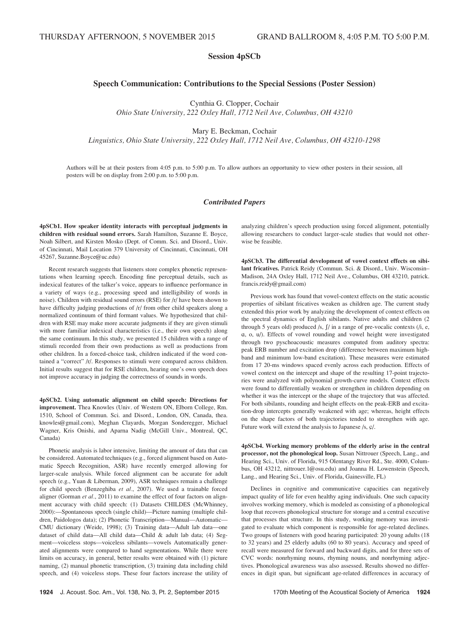# Session 4pSCb

# Speech Communication: Contributions to the Special Sessions (Poster Session)

Cynthia G. Clopper, Cochair

Ohio State University, 222 Oxley Hall, 1712 Neil Ave, Columbus, OH 43210

Mary E. Beckman, Cochair

Linguistics, Ohio State University, 222 Oxley Hall, 1712 Neil Ave, Columbus, OH 43210-1298

Authors will be at their posters from 4:05 p.m. to 5:00 p.m. To allow authors an opportunity to view other posters in their session, all posters will be on display from 2:00 p.m. to 5:00 p.m.

# Contributed Papers

4pSCb1. How speaker identity interacts with perceptual judgments in children with residual sound errors. Sarah Hamilton, Suzanne E. Boyce, Noah Silbert, and Kirsten Mosko (Dept. of Comm. Sci. and Disord., Univ. of Cincinnati, Mail Location 379 University of Cincinnati, Cincinnati, OH 45267, Suzanne.Boyce@uc.edu)

Recent research suggests that listeners store complex phonetic representations when learning speech. Encoding fine perceptual details, such as indexical features of the talker's voice, appears to influence performance in a variety of ways (e.g., processing speed and intelligibility of words in noise). Children with residual sound errors (RSE) for /r/ have been shown to have difficulty judging productions of /r/ from other child speakers along a normalized continuum of third formant values. We hypothesized that children with RSE may make more accurate judgments if they are given stimuli with more familiar indexical characteristics (i.e., their own speech) along the same continuum. In this study, we presented 15 children with a range of stimuli recorded from their own productions as well as productions from other children. In a forced-choice task, children indicated if the word contained a "correct" /r/. Responses to stimuli were compared across children. Initial results suggest that for RSE children, hearing one's own speech does not improve accuracy in judging the correctness of sounds in words.

4pSCb2. Using automatic alignment on child speech: Directions for improvement. Thea Knowles (Univ. of Western ON, Elborn College, Rm. 1510, School of Commun. Sci. and Disord., London, ON, Canada, thea. knowles@gmail.com), Meghan Clayards, Morgan Sonderegger, Michael Wagner, Kris Onishi, and Aparna Nadig (McGill Univ., Montreal, QC, Canada)

Phonetic analysis is labor intensive, limiting the amount of data that can be considered. Automated techniques (e.g., forced alignment based on Automatic Speech Recognition, ASR) have recently emerged allowing for larger-scale analysis. While forced alignment can be accurate for adult speech (e.g., Yuan & Liberman, 2009), ASR techniques remain a challenge for child speech (Benzeghiba et al., 2007). We used a trainable forced aligner (Gorman et al., 2011) to examine the effect of four factors on alignment accuracy with child speech: (1) Datasets CHILDES (McWhinney, 2000):—Spontaneous speech (single child)—Picture naming (multiple children, Paidologos data); (2) Phonetic Transcription—Manual—Automatic— CMU dictionary (Weide, 1998); (3) Training data—Adult lab data—one dataset of child data—All child data—Child & adult lab data; (4) Segment—voiceless stops—voiceless sibilants—vowels Automatically generated alignments were compared to hand segmentations. While there were limits on accuracy, in general, better results were obtained with (1) picture naming, (2) manual phonetic transcription, (3) training data including child speech, and (4) voiceless stops. These four factors increase the utility of analyzing children's speech production using forced alignment, potentially allowing researchers to conduct larger-scale studies that would not otherwise be feasible.

4pSCb3. The differential development of vowel context effects on sibilant fricatives. Patrick Reidy (Commun. Sci. & Disord., Univ. Wisconsin– Madison, 24A Oxley Hall, 1712 Neil Ave., Columbus, OH 43210, patrick. francis.reidy@gmail.com)

Previous work has found that vowel-context effects on the static acoustic properties of sibilant fricatives weaken as children age. The current study extended this prior work by analyzing the development of context effects on the spectral dynamics of English sibilants. Native adults and children (2 through 5 years old) produced /s,  $\int$ / in a range of pre-vocalic contexts (/i, e, A, o, u/). Effects of vowel rounding and vowel height were investigated through two pyschoacoustic measures computed from auditory spectra: peak ERB number and excitation drop (difference between maximum highband and minimum low-band excitation). These measures were estimated from 17 20-ms windows spaced evenly across each production. Effects of vowel context on the intercept and shape of the resulting 17-point trajectories were analyzed with polynomial growth-curve models. Context effects were found to differentially weaken or strengthen in children depending on whether it was the intercept or the shape of the trajectory that was affected. For both sibilants, rounding and height effects on the peak-ERB and excitation-drop intercepts generally weakened with age; whereas, height effects on the shape factors of both trajectories tended to strengthen with age. Future work will extend the analysis to Japanese /s,  $\varphi$ /.

4pSCb4. Working memory problems of the elderly arise in the central processor, not the phonological loop. Susan Nittrouer (Speech, Lang., and Hearing Sci., Univ. of Florida, 915 Olentangy River Rd., Ste. 4000, Columbus, OH 43212, nittrouer.1@osu.edu) and Joanna H. Lowenstein (Speech, Lang., and Hearing Sci., Univ. of Florida, Gainesville, FL)

Declines in cognitive and communicative capacities can negatively impact quality of life for even healthy aging individuals. One such capacity involves working memory, which is modeled as consisting of a phonological loop that recovers phonological structure for storage and a central executive that processes that structure. In this study, working memory was investigated to evaluate which component is responsible for age-related declines. Two groups of listeners with good hearing participated: 20 young adults (18 to 32 years) and 25 elderly adults (60 to 80 years). Accuracy and speed of recall were measured for forward and backward digits, and for three sets of CVC words: nonrhyming nouns, rhyming nouns, and nonrhyming adjectives. Phonological awareness was also assessed. Results showed no differences in digit span, but significant age-related differences in accuracy of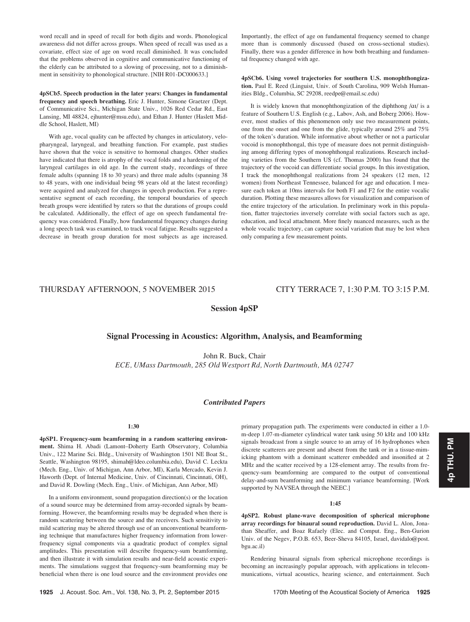word recall and in speed of recall for both digits and words. Phonological awareness did not differ across groups. When speed of recall was used as a covariate, effect size of age on word recall diminished. It was concluded that the problems observed in cognitive and communicative functioning of the elderly can be attributed to a slowing of processing, not to a diminishment in sensitivity to phonological structure. [NIH R01-DC000633.]

4pSCb5. Speech production in the later years: Changes in fundamental frequency and speech breathing. Eric J. Hunter, Simone Graetzer (Dept. of Communicative Sci., Michigan State Univ., 1026 Red Cedar Rd., East Lansing, MI 48824, ejhunter@msu.edu), and Ethan J. Hunter (Haslett Middle School, Haslett, MI)

With age, vocal quality can be affected by changes in articulatory, velopharyngeal, laryngeal, and breathing function. For example, past studies have shown that the voice is sensitive to hormonal changes. Other studies have indicated that there is atrophy of the vocal folds and a hardening of the laryngeal cartilages in old age. In the current study, recordings of three female adults (spanning 18 to 30 years) and three male adults (spanning 38 to 48 years, with one individual being 98 years old at the latest recording) were acquired and analyzed for changes in speech production. For a representative segment of each recording, the temporal boundaries of speech breath groups were identified by raters so that the durations of groups could be calculated. Additionally, the effect of age on speech fundamental frequency was considered. Finally, how fundamental frequency changes during a long speech task was examined, to track vocal fatigue. Results suggested a decrease in breath group duration for most subjects as age increased. Importantly, the effect of age on fundamental frequency seemed to change more than is commonly discussed (based on cross-sectional studies). Finally, there was a gender difference in how both breathing and fundamental frequency changed with age.

4pSCb6. Using vowel trajectories for southern U.S. monophthongization. Paul E. Reed (Linguist, Univ. of South Carolina, 909 Welsh Humanities Bldg., Columbia, SC 29208, reedpe@email.sc.edu)

It is widely known that monophthongization of the diphthong  $\alpha$ <sup>1</sup> is a feature of Southern U.S. English (e.g., Labov, Ash, and Boberg 2006). However, most studies of this phenomenon only use two measurement points, one from the onset and one from the glide, typically around 25% and 75% of the token's duration. While informative about whether or not a particular vocoid is monophthongal, this type of measure does not permit distinguishing among differing types of monophthongal realizations. Research including varieties from the Southern US (cf. Thomas 2000) has found that the trajectory of the vocoid can differentiate social groups. In this investigation, I track the monophthongal realizations from 24 speakers (12 men, 12 women) from Northeast Tennessee, balanced for age and education. I measure each token at 10ms intervals for both F1 and F2 for the entire vocalic duration. Plotting these measures allows for visualization and comparison of the entire trajectory of the articulation. In preliminary work in this population, flatter trajectories inversely correlate with social factors such as age, education, and local attachment. More finely nuanced measures, such as the whole vocalic trajectory, can capture social variation that may be lost when only comparing a few measurement points.

# THURSDAY AFTERNOON, 5 NOVEMBER 2015 CITY TERRACE 7, 1:30 P.M. TO 3:15 P.M.

# Session 4pSP

# Signal Processing in Acoustics: Algorithm, Analysis, and Beamforming

John R. Buck, Chair ECE, UMass Dartmouth, 285 Old Westport Rd, North Dartmouth, MA 02747

# Contributed Papers

## 1:30

4pSP1. Frequency-sum beamforming in a random scattering environment. Shima H. Abadi (Lamont–Doherty Earth Observatory, Columbia Univ., 122 Marine Sci. Bldg., University of Washington 1501 NE Boat St., Seattle, Washington 98195, shimah@ldeo.columbia.edu), David C. Leckta (Mech. Eng., Univ. of Michigan, Ann Arbor, MI), Karla Mercado, Kevin J. Haworth (Dept. of Internal Medicine, Univ. of Cincinnati, Cincinnati, OH), and David R. Dowling (Mech. Eng., Univ. of Michigan, Ann Arbor, MI)

In a uniform environment, sound propagation direction(s) or the location of a sound source may be determined from array-recorded signals by beamforming. However, the beamforming results may be degraded when there is random scattering between the source and the receivers. Such sensitivity to mild scattering may be altered through use of an unconventional beamforming technique that manufactures higher frequency information from lowerfrequency signal components via a quadratic product of complex signal amplitudes. This presentation will describe frequency-sum beamforming, and then illustrate it with simulation results and near-field acoustic experiments. The simulations suggest that frequency-sum beamforming may be beneficial when there is one loud source and the environment provides one primary propagation path. The experiments were conducted in either a 1.0 m-deep 1.07-m-diameter cylindrical water tank using 50 kHz and 100 kHz signals broadcast from a single source to an array of 16 hydrophones when discrete scatterers are present and absent from the tank or in a tissue-mimicking phantom with a dominant scatterer embedded and insonified at 2 MHz and the scatter received by a 128-element array. The results from frequency-sum beamforming are compared to the output of conventional delay-and-sum beamforming and minimum variance beamforming. [Work supported by NAVSEA through the NEEC.]

4pSP2. Robust plane-wave decomposition of spherical microphone array recordings for binaural sound reproduction. David L. Alon, Jonathan Sheaffer, and Boaz Rafaely (Elec. and Comput. Eng., Ben-Gurion Univ. of the Negev, P.O.B. 653, Beer-Sheva 84105, Israel, davidalo@post. bgu.ac.il)

Rendering binaural signals from spherical microphone recordings is becoming an increasingly popular approach, with applications in telecommunications, virtual acoustics, hearing science, and entertainment. Such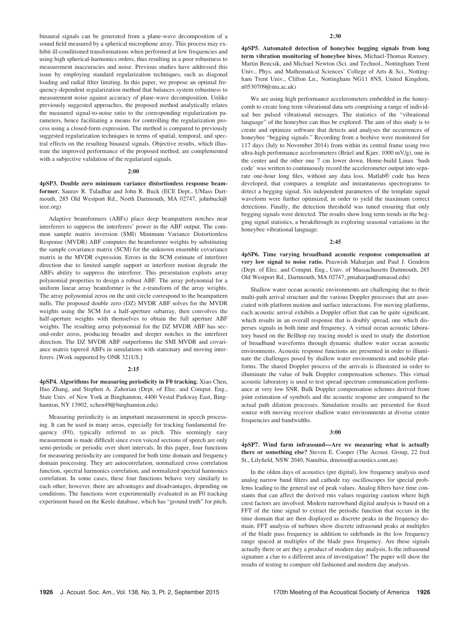binaural signals can be generated from a plane-wave decomposition of a sound field measured by a spherical microphone array. This process may exhibit ill-conditioned transformations when performed at low frequencies and using high spherical-harmonics orders, thus resulting in a poor robustness to measurement inaccuracies and noise. Previous studies have addressed this issue by employing standard regularization techniques, such as diagonal loading and radial filter limiting. In this paper, we propose an optimal frequency-dependent regularization method that balances system robustness to measurement noise against accuracy of plane-wave decomposition. Unlike previously suggested approaches, the proposed method analytically relates the measured signal-to-noise ratio to the corresponding regularization parameters, hence facilitating a means for controlling the regularization process using a closed-form expression. The method is compared to previously suggested regularization techniques in terms of spatial, temporal, and spectral effects on the resulting binaural signals. Objective results, which illustrate the improved performance of the proposed method, are complemented with a subjective validation of the regularized signals.

#### 2:00

4pSP3. Double zero minimum variance distortionless response beamformer. Saurav R. Tuladhar and John R. Buck (ECE Dept., UMass Dartmouth, 285 Old Westport Rd., North Dartmouth, MA 02747, johnbuck@ ieee.org)

Adaptive beamformers (ABFs) place deep beampattern notches near interferers to suppress the interferers' power in the ABF output. The common sample matrix inversion (SMI) Minimum Variance Distortionless Response (MVDR) ABF computes the beamformer weights by substituting the sample covariance matrix (SCM) for the unknown ensemble covariance matrix in the MVDR expression. Errors in the SCM estimate of interferer direction due to limited sample support or interferer motion degrade the ABFs ability to suppress the interferer. This presentation exploits array polynomial properties to design a robust ABF. The array polynomial for a uniform linear array beamformer is the z-transform of the array weights. The array polynomial zeros on the unit circle correspond to the beampattern nulls. The proposed double zero (DZ) MVDR ABF solves for the MVDR weights using the SCM for a half-aperture subarray, then convolves the half-aperture weights with themselves to obtain the full aperture ABF weights. The resulting array polynomial for the DZ MVDR ABF has second-order zeros, producing broader and deeper notches in the interferer direction. The DZ MVDR ABF outperforms the SMI MVDR and covariance matrix tapered ABFs in simulations with stationary and moving interferers. [Work supported by ONR 321US.]

#### 2:15

4pSP4. Algorithms for measuring periodicity in F0 tracking. Xiao Chen, Hao Zhang, and Stephen A. Zahorian (Dept. of Elec. and Comput. Eng., State Univ. of New York at Binghamton, 4400 Vestal Parkway East, Binghamton, NY 13902, xchen49@binghamton.edu)

Measuring periodicity is an important measurement in speech processing. It can be used in many areas, especially for tracking fundamental frequency (F0), typically referred to as pitch. This seemingly easy measurement is made difficult since even voiced sections of speech are only semi-periodic or periodic over short intervals. In this paper, four functions for measuring periodicity are compared for both time domain and frequency domain processing. They are autocorrelation, normalized cross correlation function, spectral harmonics correlation, and normalized spectral harmonics correlation. In some cases, these four functions behave very similarly to each other; however, there are advantages and disadvantages, depending on conditions. The functions were experimentally evaluated in an F0 tracking experiment based on the Keele database, which has "ground truth" for pitch.

4pSP5. Automated detection of honeybee begging signals from long term vibration monitoring of honeybee hives. Michael-Thomas Ramsey, Martin Bencsik, and Michael Newton (Sci. and Technol., Nottingham Trent Univ., Phys. and Mathematical Sciences' College of Arts & Sci., Nottingham Trent Univ., Clifton Ln., Nottingham NG11 8NS, United Kingdom, n0530709@ntu.ac.uk)

We are using high performance accelerometers embedded in the honeycomb to create long term vibrational data sets comprising a range of individual bee pulsed vibrational messages. The statistics of the "vibrational language" of the honeybee can thus be explored. The aim of this study is to create and optimize software that detects and analyses the occurrences of honeybee "begging signals." Recording from a beehive were monitored for 117 days (July to November 2014) from within its central frame using two ultra-high performance accelerometers (Brüel and Kjær,  $1000 \text{ mV/g}$ ), one in the center and the other one 7 cm lower down. Home-build Linux 'bash code' was written to continuously record the accelerometer output into separate one-hour long files, without any data loss. Matlab® code has been developed, that compares a template and instantaneous spectrograms to detect a begging signal. Six independent parameters of the template signal waveform were further optimized, in order to yield the maximum correct detections. Finally, the detection threshold was tuned ensuring that only begging signals were detected. The results show long term trends in the begging signal statistics, a breakthrough in exploring seasonal variations in the honeybee vibrational language.

# 2:45

4pSP6. Time varying broadband acoustic response compensation at very low signal to noise ratio. Praswish Maharjan and Paul J. Gendron (Dept. of Elec. and Comput. Eng., Univ. of Massachusetts Dartmouth, 285 Old Westport Rd., Dartmouth, MA 02747, pmaharjan@umassd.edu)

Shallow water ocean acoustic environments are challenging due to their multi-path arrival structure and the various Doppler processes that are associated with platform motion and surface interactions. For moving platforms, each acoustic arrival exhibits a Doppler offset that can be quite significant, which results in an overall response that is doubly spread, one which disperses signals in both time and frequency. A virtual ocean acoustic laboratory based on the Bellhop ray tracing model is used to study the distortion of broadband waveforms through dynamic shallow water ocean acoustic environments. Acoustic response functions are presented in order to illuminate the challenges posed by shallow water environments and mobile platforms. The shared Doppler process of the arrivals is illustrated in order to illuminate the value of bulk Doppler compensation schemes. This virtual acoustic laboratory is used to test spread spectrum communication performance at very low SNR. Bulk Doppler compensation schemes derived from joint estimation of symbols and the acoustic response are compared to the actual path dilation processes. Simulation results are presented for fixed source with moving receiver shallow water environments at diverse center frequencies and bandwidths.

#### 3:00

4pSP7. Wind farm infrasound—Are we measuring what is actually there or something else? Steven E. Cooper (The Acoust. Group, 22 fred St., Lilyfield, NSW 2040, Namibia, drnoise@acoustics.com.au)

In the olden days of acoustics (pre digital), low frequency analysis used analog narrow band filters and cathode ray oscilloscopes for special problems leading to the general use of peak values. Analog filters have time constants that can affect the derived rms values requiring caution where high crest factors are involved. Modern narrowband digital analysis is based on a FFT of the time signal to extract the periodic function that occurs in the time domain that are then displayed as discrete peaks in the frequency domain. FFT analysis of turbines show discrete infrasound peaks at multiples of the blade pass frequency in addition to sidebands in the low frequency range spaced at multiples of the blade pass frequency. Are these signals actually there or are they a product of modern day analysis. Is the infrasound signature a clue to a different area of investigation? The paper will show the results of testing to compare old fashioned and modern day analysis.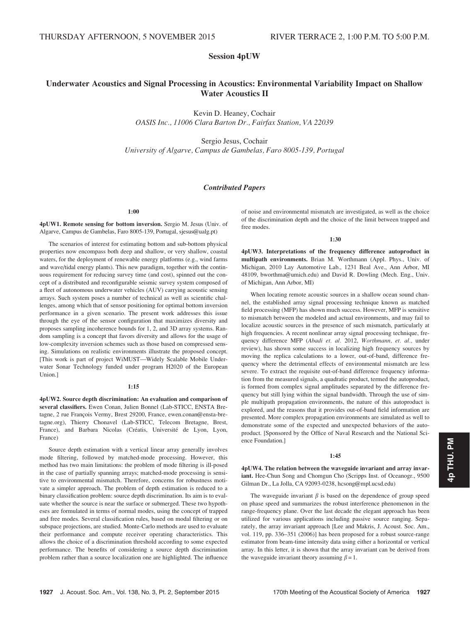Session 4pUW

# Underwater Acoustics and Signal Processing in Acoustics: Environmental Variability Impact on Shallow Water Acoustics II

Kevin D. Heaney, Cochair OASIS Inc., 11006 Clara Barton Dr., Fairfax Station, VA 22039

Sergio Jesus, Cochair University of Algarve, Campus de Gambelas, Faro 8005-139, Portugal

# Contributed Papers

# 1:00

4pUW1. Remote sensing for bottom inversion. Sergio M. Jesus (Univ. of Algarve, Campus de Gambelas, Faro 8005-139, Portugal, sjesus@ualg.pt)

The scenarios of interest for estimating bottom and sub-bottom physical properties now encompass both deep and shallow, or very shallow, coastal waters, for the deployment of renewable energy platforms (e.g., wind farms and wave/tidal energy plants). This new paradigm, together with the continuous requirement for reducing survey time (and cost), spinned out the concept of a distributed and reconfigurable seismic survey system composed of a fleet of autonomous underwater vehicles (AUV) carrying acoustic sensing arrays. Such system poses a number of technical as well as scientific challenges, among which that of sensor positioning for optimal bottom inversion performance in a given scenario. The present work addresses this issue through the eye of the sensor configuration that maximizes diversity and proposes sampling incoherence bounds for 1, 2, and 3D array systems. Random sampling is a concept that favors diversity and allows for the usage of low-complexity inversion schemes such as those based on compressed sensing. Simulations on realistic environments illustrate the proposed concept. [This work is part of project WiMUST—Widely Scalable Mobile Underwater Sonar Technology funded under program H2020 of the European Union.]

#### 1:15

4pUW2. Source depth discrimination: An evaluation and comparison of several classifiers. Ewen Conan, Julien Bonnel (Lab-STICC, ENSTA Bretagne, 2 rue François Vermy, Brest 29200, France, ewen.conan@ensta-bretagne.org), Thierry Chonavel (Lab-STICC, Telecom Bretagne, Brest, France), and Barbara Nicolas (Créatis, Université de Lyon, Lyon, France)

Source depth estimation with a vertical linear array generally involves mode filtering, followed by matched-mode processing. However, this method has two main limitations: the problem of mode filtering is ill-posed in the case of partially spanning arrays; matched-mode processing is sensitive to environmental mismatch. Therefore, concerns for robustness motivate a simpler approach. The problem of depth estimation is reduced to a binary classification problem: source depth discrimination. Its aim is to evaluate whether the source is near the surface or submerged. These two hypotheses are formulated in terms of normal modes, using the concept of trapped and free modes. Several classification rules, based on modal filtering or on subspace projections, are studied. Monte-Carlo methods are used to evaluate their performance and compute receiver operating characteristics. This allows the choice of a discrimination threshold according to some expected performance. The benefits of considering a source depth discrimination problem rather than a source localization one are highlighted. The influence of noise and environmental mismatch are investigated, as well as the choice of the discrimination depth and the choice of the limit between trapped and free modes.

1:30

4pUW3. Interpretations of the frequency difference autoproduct in multipath environments. Brian M. Worthmann (Appl. Phys., Univ. of Michigan, 2010 Lay Automotive Lab., 1231 Beal Ave., Ann Arbor, MI 48109, bworthma@umich.edu) and David R. Dowling (Mech. Eng., Univ. of Michigan, Ann Arbor, MI)

When locating remote acoustic sources in a shallow ocean sound channel, the established array signal processing technique known as matched field processing (MFP) has shown much success. However, MFP is sensitive to mismatch between the modeled and actual environments, and may fail to localize acoustic sources in the presence of such mismatch, particularly at high frequencies. A recent nonlinear array signal processing technique, frequency difference MFP (Abadi et. al. 2012, Worthmann, et. al., under review), has shown some success in localizing high frequency sources by moving the replica calculations to a lower, out-of-band, difference frequency where the detrimental effects of environmental mismatch are less severe. To extract the requisite out-of-band difference frequency information from the measured signals, a quadratic product, termed the autoproduct, is formed from complex signal amplitudes separated by the difference frequency but still lying within the signal bandwidth. Through the use of simple multipath propagation environments, the nature of this autoproduct is explored, and the reasons that it provides out-of-band field information are presented. More complex propagation environments are simulated as well to demonstrate some of the expected and unexpected behaviors of the autoproduct. [Sponsored by the Office of Naval Research and the National Science Foundation.]

#### 1:45

4pUW4. The relation between the waveguide invariant and array invariant. Hee-Chun Song and Chomgun Cho (Scripps Inst. of Oceanogr., 9500 Gilman Dr., La Jolla, CA 92093-0238, hcsong@mpl.ucsd.edu)

The waveguide invariant  $\beta$  is based on the dependence of group speed on phase speed and summarizes the robust interference phenomenon in the range-frequency plane. Over the last decade the elegant approach has been utilized for various applications including passive source ranging. Separately, the array invariant approach [Lee and Makris, J. Acoust. Soc. Am., vol. 119, pp. 336–351 (2006)] has been proposed for a robust source-range estimator from beam-time intensity data using either a horizontal or vertical array. In this letter, it is shown that the array invariant can be derived from the waveguide invariant theory assuming  $\beta = 1$ .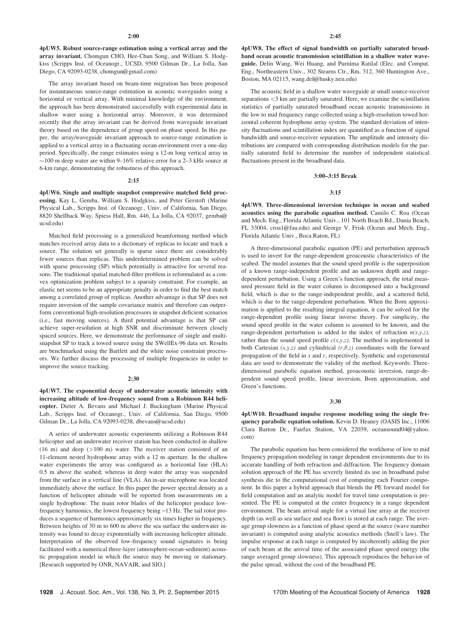4pUW5. Robust source-range estimation using a vertical array and the array invariant. Chomgun CHO, Hee-Chun Song, and William S. Hodgkiss (Scripps Inst. of Oceanogr., UCSD, 9500 Gilman Dr., La Jolla, San Diego, CA 92093-0238, chomgun@gmail.com)

The array invariant based on beam-time migration has been proposed for instantaneous source-range estimation in acoustic waveguides using a horizontal or vertical array. With minimal knowledge of the environment, the approach has been demonstrated successfully with experimental data in shallow water using a horizontal array. Moreover, it was determined recently that the array invariant can be derived from waveguide invariant theory based on the dependence of group speed on phase speed. In this paper, the array/waveguide invariant approach to source-range estimation is applied to a vertical array in a fluctuating ocean environment over a one-day period. Specifically, the range estimates using a 12-m long vertical array in  $\sim$ 100 m deep water are within 9–16% relative error for a 2–3 kHz source at 6-km range, demonstrating the robustness of this approach.

# 2:15

4pUW6. Single and multiple snapshot compressive matched field processing. Kay L. Gemba, William S. Hodgkiss, and Peter Gerstoft (Marine Physical Lab., Scripps Inst. of Oceanogr., Univ. of California, San Diego, 8820 Shellback Way, Spiess Hall, Rm. 446, La Jolla, CA 92037, gemba@ ucsd.edu)

Matched field processing is a generalized beamforming method which matches received array data to a dictionary of replicas to locate and track a source. The solution set generally is sparse since there are considerably fewer sources than replicas. This underdetermined problem can be solved with sparse processing (SP) which potentially is attractive for several reasons. The traditional spatial matched-filter problem is reformulated as a convex optimization problem subject to a sparsity constraint. For example, an elastic net seems to be an appropriate penalty in order to find the best match among a correlated group of replicas. Another advantage is that SP does not require inversion of the sample covariance matrix and therefore can outperform conventional high-resolution processors in snapshot deficient scenarios (i.e., fast moving sources). A third potential advantage is that SP can achieve super-resolution at high SNR and discriminate between closely spaced sources. Here, we demonstrate the performance of single and multisnapshot SP to track a towed source using the SWellEx-96 data set. Results are benchmarked using the Bartlett and the white noise constraint processors. We further discuss the processing of multiple frequencies in order to improve the source tracking.

#### 2:30

4pUW7. The exponential decay of underwater acoustic intensity with increasing altitude of low-frequency sound from a Robinson R44 helicopter. Dieter A. Bevans and Michael J. Buckingham (Marine Physical Lab., Scripps Inst. of Oceanogr., Univ. of California, San Diego, 9500 Gilman Dr., La Jolla, CA 92093-0238, dbevans@ucsd.edu)

A series of underwater acoustic experiments utilizing a Robinson R44 helicopter and an underwater receiver station has been conducted in shallow  $(16 \text{ m})$  and deep  $(>100 \text{ m})$  water. The receiver station consisted of an 11-element nested hydrophone array with a 12 m aperture. In the shallow water experiments the array was configured as a horizontal line (HLA) 0.5 m above the seabed; whereas in deep water the array was suspended from the surface in a vertical line (VLA). An in-air microphone was located immediately above the surface. In this paper the power spectral density as a function of helicopter altitude will be reported from measurements on a single hydrophone. The main rotor blades of the helicopter produce lowfrequency harmonics, the lowest frequency being ~13 Hz. The tail rotor produces a sequence of harmonics approximately six times higher in frequency. Between heights of 30 m to 600 m above the sea surface the underwater intensity was found to decay exponentially with increasing helicopter altitude. Interpretation of the observed low-frequency sound signatures is being facilitated with a numerical three-layer (atmosphere-ocean-sediment) acoustic propagation model in which the source may be moving or stationary. [Research supported by ONR, NAVAIR, and SIO.]

4pUW8. The effect of signal bandwidth on partially saturated broadband ocean acoustic transmission scintillation in a shallow water waveguide. Delin Wang, Wei Huang, and Purnima Ratilal (Elec. and Comput. Eng., Northeastern Univ., 302 Stearns Ctr., Rm. 312, 360 Huntington Ave., Boston, MA 02115, wang.del@husky.neu.edu)

The acoustic field in a shallow water waveguide at small source-receiver separations <3 km are partially saturated. Here, we examine the scintillation statistics of partially saturated broadband ocean acoustic transmissions in the low to mid frequency range collected using a high-resolution towed horizontal coherent hydrophone array system. The standard deviation of intensity fluctuations and scintillation index are quantified as a function of signal bandwidth and source-receiver separation. The amplitude and intensity distributions are compared with corresponding distribution models for the partially saturated field to determine the number of independent statistical fluctuations present in the broadband data.

#### 3:00–3:15 Break

## 3:15

4pUW9. Three-dimensional inversion technique in ocean and seabed acoustics using the parabolic equation method. Camilo C. Roa (Ocean and Mech. Eng., Florida Atlantic Univ., 101 North Beach Rd., Dania Beach, FL 33004, croa1@fau.edu) and George V. Frisk (Ocean and Mech. Eng., Florida Atlantic Univ., Boca Raton, FL)

A three-dimensional parabolic equation (PE) and perturbation approach is used to invert for the range-dependent geoacoustic characteristics of the seabed. The model assumes that the sound speed profile is the superposition of a known range-independent profile and an unknown depth and rangedependent perturbation. Using a Green's function approach, the total measured pressure field in the water column is decomposed into a background field, which is due to the range-independent profile, and a scattered field, which is due to the range-dependent perturbation. When the Born approximation is applied to the resulting integral equation, it can be solved for the range-dependent profile using linear inverse theory. For simplicity, the sound speed profile in the water column is assumed to be known, and the range-dependent perturbation is added to the index of refraction  $n(x,y,z)$ , rather than the sound speed profile  $c(x,y,z)$ . The method is implemented in both Cartesian  $(x,y,z)$  and cylindrical  $(r,\theta,z)$  coordinates with the forward propagation of the field in  $x$  and  $r$ , respectively. Synthetic and experimental data are used to demonstrate the validity of the method. Keywords: Threedimensional parabolic equation method, geoacoustic inversion, range-dependent sound speed profile, linear inversion, Born approximation, and Green's functions.

#### 3:30

4pUW10. Broadband impulse response modeling using the single frequency parabolic equation solution. Kevin D. Heaney (OASIS Inc., 11006 Clara Barton Dr., Fairfax Station, VA 22039, oceansound04@yahoo. com)

The parabolic equation has been considered the workhorse of low to mid frequency propagation modeling in range dependent environments due to its accurate handling of both refraction and diffraction. The frequency domain solution approach of the PE has severely limited its use in broadband pulse synthesis die to the computational cost of computing each Fourier component. In this paper a hybrid approach that blends the PE forward model for field computation and an analytic model for travel time computation is presented. The PE is computed at the center frequency in a range dependent environment. The beam arrival angle for a virtual line array at the receiver depth (as well as sea surface and sea floor) is stored at each range. The average group slowness as a function of phase speed at the source (wave number invariant) is computed using analytic acoustics methods (Snell's law). The impulse response at each range is computed by incoherently adding the pier of each beam at the arrival time of the associated phase speed energy (the range averaged group slowness). This approach reproduces the behavior of the pulse spread, without the cost of the broadband PE.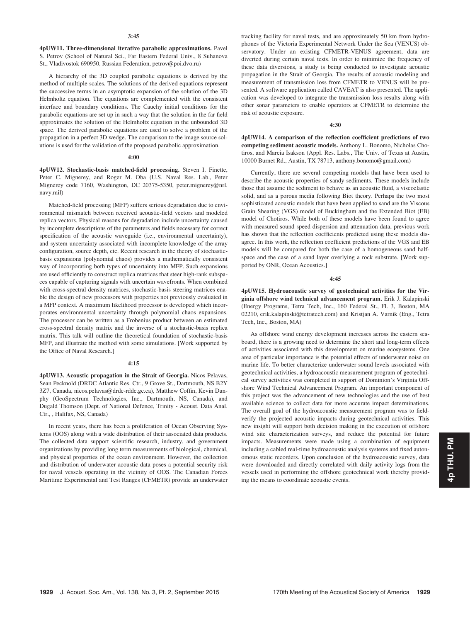#### 3:45

4pUW11. Three-dimensional iterative parabolic approximations. Pavel S. Petrov (School of Natural Sci., Far Eastern Federal Univ., 8 Suhanova St., Vladivostok 690950, Russian Federation, petrov@poi.dvo.ru)

A hierarchy of the 3D coupled parabolic equations is derived by the method of multiple scales. The solutions of the derived equations represent the successive terms in an asymptotic expansion of the solution of the 3D Helmholtz equation. The equations are complemented with the consistent interface and boundary conditions. The Cauchy initial conditions for the parabolic equations are set up in such a way that the solution in the far field approximates the solution of the Helmholtz equation in the unbounded 3D space. The derived parabolic equations are used to solve a problem of the propagation in a perfect 3D wedge. The comparison to the image source solutions is used for the validation of the proposed parabolic approximation.

#### 4:00

4pUW12. Stochastic-basis matched-field processing. Steven I. Finette, Peter C. Mignerey, and Roger M. Oba (U.S. Naval Res. Lab., Peter Mignerey code 7160, Washington, DC 20375-5350, peter.mignerey@nrl. navy.mil)

Matched-field processing (MFP) suffers serious degradation due to environmental mismatch between received acoustic-field vectors and modeled replica vectors. Physical reasons for degradation include uncertainty caused by incomplete descriptions of the parameters and fields necessary for correct specification of the acoustic waveguide (i.e., environmental uncertainty), and system uncertainty associated with incomplete knowledge of the array configuration, source depth, etc. Recent research in the theory of stochasticbasis expansions (polynomial chaos) provides a mathematically consistent way of incorporating both types of uncertainty into MFP. Such expansions are used efficiently to construct replica matrices that steer high-rank subspaces capable of capturing signals with uncertain wavefronts. When combined with cross-spectral density matrices, stochastic-basis steering matrices enable the design of new processors with properties not previously evaluated in a MFP context. A maximum likelihood processor is developed which incorporates environmental uncertainty through polynomial chaos expansions. The processor can be written as a Frobenius product between an estimated cross-spectral density matrix and the inverse of a stochastic-basis replica matrix. This talk will outline the theoretical foundation of stochastic-basis MFP, and illustrate the method with some simulations. [Work supported by the Office of Naval Research.]

## 4:15

4pUW13. Acoustic propagation in the Strait of Georgia. Nicos Pelavas, Sean Pecknold (DRDC Atlantic Res. Ctr., 9 Grove St., Dartmouth, NS B2Y 3Z7, Canada, nicos.pelavas@drdc-rddc.gc.ca), Matthew Coffin, Kevin Dunphy (GeoSpectrum Technologies, Inc., Dartmouth, NS, Canada), and Dugald Thomson (Dept. of National Defence, Trinity - Acoust. Data Anal. Ctr., , Halifax, NS, Canada)

In recent years, there has been a proliferation of Ocean Observing Systems (OOS) along with a wide distribution of their associated data products. The collected data support scientific research, industry, and government organizations by providing long term measurements of biological, chemical, and physical properties of the ocean environment. However, the collection and distribution of underwater acoustic data poses a potential security risk for naval vessels operating in the vicinity of OOS. The Canadian Forces Maritime Experimental and Test Ranges (CFMETR) provide an underwater tracking facility for naval tests, and are approximately 50 km from hydrophones of the Victoria Experimental Network Under the Sea (VENUS) observatory. Under an existing CFMETR-VENUS agreement, data are diverted during certain naval tests. In order to minimize the frequency of these data diversions, a study is being conducted to investigate acoustic propagation in the Strait of Georgia. The results of acoustic modeling and measurement of transmission loss from CFMETR to VENUS will be presented. A software application called CAVEAT is also presented. The application was developed to integrate the transmission loss results along with other sonar parameters to enable operators at CFMETR to determine the risk of acoustic exposure.

## 4:30

4pUW14. A comparison of the reflection coefficient predictions of two competing sediment acoustic models. Anthony L. Bonomo, Nicholas Chotiros, and Marcia Isakson (Appl. Res. Labs., The Univ. of Texas at Austin, 10000 Burnet Rd., Austin, TX 78713, anthony.bonomo@gmail.com)

Currently, there are several competing models that have been used to describe the acoustic properties of sandy sediments. These models include those that assume the sediment to behave as an acoustic fluid, a viscoelastic solid, and as a porous media following Biot theory. Perhaps the two most sophisticated acoustic models that have been applied to sand are the Viscous Grain Shearing (VGS) model of Buckingham and the Extended Biot (EB) model of Chotiros. While both of these models have been found to agree with measured sound speed dispersion and attenuation data, previous work has shown that the reflection coefficients predicted using these models disagree. In this work, the reflection coefficient predictions of the VGS and EB models will be compared for both the case of a homogeneous sand halfspace and the case of a sand layer overlying a rock substrate. [Work supported by ONR, Ocean Acoustics.]

#### 4:45

4pUW15. Hydroacoustic survey of geotechnical activities for the Virginia offshore wind technical advancement program. Erik J. Kalapinski (Energy Programs, Tetra Tech, Inc., 160 Federal St., Fl. 3, Boston, MA 02210, erik.kalapinski@tetratech.com) and Kristjan A. Varnik (Eng., Tetra Tech, Inc., Boston, MA)

As offshore wind energy development increases across the eastern seaboard, there is a growing need to determine the short and long-term effects of activities associated with this development on marine ecosystems. One area of particular importance is the potential effects of underwater noise on marine life. To better characterize underwater sound levels associated with geotechnical activities, a hydroacoustic measurement program of geotechnical survey activities was completed in support of Dominion's Virginia Offshore Wind Technical Advancement Program. An important component of this project was the advancement of new technologies and the use of best available science to collect data for more accurate impact determinations. The overall goal of the hydroacoustic measurement program was to fieldverify the projected acoustic impacts during geotechnical activities. This new insight will support both decision making in the execution of offshore wind site characterization surveys, and reduce the potential for future impacts. Measurements were made using a combination of equipment including a cabled real-time hydroacoustic analysis systems and fixed autonomous static recorders. Upon conclusion of the hydroacoustic survey, data were downloaded and directly correlated with daily activity logs from the vessels used in performing the offshore geotechnical work thereby providing the means to coordinate acoustic events.